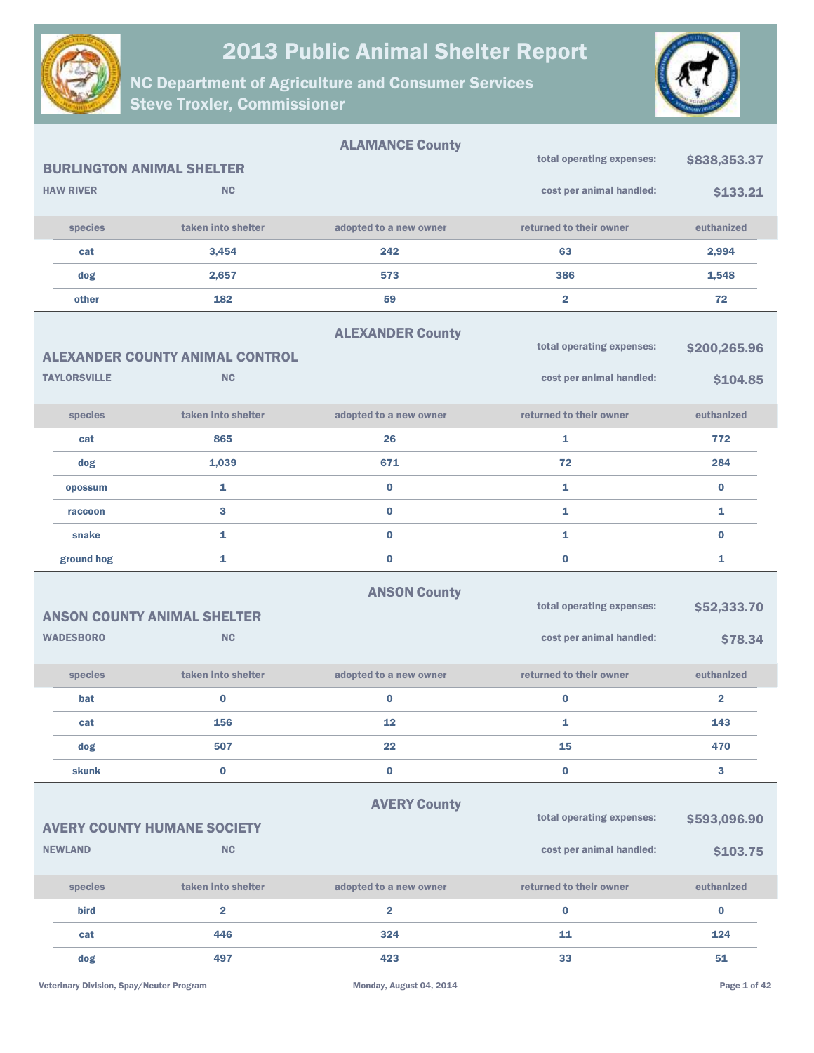



|                                  |                                                 | <b>ALAMANCE County</b>  |                                                       |                          |
|----------------------------------|-------------------------------------------------|-------------------------|-------------------------------------------------------|--------------------------|
| <b>BURLINGTON ANIMAL SHELTER</b> |                                                 |                         | total operating expenses:                             | \$838,353.37             |
| <b>HAW RIVER</b>                 | <b>NC</b>                                       |                         | cost per animal handled:                              | \$133.21                 |
| species                          | taken into shelter                              | adopted to a new owner  | returned to their owner                               | euthanized               |
| cat                              | 3,454                                           | 242                     | 63                                                    | 2,994                    |
| dog                              | 2,657                                           | 573                     | 386                                                   | 1,548                    |
| other                            | 182                                             | 59                      | $\overline{\mathbf{2}}$                               | 72                       |
|                                  |                                                 | <b>ALEXANDER County</b> |                                                       |                          |
|                                  | <b>ALEXANDER COUNTY ANIMAL CONTROL</b>          |                         | total operating expenses:                             | \$200,265.96             |
| <b>TAYLORSVILLE</b>              | <b>NC</b>                                       |                         | cost per animal handled:                              | \$104.85                 |
| species                          | taken into shelter                              | adopted to a new owner  | returned to their owner                               | euthanized               |
| cat                              | 865                                             | 26                      | $\mathbf{1}$                                          | 772                      |
| dog                              | 1,039                                           | 671                     | 72                                                    | 284                      |
| opossum                          | 1                                               | $\bf{0}$                | $\mathbf{1}$                                          | $\bf{0}$                 |
| raccoon                          | 3                                               | $\bf{0}$                | $\mathbf{1}$                                          | 1                        |
| snake                            | $\mathbf{1}$                                    | $\bf{0}$                | $\mathbf{1}$                                          | $\bf{0}$                 |
| ground hog                       | 1                                               | $\bf{0}$                | $\bf{0}$                                              | 1                        |
| <b>WADESBORO</b>                 | <b>ANSON COUNTY ANIMAL SHELTER</b><br><b>NC</b> | <b>ANSON County</b>     | total operating expenses:<br>cost per animal handled: | \$52,333.70<br>\$78.34   |
|                                  |                                                 |                         |                                                       |                          |
| species                          | taken into shelter                              | adopted to a new owner  | returned to their owner                               | euthanized               |
| bat                              | $\bf{0}$                                        | 0                       | $\bf{0}$                                              | 2                        |
| cat                              | 156                                             | 12                      | 1                                                     | 143                      |
| dog                              | 507                                             | 22                      | 15                                                    | 470                      |
| <b>skunk</b>                     | $\bf{0}$                                        | $\bf{0}$                | $\mathbf 0$                                           | 3                        |
| <b>NEWLAND</b>                   | <b>AVERY COUNTY HUMANE SOCIETY</b><br><b>NC</b> | <b>AVERY County</b>     | total operating expenses:<br>cost per animal handled: | \$593,096.90<br>\$103.75 |
| species                          | taken into shelter                              | adopted to a new owner  | returned to their owner                               | euthanized               |
| bird                             | $\overline{\mathbf{2}}$                         | $\overline{\mathbf{2}}$ | $\bf{0}$                                              | $\bf{0}$                 |
| cat                              | 446                                             | 324                     | 11                                                    | 124                      |
| dog                              | 497                                             | 423                     | 33                                                    | 51                       |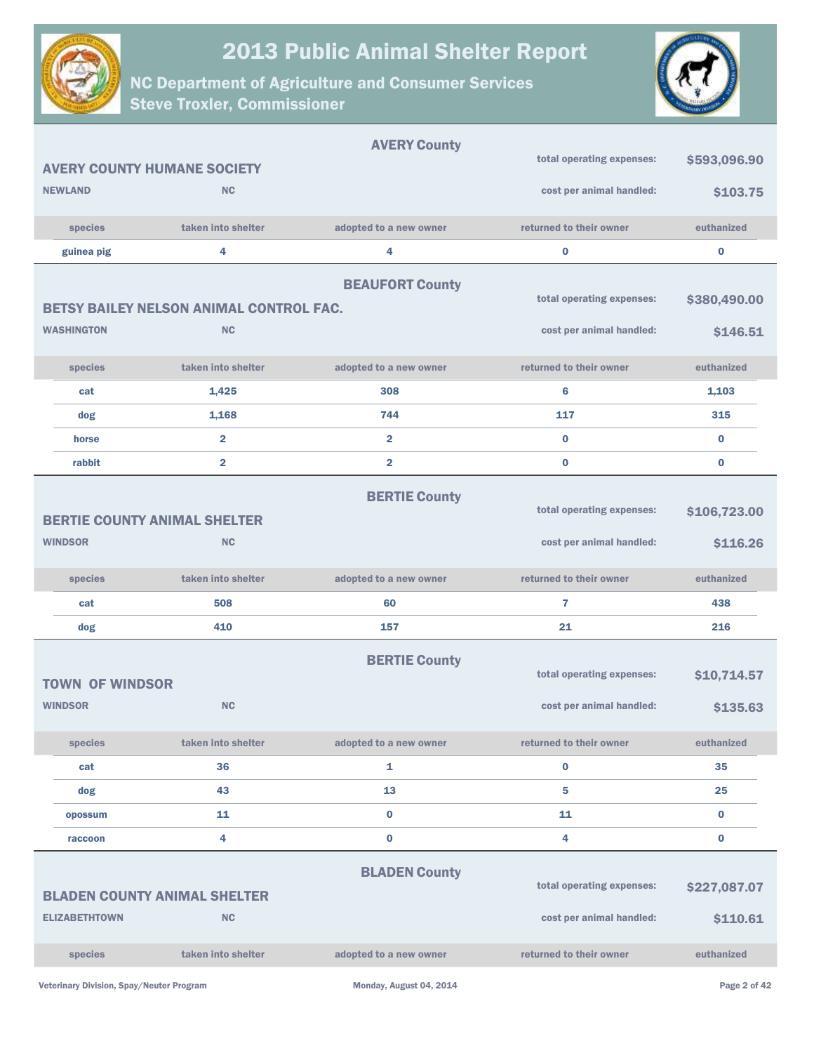



|                                          |                                                             | <b>AVERY County</b>     | total operating expenses:                             | \$593,096.90             |
|------------------------------------------|-------------------------------------------------------------|-------------------------|-------------------------------------------------------|--------------------------|
|                                          | <b>AVERY COUNTY HUMANE SOCIETY</b>                          |                         |                                                       |                          |
| <b>NEWLAND</b>                           | <b>NC</b>                                                   |                         | cost per animal handled:                              | \$103.75                 |
| species                                  | taken into shelter                                          | adopted to a new owner  | returned to their owner                               | euthanized               |
| guinea pig                               | 4                                                           | 4                       | $\bf{0}$                                              | $\bf{0}$                 |
| <b>WASHINGTON</b>                        | <b>BETSY BAILEY NELSON ANIMAL CONTROL FAC.</b><br><b>NC</b> | <b>BEAUFORT County</b>  | total operating expenses:<br>cost per animal handled: | \$380,490.00<br>\$146.51 |
|                                          |                                                             |                         |                                                       |                          |
| species                                  | taken into shelter                                          | adopted to a new owner  | returned to their owner                               | euthanized               |
| cat                                      | 1,425                                                       | 308                     | 6                                                     | 1,103                    |
| dog                                      | 1,168                                                       | 744                     | 117                                                   | 315                      |
| horse                                    | $\overline{2}$                                              | $\overline{2}$          | $\bf{0}$                                              | $\bf{0}$                 |
| rabbit                                   | $\overline{\mathbf{2}}$                                     | $\overline{\mathbf{2}}$ | $\bf{0}$                                              | $\bf{0}$                 |
| <b>WINDSOR</b>                           | <b>BERTIE COUNTY ANIMAL SHELTER</b><br><b>NC</b>            | <b>BERTIE County</b>    | total operating expenses:<br>cost per animal handled: | \$106,723.00<br>\$116.26 |
| species                                  | taken into shelter                                          | adopted to a new owner  | returned to their owner                               | euthanized               |
| cat                                      | 508                                                         | 60                      | 7                                                     | 438                      |
| dog                                      | 410                                                         | 157                     | 21                                                    | 216                      |
| <b>TOWN OF WINDSOR</b><br><b>WINDSOR</b> | <b>NC</b>                                                   | <b>BERTIE County</b>    | total operating expenses:<br>cost per animal handled: | \$10,714.57<br>\$135.63  |
| species                                  | taken into shelter                                          | adopted to a new owner  | returned to their owner                               | euthanized               |
| cat                                      | 36                                                          | 1                       | $\bf{0}$                                              | 35                       |
| dog                                      | 43                                                          | 13                      | 5                                                     | 25                       |
| opossum                                  | 11                                                          | $\bf{0}$                | 11                                                    | $\bf{0}$                 |
| raccoon                                  | 4                                                           | $\bf{0}$                | 4                                                     | $\bf{0}$                 |
| <b>ELIZABETHTOWN</b>                     | <b>BLADEN COUNTY ANIMAL SHELTER</b><br><b>NC</b>            | <b>BLADEN County</b>    | total operating expenses:<br>cost per animal handled: | \$227,087.07<br>\$110.61 |
| species                                  | taken into shelter                                          | adopted to a new owner  | returned to their owner                               | euthanized               |
|                                          |                                                             |                         |                                                       |                          |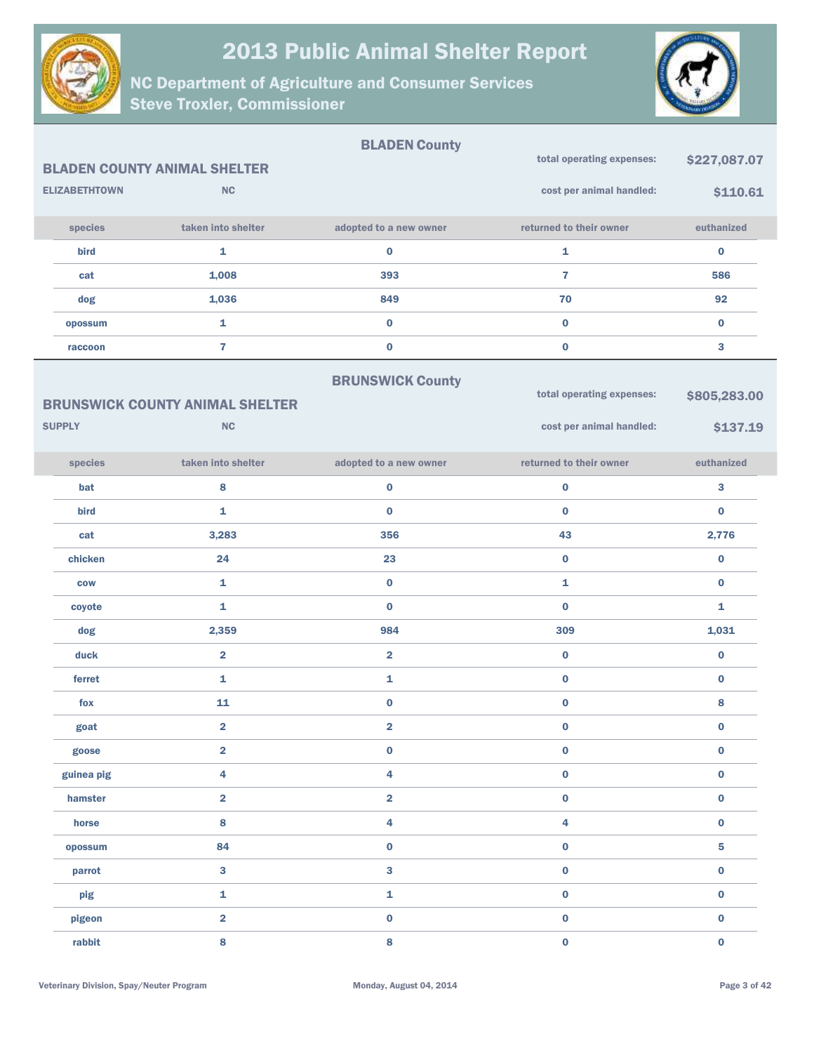



|               |                      |                                                     | <b>BLADEN County</b>    |                                                       |                          |
|---------------|----------------------|-----------------------------------------------------|-------------------------|-------------------------------------------------------|--------------------------|
|               |                      | <b>BLADEN COUNTY ANIMAL SHELTER</b>                 |                         | total operating expenses:                             | \$227,087.07             |
|               | <b>ELIZABETHTOWN</b> | NC                                                  |                         | cost per animal handled:                              | \$110.61                 |
|               | species              | taken into shelter                                  | adopted to a new owner  | returned to their owner                               | euthanized               |
|               | bird                 | $\mathbf 1$                                         | $\bf{0}$                | 1                                                     | $\bf{0}$                 |
|               | cat                  | 1,008                                               | 393                     | $\overline{7}$                                        | 586                      |
|               | dog                  | 1,036                                               | 849                     | 70                                                    | 92                       |
|               | opossum              | $\mathbf 1$                                         | $\bf{0}$                | $\bf{0}$                                              | $\bf{0}$                 |
|               | raccoon              | $\overline{7}$                                      | $\pmb{0}$               | $\bf{0}$                                              | 3                        |
| <b>SUPPLY</b> |                      | <b>BRUNSWICK COUNTY ANIMAL SHELTER</b><br><b>NC</b> | <b>BRUNSWICK County</b> | total operating expenses:<br>cost per animal handled: | \$805,283.00<br>\$137.19 |
|               |                      |                                                     |                         |                                                       |                          |
|               | species              | taken into shelter                                  | adopted to a new owner  | returned to their owner                               | euthanized               |
|               | bat                  | 8                                                   | $\pmb{0}$               | $\pmb{0}$                                             | 3                        |
|               | bird                 | $\mathbf 1$                                         | $\bf{0}$                | $\bf{0}$                                              | $\bf{0}$                 |
|               | cat                  | 3,283                                               | 356                     | 43                                                    | 2,776                    |
|               | chicken              | 24                                                  | 23                      | $\pmb{0}$                                             | $\pmb{0}$                |
|               | <b>COW</b>           | $\mathbf{1}$                                        | $\bf{0}$                | 1                                                     | $\bf{0}$                 |
|               | coyote               | $\mathbf 1$                                         | $\bf{0}$                | $\bf{0}$                                              | 1                        |
|               | dog                  | 2,359                                               | 984                     | 309                                                   | 1,031                    |
|               | duck                 | $\overline{\mathbf{2}}$                             | $\overline{\mathbf{2}}$ | $\pmb{0}$                                             | $\pmb{0}$                |
|               | ferret               | $\mathbf{1}$                                        | 1                       | $\pmb{0}$                                             | $\pmb{0}$                |
|               | fox                  | 11                                                  | $\bf{0}$                | $\pmb{0}$                                             | 8                        |
|               | goat                 | $\overline{\mathbf{2}}$                             | $\overline{\mathbf{2}}$ | $\bf{0}$                                              | $\bf{0}$                 |
|               | goose                | $\overline{\mathbf{2}}$                             | $\bf{0}$                | $\pmb{0}$                                             | $\pmb{0}$                |
|               | guinea pig           | 4                                                   | 4                       | $\pmb{0}$                                             | $\pmb{0}$                |
|               | hamster              | $\overline{\mathbf{2}}$                             | $\overline{\mathbf{2}}$ | $\pmb{0}$                                             | $\pmb{0}$                |
|               | horse                | $\bf{8}$                                            | 4                       | 4                                                     | $\pmb{0}$                |
|               | opossum              | 84                                                  | $\pmb{0}$               | $\pmb{0}$                                             | ${\bf 5}$                |
|               | parrot               | $\mathbf{3}$                                        | 3                       | $\pmb{0}$                                             | $\pmb{0}$                |
|               | pig                  | $\mathbf 1$                                         | 1                       | $\pmb{0}$                                             | $\pmb{0}$                |
|               | pigeon               | $\overline{\mathbf{2}}$                             | $\pmb{0}$               | $\pmb{0}$                                             | $\pmb{0}$                |
|               | rabbit               | $\bf{8}$                                            | 8                       | $\mathbf 0$                                           | $\pmb{0}$                |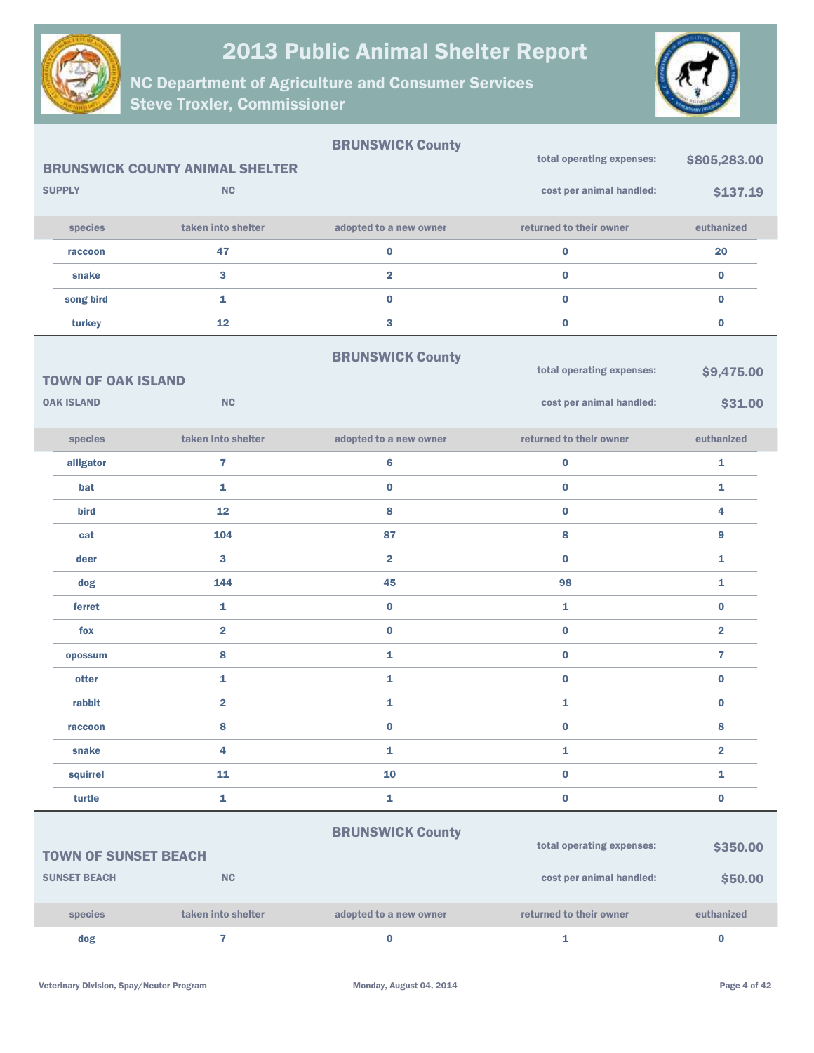



|                             |                                        | <b>BRUNSWICK County</b> | total operating expenses: | \$805,283.00            |
|-----------------------------|----------------------------------------|-------------------------|---------------------------|-------------------------|
|                             | <b>BRUNSWICK COUNTY ANIMAL SHELTER</b> |                         |                           |                         |
| <b>SUPPLY</b>               | <b>NC</b>                              |                         | cost per animal handled:  | \$137.19                |
| species                     | taken into shelter                     | adopted to a new owner  | returned to their owner   | euthanized              |
| raccoon                     | 47                                     | $\bf{0}$                | $\bf{0}$                  | 20                      |
| snake                       | $\mathbf{3}$                           | $\overline{\mathbf{2}}$ | $\bf{0}$                  | $\bf{0}$                |
| song bird                   | $\mathbf{1}$                           | $\bf{0}$                | $\bf{0}$                  | $\bf{0}$                |
| turkey                      | 12                                     | 3                       | $\bf{0}$                  | $\bf{0}$                |
|                             |                                        | <b>BRUNSWICK County</b> |                           |                         |
| <b>TOWN OF OAK ISLAND</b>   |                                        |                         | total operating expenses: | \$9,475.00              |
| <b>OAK ISLAND</b>           | <b>NC</b>                              |                         | cost per animal handled:  | \$31.00                 |
| species                     | taken into shelter                     | adopted to a new owner  | returned to their owner   | euthanized              |
| alligator                   | $\overline{7}$                         | 6                       | $\bf{0}$                  | 1                       |
| bat                         | $\mathbf{1}$                           | $\bf{0}$                | $\bf{0}$                  | 1                       |
| bird                        | 12                                     | 8                       | $\bf{0}$                  | 4                       |
| cat                         | 104                                    | 87                      | 8                         | 9                       |
| deer                        | 3                                      | $\overline{\mathbf{2}}$ | $\bf{0}$                  | 1                       |
| dog                         | 144                                    | 45                      | 98                        | 1                       |
| ferret                      | $\mathbf{1}$                           | $\bf{0}$                | 1                         | $\bf{0}$                |
| fox                         | $\overline{\mathbf{2}}$                | $\bf{0}$                | $\bf{0}$                  | $\overline{\mathbf{2}}$ |
| opossum                     | 8                                      | 1                       | $\bf{0}$                  | $\overline{1}$          |
| otter                       | $\mathbf{1}$                           | 1                       | $\bf{0}$                  | $\bf{0}$                |
| rabbit                      | $\overline{\mathbf{2}}$                | 1                       | 1                         | $\bf{0}$                |
| raccoon                     | 8                                      | $\bf{0}$                | $\bf{0}$                  | 8                       |
| snake                       | 4                                      | 1                       | $\mathbf{1}$              | $\overline{\mathbf{2}}$ |
| squirrel                    | 11                                     | 10                      | $\pmb{0}$                 | 1                       |
| turtle                      | $\mathbf{1}$                           | 1                       | $\pmb{0}$                 | $\pmb{0}$               |
|                             |                                        | <b>BRUNSWICK County</b> |                           |                         |
| <b>TOWN OF SUNSET BEACH</b> |                                        |                         | total operating expenses: | \$350.00                |
| <b>SUNSET BEACH</b>         | <b>NC</b>                              |                         | cost per animal handled:  | \$50.00                 |
|                             |                                        |                         |                           |                         |
| species                     | taken into shelter                     | adopted to a new owner  | returned to their owner   | euthanized              |
| dog                         | 7                                      | $\bf{0}$                | $\mathbf{1}$              | $\pmb{0}$               |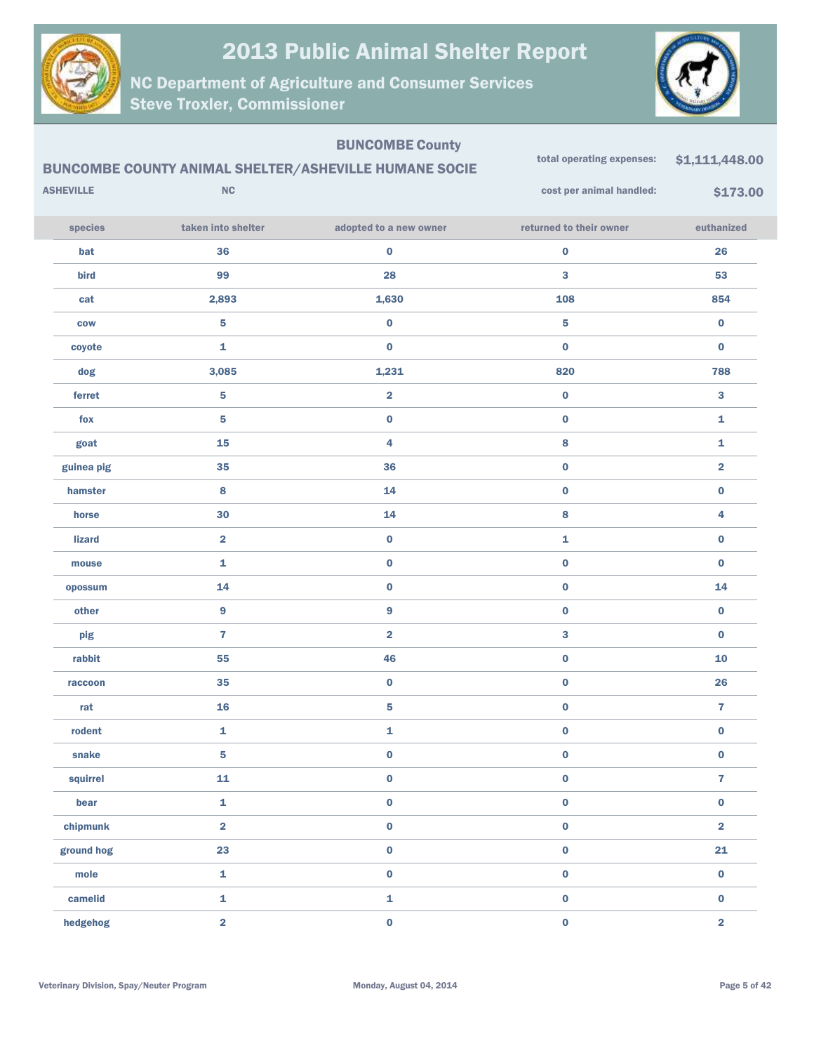



|                  |                         | <b>BUNCOMBE County</b><br><b>BUNCOMBE COUNTY ANIMAL SHELTER/ASHEVILLE HUMANE SOCIE</b> | total operating expenses: | \$1,111,448.00          |
|------------------|-------------------------|----------------------------------------------------------------------------------------|---------------------------|-------------------------|
| <b>ASHEVILLE</b> | $\sf NC$                |                                                                                        | cost per animal handled:  | \$173.00                |
| species          | taken into shelter      | adopted to a new owner                                                                 | returned to their owner   | euthanized              |
| bat              | 36                      | $\pmb{0}$                                                                              | $\pmb{0}$                 | 26                      |
| bird             | 99                      | 28                                                                                     | 3                         | 53                      |
| cat              | 2,893                   | 1,630                                                                                  | 108                       | 854                     |
| <b>COW</b>       | 5                       | $\pmb{0}$                                                                              | 5                         | $\bf{0}$                |
| coyote           | 1                       | $\bf{0}$                                                                               | $\bf{0}$                  | $\bf{0}$                |
| dog              | 3,085                   | 1,231                                                                                  | 820                       | 788                     |
| ferret           | 5                       | $\overline{\mathbf{2}}$                                                                | $\bf{0}$                  | 3                       |
| fox              | 5                       | $\pmb{0}$                                                                              | $\pmb{0}$                 | 1                       |
| goat             | 15                      | 4                                                                                      | 8                         | 1                       |
| guinea pig       | 35                      | 36                                                                                     | $\bf{0}$                  | $\overline{\mathbf{2}}$ |
| hamster          | 8                       | 14                                                                                     | $\bf{0}$                  | 0                       |
| horse            | 30                      | 14                                                                                     | 8                         | 4                       |
| lizard           | $\overline{\mathbf{2}}$ | $\pmb{0}$                                                                              | 1                         | 0                       |
| mouse            | 1                       | $\pmb{0}$                                                                              | $\bf{0}$                  | 0                       |
| opossum          | 14                      | $\pmb{0}$                                                                              | $\pmb{0}$                 | 14                      |
| other            | 9                       | $\boldsymbol{9}$                                                                       | $\bf{0}$                  | 0                       |
| pig              | $\overline{7}$          | $\overline{\mathbf{2}}$                                                                | 3                         | 0                       |
| rabbit           | 55                      | 46                                                                                     | $\pmb{0}$                 | 10                      |
| raccoon          | 35                      | $\pmb{0}$                                                                              | $\bf{0}$                  | 26                      |
| rat              | 16                      | 5                                                                                      | $\pmb{0}$                 | 7                       |
| rodent           | 1                       | 1                                                                                      | $\bf{0}$                  | $\bf{0}$                |
| snake            | 5                       | $\pmb{0}$                                                                              | $\pmb{0}$                 | $\pmb{0}$               |
| squirrel         | 11                      | $\pmb{0}$                                                                              | $\pmb{0}$                 | $\mathbf{7}$            |
| bear             | $\mathbf 1$             | $\mathbf 0$                                                                            | $\pmb{0}$                 | $\mathbf 0$             |
| chipmunk         | $\overline{\mathbf{2}}$ | $\pmb{0}$                                                                              | $\pmb{0}$                 | $\overline{\mathbf{2}}$ |
| ground hog       | 23                      | $\pmb{0}$                                                                              | $\pmb{0}$                 | 21                      |
| mole             | 1                       | $\mathbf 0$                                                                            | $\pmb{0}$                 | $\mathbf 0$             |
| camelid          | 1                       | $\mathbf{1}$                                                                           | $\pmb{0}$                 | $\mathbf 0$             |
| hedgehog         | $\overline{\mathbf{2}}$ | $\mathbf 0$                                                                            | $\pmb{0}$                 | $\overline{\mathbf{2}}$ |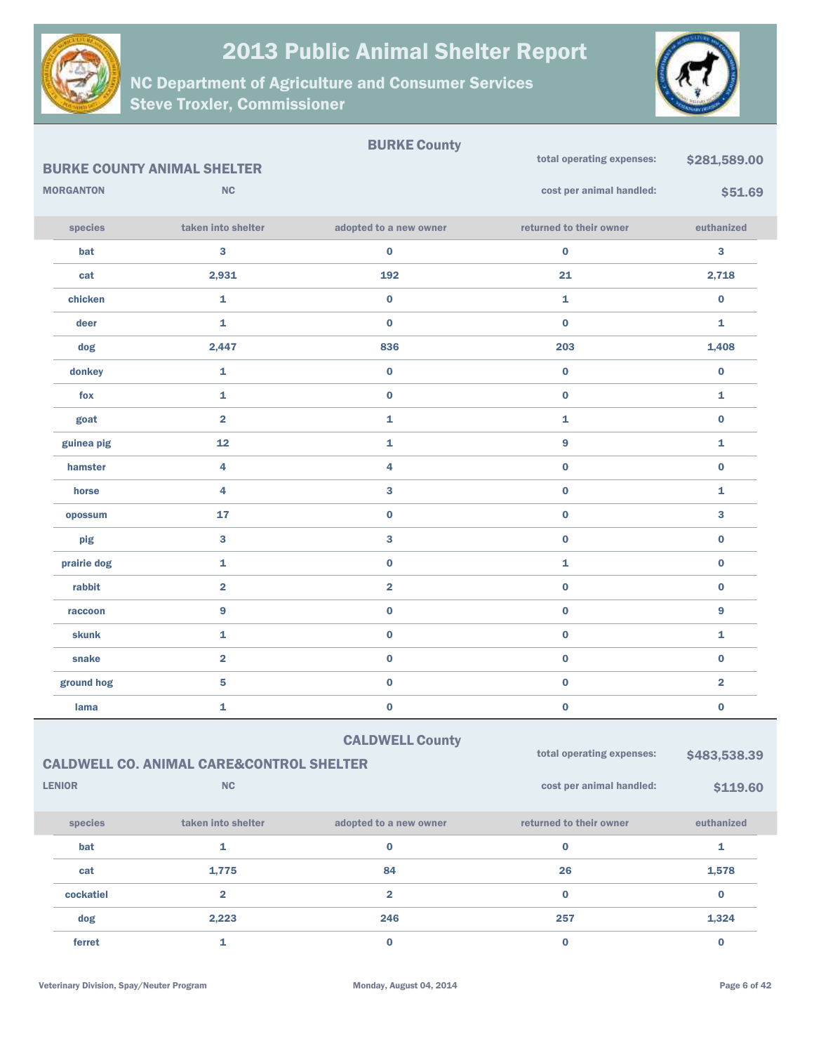



|                  |                                                     | <b>BURKE County</b>     |                           |                         |
|------------------|-----------------------------------------------------|-------------------------|---------------------------|-------------------------|
|                  | <b>BURKE COUNTY ANIMAL SHELTER</b>                  |                         | total operating expenses: | \$281,589.00            |
| <b>MORGANTON</b> | <b>NC</b>                                           |                         | cost per animal handled:  | \$51.69                 |
| species          | taken into shelter                                  | adopted to a new owner  | returned to their owner   | euthanized              |
| bat              | 3                                                   | $\bf{0}$                | $\bf{0}$                  | 3                       |
| cat              | 2,931                                               | 192                     | 21                        | 2,718                   |
| chicken          | 1                                                   | $\bf{0}$                | $\mathbf{1}$              | $\bf{0}$                |
| deer             | 1                                                   | $\bf{0}$                | $\bf{0}$                  | 1                       |
| dog              | 2,447                                               | 836                     | 203                       | 1,408                   |
| donkey           | 1                                                   | $\bf{0}$                | $\bf{0}$                  | $\bf{0}$                |
| fox              | $\mathbf{1}$                                        | $\bf{0}$                | $\bf{0}$                  | 1                       |
| goat             | $\overline{\mathbf{2}}$                             | 1                       | $\mathbf{1}$              | $\bf{0}$                |
| guinea pig       | 12                                                  | 1                       | $\overline{9}$            | 1                       |
| hamster          | 4                                                   | 4                       | $\mathbf 0$               | $\bf{0}$                |
| horse            | 4                                                   | 3                       | $\bf{0}$                  | 1                       |
| opossum          | 17                                                  | $\bf{0}$                | $\bf{0}$                  | 3                       |
| pig              | 3                                                   | 3                       | $\bf{0}$                  | $\bf{0}$                |
| prairie dog      | 1                                                   | $\bf{0}$                | $\mathbf{1}$              | $\bf{0}$                |
| rabbit           | $\overline{\mathbf{2}}$                             | $\overline{\mathbf{2}}$ | $\bf{0}$                  | $\bf{0}$                |
| raccoon          | 9                                                   | $\bf{0}$                | $\mathbf 0$               | 9                       |
| <b>skunk</b>     | $\mathbf{1}$                                        | $\bf{0}$                | $\bf{0}$                  | 1                       |
| snake            | $\overline{\mathbf{2}}$                             | $\bf{0}$                | $\bf{0}$                  | $\bf{0}$                |
| ground hog       | 5                                                   | $\pmb{0}$               | $\mathbf 0$               | $\overline{\mathbf{2}}$ |
| lama             | 1                                                   | $\pmb{0}$               | $\mathbf 0$               | $\bf{0}$                |
|                  |                                                     | <b>CALDWELL County</b>  |                           |                         |
|                  | <b>CALDWELL CO. ANIMAL CARE&amp;CONTROL SHELTER</b> |                         | total operating expenses: | \$483,538.39            |
| <b>LENIOR</b>    | NC                                                  |                         | cost per animal handled:  | \$119.60                |
|                  |                                                     |                         |                           |                         |
| species          | taken into shelter                                  | adopted to a new owner  | returned to their owner   | euthanized              |
| bat              | 1                                                   | $\pmb{0}$               | $\mathbf 0$               | 1                       |
| cat              | 1,775                                               | 84                      | 26                        | 1,578                   |
| cockatiel        | $\overline{\mathbf{2}}$                             | $\overline{\mathbf{2}}$ | $\mathbf 0$               | $\bf{0}$                |
| dog              | 2,223                                               | 246                     | 257                       | 1,324                   |
| ferret           | $\mathbf{1}$                                        | $\mathbf 0$             | $\mathbf 0$               | $\mathbf 0$             |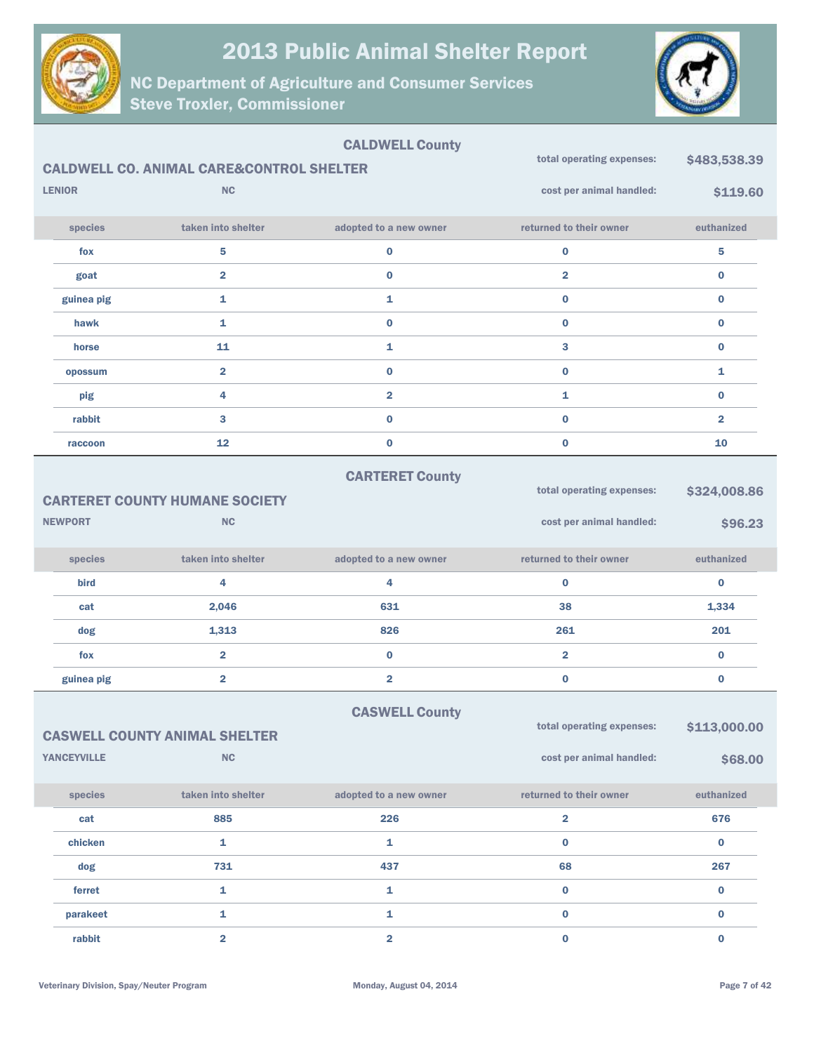



|                    |                                                     | <b>CALDWELL County</b>  |                           |                         |
|--------------------|-----------------------------------------------------|-------------------------|---------------------------|-------------------------|
|                    | <b>CALDWELL CO. ANIMAL CARE&amp;CONTROL SHELTER</b> |                         | total operating expenses: | \$483,538.39            |
| <b>LENIOR</b>      | <b>NC</b>                                           |                         | cost per animal handled:  | \$119.60                |
| species            | taken into shelter                                  | adopted to a new owner  | returned to their owner   | euthanized              |
| fox                | 5                                                   | 0                       | $\bf{0}$                  | 5                       |
| goat               | $\overline{\mathbf{2}}$                             | $\bf{0}$                | $\overline{\mathbf{2}}$   | 0                       |
| guinea pig         | 1                                                   | 1                       | $\bf{0}$                  | 0                       |
| hawk               | 1                                                   | $\bf{0}$                | $\bf{0}$                  | 0                       |
| horse              | 11                                                  | 1                       | 3                         | $\mathbf 0$             |
| opossum            | $\overline{\mathbf{2}}$                             | $\bf{0}$                | $\bf{0}$                  | 1                       |
| pig                | 4                                                   | $\overline{\mathbf{2}}$ | 1                         | 0                       |
| rabbit             | 3                                                   | $\bf{0}$                | $\bf{0}$                  | $\overline{\mathbf{2}}$ |
| raccoon            | 12                                                  | $\bf{0}$                | $\bf{0}$                  | 10                      |
|                    |                                                     | <b>CARTERET County</b>  |                           |                         |
|                    | <b>CARTERET COUNTY HUMANE SOCIETY</b>               |                         | total operating expenses: | \$324,008.86            |
| <b>NEWPORT</b>     | <b>NC</b>                                           |                         | cost per animal handled:  | \$96.23                 |
|                    |                                                     |                         |                           |                         |
| species            | taken into shelter                                  | adopted to a new owner  | returned to their owner   | euthanized              |
| bird               | 4                                                   | 4                       | $\bf{0}$                  | $\bf{0}$                |
| cat                | 2,046                                               | 631                     | 38                        | 1,334                   |
| dog                | 1,313                                               | 826                     | 261                       | 201                     |
| fox                | $\overline{\mathbf{2}}$                             | $\bf{0}$                | $\overline{\mathbf{2}}$   | $\bf{0}$                |
| guinea pig         | $\overline{\mathbf{2}}$                             | $\overline{\mathbf{2}}$ | $\bf{0}$                  | $\pmb{0}$               |
|                    |                                                     | <b>CASWELL County</b>   |                           |                         |
|                    | <b>CASWELL COUNTY ANIMAL SHELTER</b>                |                         | total operating expenses: | \$113,000.00            |
| <b>YANCEYVILLE</b> | NC                                                  |                         | cost per animal handled:  | \$68.00                 |
| species            | taken into shelter                                  | adopted to a new owner  | returned to their owner   | euthanized              |
| cat                | 885                                                 | 226                     | $\overline{\mathbf{2}}$   | 676                     |
| chicken            | $\mathbf{1}$                                        | 1                       | $\bf{0}$                  | $\mathbf 0$             |
| dog                | 731                                                 | 437                     | 68                        | 267                     |
| ferret             | $\mathbf{1}$                                        | 1                       | $\bf{0}$                  | $\mathbf 0$             |
| parakeet           |                                                     |                         |                           |                         |
|                    | $\mathbf{1}$                                        | 1                       | $\bf{0}$                  | $\bf{0}$                |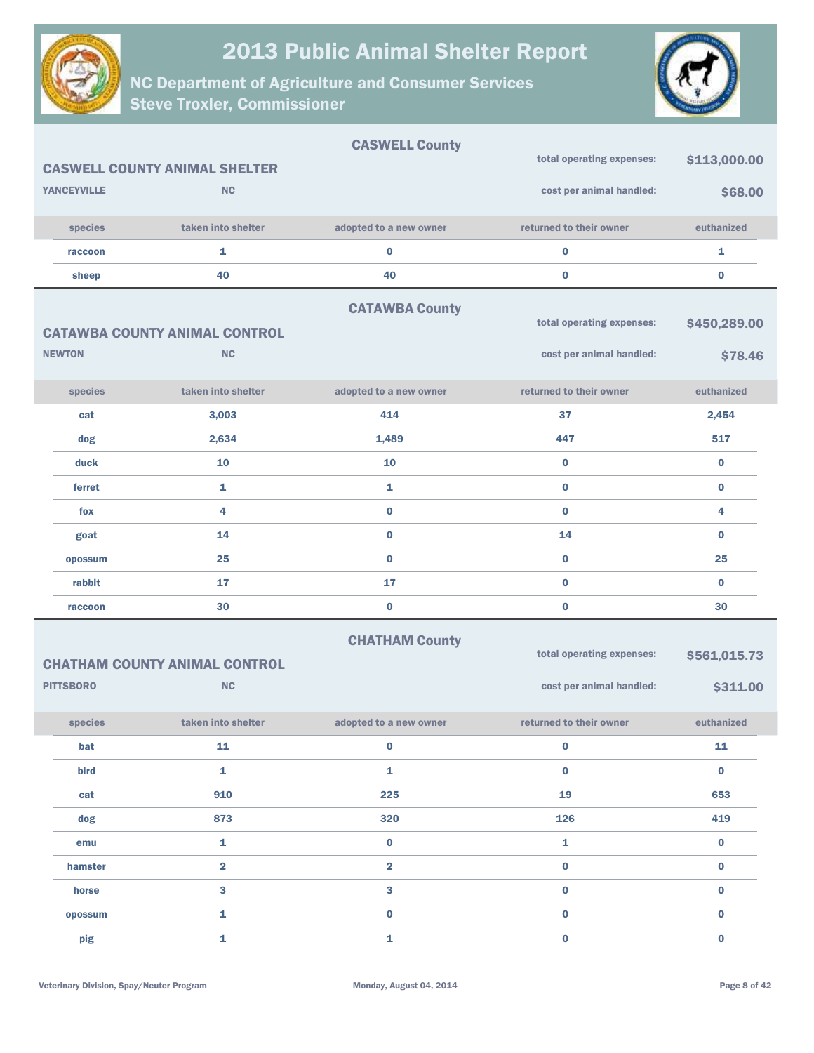



|                    |                                      | <b>CASWELL County</b>   |                           |              |
|--------------------|--------------------------------------|-------------------------|---------------------------|--------------|
|                    | <b>CASWELL COUNTY ANIMAL SHELTER</b> |                         | total operating expenses: | \$113,000.00 |
| <b>YANCEYVILLE</b> | <b>NC</b>                            |                         | cost per animal handled:  | \$68.00      |
| species            | taken into shelter                   | adopted to a new owner  | returned to their owner   | euthanized   |
| raccoon            | $\mathbf{1}$                         | 0                       | $\mathbf 0$               | 1            |
| sheep              | 40                                   | 40                      | $\bf{0}$                  | $\bf{0}$     |
|                    |                                      | <b>CATAWBA County</b>   |                           |              |
|                    | <b>CATAWBA COUNTY ANIMAL CONTROL</b> |                         | total operating expenses: | \$450,289.00 |
| <b>NEWTON</b>      | <b>NC</b>                            |                         | cost per animal handled:  | \$78.46      |
| species            | taken into shelter                   | adopted to a new owner  | returned to their owner   | euthanized   |
| cat                | 3,003                                | 414                     | 37                        | 2,454        |
| dog                | 2,634                                | 1,489                   | 447                       | 517          |
| duck               | 10                                   | 10                      | $\bf{0}$                  | $\bf{0}$     |
| ferret             | $\mathbf{1}$                         | 1                       | $\bf{0}$                  | $\bf{0}$     |
| fox                | 4                                    | $\bf{0}$                | $\bf{0}$                  | 4            |
| goat               | 14                                   | $\bf{0}$                | 14                        | $\bf{0}$     |
| opossum            | 25                                   | $\bf{0}$                | $\bf{0}$                  | 25           |
| rabbit             | 17                                   | 17                      | $\bf{0}$                  | $\bf{0}$     |
| raccoon            | 30                                   | $\bf{0}$                | $\bf{0}$                  | 30           |
|                    | <b>CHATHAM COUNTY ANIMAL CONTROL</b> | <b>CHATHAM County</b>   | total operating expenses: | \$561,015.73 |
| <b>PITTSBORO</b>   | <b>NC</b>                            |                         | cost per animal handled:  | \$311.00     |
| species            | taken into shelter                   | adopted to a new owner  | returned to their owner   | euthanized   |
| bat                | 11                                   | $\mathbf 0$             | $\mathbf 0$               | ${\bf 11}$   |
| bird               | $\mathbf{1}$                         | $\mathbf{1}$            | $\mathbf 0$               | $\mathbf 0$  |
| cat                | 910                                  | 225                     | 19                        | 653          |
| dog                | 873                                  | 320                     | 126                       | 419          |
| emu                | $\mathbf 1$                          | $\mathbf 0$             | $\mathbf 1$               | $\pmb{0}$    |
| hamster            | $\overline{\mathbf{2}}$              | $\overline{\mathbf{2}}$ | $\pmb{0}$                 | $\pmb{0}$    |
| horse              | $\overline{\mathbf{3}}$              | 3                       | $\pmb{0}$                 | $\pmb{0}$    |
| opossum            | $\mathbf 1$                          | $\mathbf 0$             | $\mathbf 0$               | $\pmb{0}$    |
| pig                | $\mathbf 1$                          | $\mathbf{1}$            | $\mathbf 0$               | $\mathbf 0$  |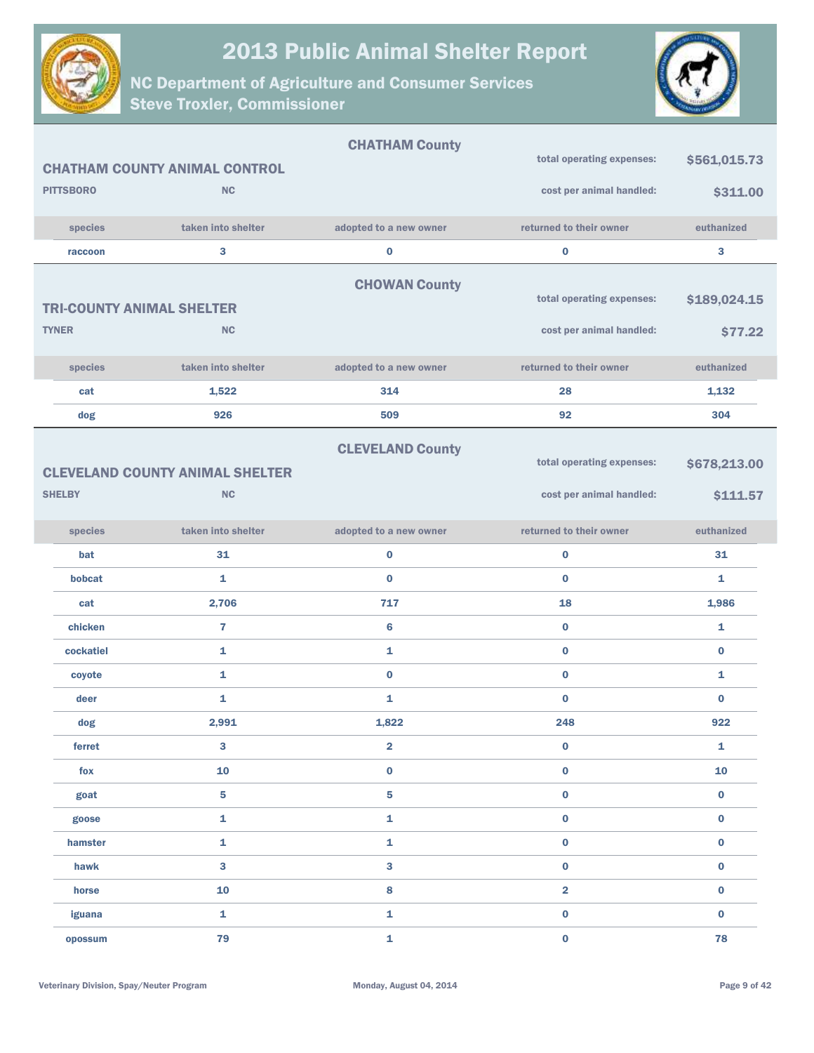



|                  |                                        | <b>CHATHAM County</b>   |                           |              |
|------------------|----------------------------------------|-------------------------|---------------------------|--------------|
|                  | <b>CHATHAM COUNTY ANIMAL CONTROL</b>   |                         | total operating expenses: | \$561,015.73 |
| <b>PITTSBORO</b> | NC                                     |                         | cost per animal handled:  | \$311.00     |
| species          | taken into shelter                     | adopted to a new owner  | returned to their owner   | euthanized   |
| raccoon          | 3                                      | $\bf{0}$                | $\mathbf 0$               | 3            |
|                  |                                        | <b>CHOWAN County</b>    |                           |              |
|                  | <b>TRI-COUNTY ANIMAL SHELTER</b>       |                         | total operating expenses: | \$189,024.15 |
| <b>TYNER</b>     | <b>NC</b>                              |                         | cost per animal handled:  | \$77.22      |
|                  |                                        |                         |                           |              |
| species          | taken into shelter                     | adopted to a new owner  | returned to their owner   | euthanized   |
| cat              | 1,522                                  | 314                     | 28                        | 1,132        |
| dog              | 926                                    | 509                     | 92                        | 304          |
|                  |                                        | <b>CLEVELAND County</b> |                           |              |
|                  | <b>CLEVELAND COUNTY ANIMAL SHELTER</b> |                         | total operating expenses: | \$678,213.00 |
| <b>SHELBY</b>    | <b>NC</b>                              |                         | cost per animal handled:  | \$111.57     |
| species          | taken into shelter                     | adopted to a new owner  | returned to their owner   | euthanized   |
| bat              | 31                                     | $\bf{0}$                | $\mathbf 0$               | 31           |
| bobcat           | $\mathbf{1}$                           | $\bf{0}$                | $\bf{0}$                  | $\mathbf{1}$ |
| cat              | 2,706                                  | 717                     | 18                        | 1,986        |
| chicken          | $\overline{7}$                         | $6\phantom{1}6$         | $\bf{0}$                  | $\mathbf{1}$ |
| cockatiel        | $\mathbf{1}$                           | $\mathbf{1}$            | $\bf{0}$                  | $\bf{0}$     |
| coyote           | $\mathbf{1}$                           | $\bf{0}$                | $\bf{0}$                  | 1            |
| deer             | 1                                      | 1                       | $\bf{0}$                  | $\bf{0}$     |
| dog              | 2,991                                  | 1,822                   | 248                       | 922          |
| ferret           | 3                                      | $\overline{\mathbf{2}}$ | $\mathbf 0$               | 1            |
| fox              | 10                                     | $\bf{0}$                | $\bf{0}$                  | 10           |
| goat             | 5                                      | 5                       | $\bf{0}$                  | $\bf{0}$     |
| goose            | $\mathbf{1}$                           | $\mathbf 1$             | $\bf{0}$                  | $\bf{0}$     |
| hamster          | 1                                      | $\mathbf{1}$            | $\bf{0}$                  | $\bf{0}$     |
| hawk             | 3                                      | $\mathbf{3}$            | $\bf{0}$                  | $\bf{0}$     |
| horse            | 10                                     | 8                       | $\overline{\mathbf{2}}$   | $\bf{0}$     |
| iguana           | $\mathbf{1}$                           | $\mathbf{1}$            | $\bf{0}$                  | $\bf{0}$     |
| opossum          | 79                                     | 1                       | $\mathbf 0$               | 78           |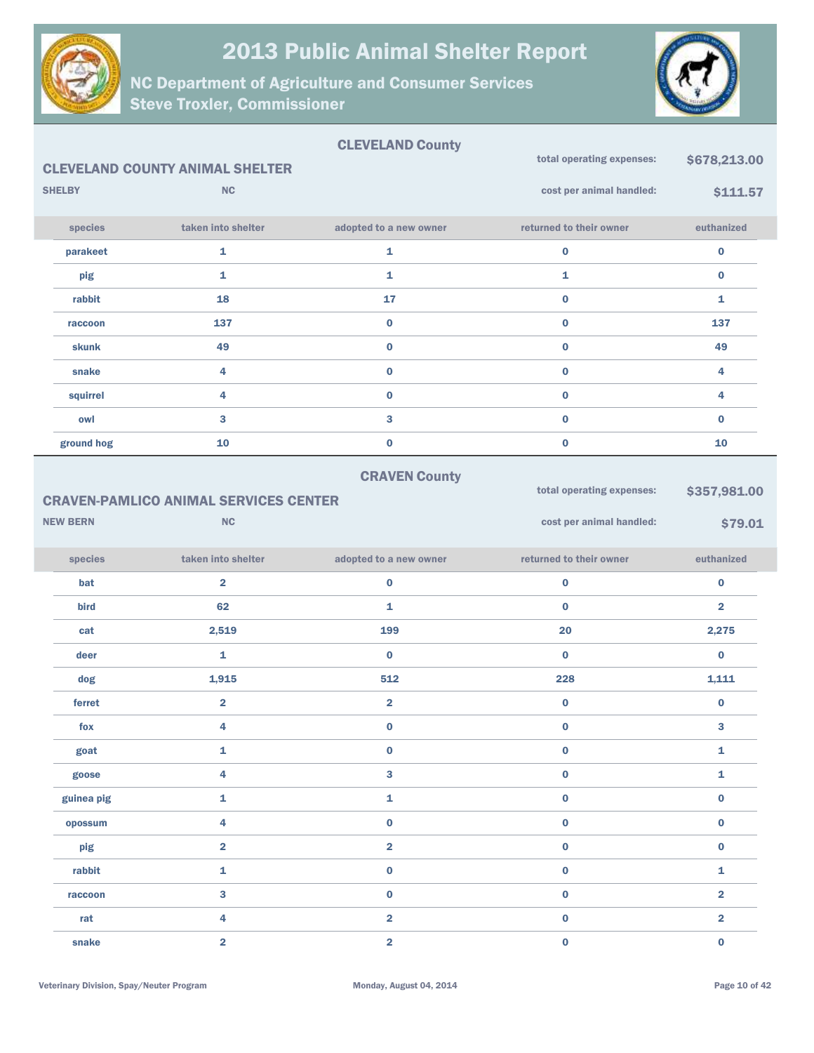



|                 |                                              | <b>CLEVELAND County</b> | total operating expenses: |                         |
|-----------------|----------------------------------------------|-------------------------|---------------------------|-------------------------|
|                 | <b>CLEVELAND COUNTY ANIMAL SHELTER</b>       |                         |                           | \$678,213.00            |
| <b>SHELBY</b>   | <b>NC</b>                                    |                         | cost per animal handled:  | \$111.57                |
| species         | taken into shelter                           | adopted to a new owner  | returned to their owner   | euthanized              |
| parakeet        | $\mathbf{1}$                                 | $\mathbf{1}$            | $\mathbf 0$               | $\bf{0}$                |
| pig             | $\mathbf{1}$                                 | $\mathbf{1}$            | 1                         | $\bf{0}$                |
| rabbit          | 18                                           | 17                      | $\mathbf 0$               | 1                       |
| raccoon         | 137                                          | $\pmb{0}$               | $\mathbf 0$               | 137                     |
| skunk           | 49                                           | $\mathbf 0$             | $\mathbf 0$               | 49                      |
| snake           | 4                                            | $\pmb{0}$               | $\mathbf 0$               | 4                       |
| squirrel        | 4                                            | $\mathbf 0$             | $\mathbf 0$               | 4                       |
| owl             | 3                                            | 3                       | $\mathbf 0$               | $\bf{0}$                |
| ground hog      | 10                                           | $\pmb{0}$               | $\mathbf 0$               | 10                      |
|                 |                                              | <b>CRAVEN County</b>    |                           |                         |
|                 | <b>CRAVEN-PAMLICO ANIMAL SERVICES CENTER</b> |                         | total operating expenses: | \$357,981.00            |
| <b>NEW BERN</b> | <b>NC</b>                                    |                         | cost per animal handled:  | \$79.01                 |
|                 |                                              |                         |                           |                         |
| species         | taken into shelter                           | adopted to a new owner  | returned to their owner   | euthanized              |
| bat             | $\overline{2}$                               | $\mathbf 0$             | $\bf{0}$                  | $\bf{0}$                |
| bird            | 62                                           | 1                       | $\mathbf{0}$              | $\overline{2}$          |
| cat             | 2,519                                        | 199                     | 20                        | 2,275                   |
| deer            | $\mathbf{1}$                                 | $\bf{0}$                | $\bf{0}$                  | $\bf{0}$                |
| dog             | 1,915                                        | 512                     | 228                       | 1,111                   |
| ferret          | $\overline{\mathbf{2}}$                      | $\overline{\mathbf{2}}$ | $\bf{0}$                  | $\bf{0}$                |
| fox             | 4                                            | $\bf{0}$                | $\bf{0}$                  | 3                       |
| goat            | 1                                            | $\mathbf 0$             | $\mathbf 0$               | 1                       |
| goose           | 4                                            | $\mathbf{3}$            | $\mathbf 0$               | 1                       |
| guinea pig      | $\mathbf{1}$                                 | $\mathbf 1$             | $\pmb{0}$                 | $\bf{0}$                |
| opossum         | 4                                            | $\mathbf 0$             | $\mathbf 0$               | $\bf{0}$                |
| pig             | $\overline{2}$                               | $\overline{\mathbf{2}}$ | $\pmb{0}$                 | $\mathbf 0$             |
| rabbit          | $\mathbf{1}$                                 | $\mathbf 0$             | $\mathbf 0$               | 1                       |
| raccoon         | $\mathbf{3}$                                 | $\pmb{0}$               | $\pmb{0}$                 | $\overline{2}$          |
| rat             | 4                                            | $\overline{\mathbf{2}}$ | $\mathbf 0$               | $\overline{\mathbf{2}}$ |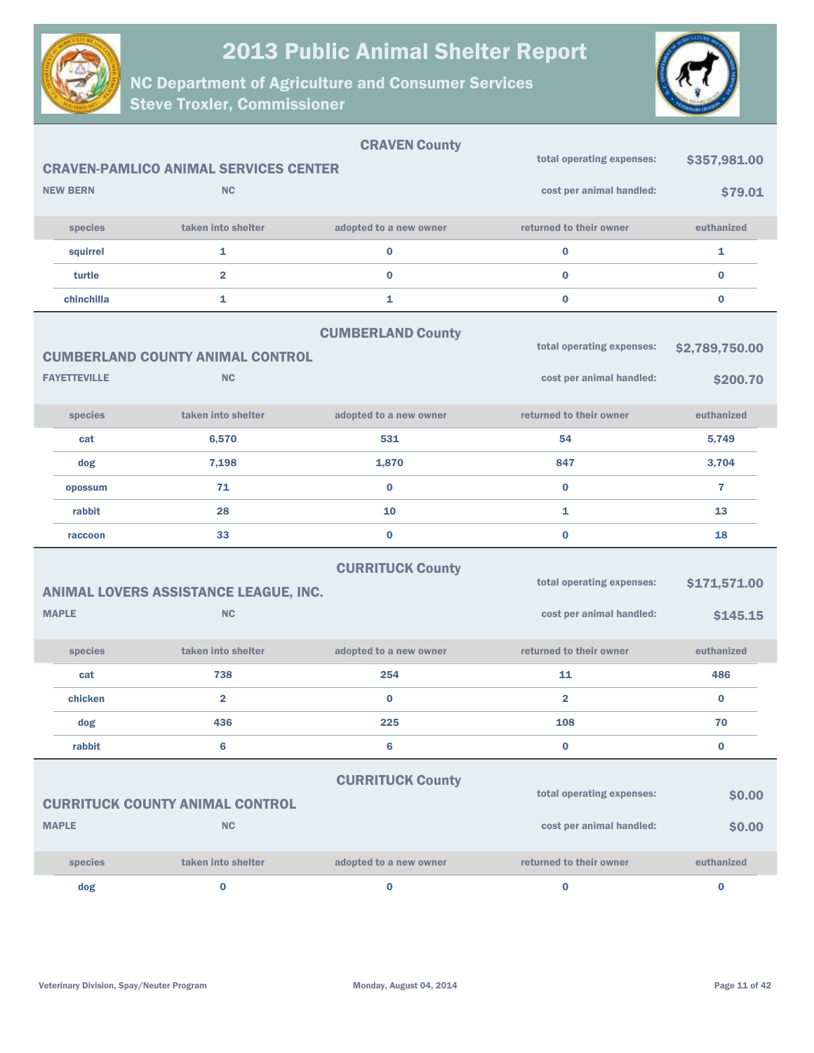



|              |                     |                                              | <b>CRAVEN County</b>     | total operating expenses: |                |
|--------------|---------------------|----------------------------------------------|--------------------------|---------------------------|----------------|
|              |                     | <b>CRAVEN-PAMLICO ANIMAL SERVICES CENTER</b> |                          |                           | \$357,981.00   |
|              | <b>NEW BERN</b>     | <b>NC</b>                                    |                          | cost per animal handled:  | \$79.01        |
|              | species             | taken into shelter                           | adopted to a new owner   | returned to their owner   | euthanized     |
|              | squirrel            | 1                                            | $\bf{0}$                 | $\bf{0}$                  | 1              |
|              | turtle              | $\overline{2}$                               | $\bf{0}$                 | $\bf{0}$                  | $\bf{0}$       |
|              | chinchilla          | 1                                            | 1                        | $\bf{0}$                  | $\bf{0}$       |
|              |                     |                                              | <b>CUMBERLAND County</b> |                           |                |
|              |                     | <b>CUMBERLAND COUNTY ANIMAL CONTROL</b>      |                          | total operating expenses: | \$2,789,750.00 |
|              | <b>FAYETTEVILLE</b> | <b>NC</b>                                    |                          | cost per animal handled:  | \$200.70       |
|              | species             | taken into shelter                           | adopted to a new owner   | returned to their owner   | euthanized     |
|              | cat                 | 6,570                                        | 531                      | 54                        | 5,749          |
|              | dog                 | 7,198                                        | 1,870                    | 847                       | 3,704          |
|              | opossum             | 71                                           | $\bf{0}$                 | $\bf{0}$                  | $\overline{7}$ |
|              |                     |                                              |                          |                           |                |
|              | rabbit              | 28                                           | 10                       | 1                         | 13             |
|              | raccoon             | 33                                           | $\bf{0}$                 | $\bf{0}$                  | 18             |
|              |                     |                                              | <b>CURRITUCK County</b>  |                           |                |
|              |                     | ANIMAL LOVERS ASSISTANCE LEAGUE, INC.        |                          | total operating expenses: | \$171,571.00   |
| <b>MAPLE</b> |                     | <b>NC</b>                                    |                          | cost per animal handled:  | \$145.15       |
|              | species             | taken into shelter                           | adopted to a new owner   | returned to their owner   | euthanized     |
|              | cat                 | 738                                          | 254                      | 11                        | 486            |
|              | chicken             | $\overline{\mathbf{2}}$                      | $\bf{0}$                 | $\overline{2}$            | $\bf{0}$       |
|              | dog                 | 436                                          | 225                      | 108                       | 70             |
|              | rabbit              | 6                                            | 6                        | $\bf{0}$                  | $\bf{0}$       |
|              |                     |                                              |                          |                           |                |
|              |                     |                                              | <b>CURRITUCK County</b>  | total operating expenses: | \$0.00         |
| <b>MAPLE</b> |                     | <b>CURRITUCK COUNTY ANIMAL CONTROL</b><br>NC |                          | cost per animal handled:  | \$0.00         |
|              | species             | taken into shelter                           | adopted to a new owner   | returned to their owner   | euthanized     |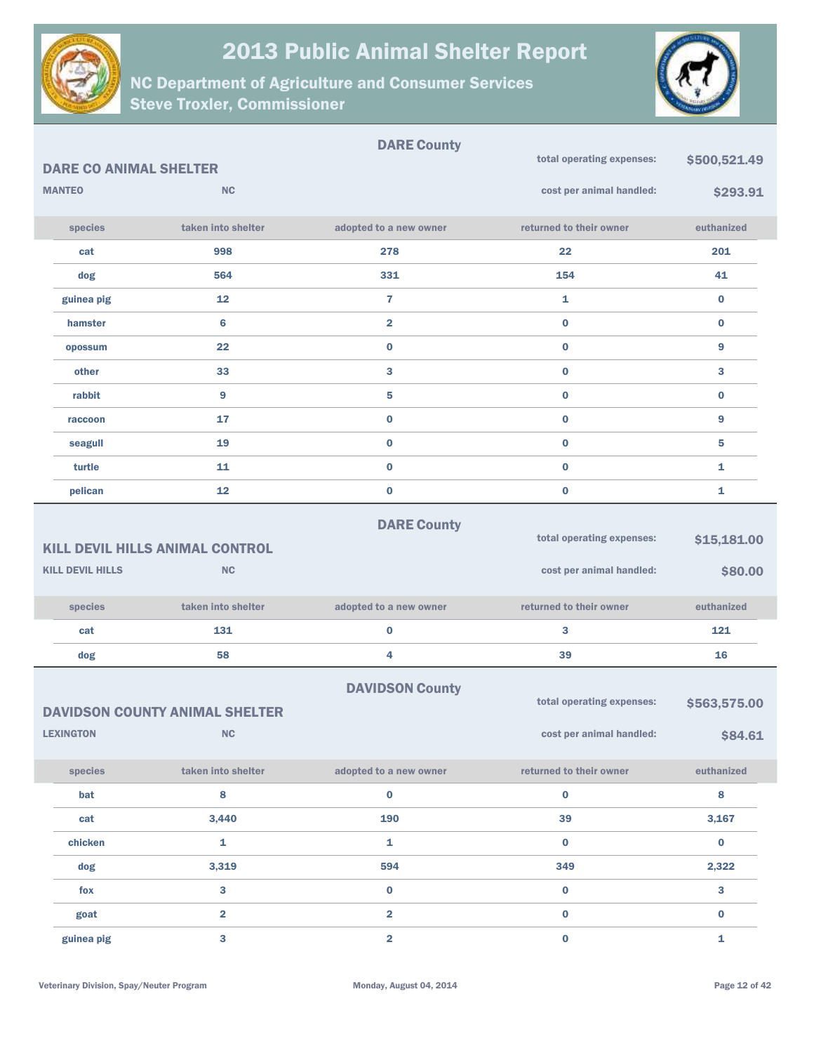



|                                                                                                          |                               |                                                    | <b>DARE County</b>      |                                                       |                         |
|----------------------------------------------------------------------------------------------------------|-------------------------------|----------------------------------------------------|-------------------------|-------------------------------------------------------|-------------------------|
|                                                                                                          | <b>DARE CO ANIMAL SHELTER</b> |                                                    |                         | total operating expenses:                             | \$500,521.49            |
|                                                                                                          | <b>MANTEO</b>                 | <b>NC</b>                                          |                         | cost per animal handled:                              | \$293.91                |
|                                                                                                          | species                       | taken into shelter                                 | adopted to a new owner  | returned to their owner                               | euthanized              |
|                                                                                                          | cat                           | 998                                                | 278                     | 22                                                    | 201                     |
|                                                                                                          | dog                           | 564                                                | 331                     | 154                                                   | 41                      |
|                                                                                                          | guinea pig                    | 12                                                 | $\overline{7}$          | 1                                                     | $\bf{0}$                |
|                                                                                                          | hamster                       | 6                                                  | $\overline{2}$          | $\bf{0}$                                              | $\bf{0}$                |
|                                                                                                          | opossum                       | 22                                                 | $\bf{0}$                | $\bf{0}$                                              | 9                       |
|                                                                                                          | other                         | 33                                                 | 3                       | $\bf{0}$                                              | 3                       |
|                                                                                                          | rabbit                        | 9                                                  | 5                       | $\bf{0}$                                              | $\bf{0}$                |
|                                                                                                          | raccoon                       | 17                                                 | $\bf{0}$                | $\bf{0}$                                              | 9                       |
|                                                                                                          | seagull                       | 19                                                 | $\pmb{0}$               | $\bf{0}$                                              | 5                       |
|                                                                                                          | turtle                        | 11                                                 | $\bf{0}$                | $\bf{0}$                                              | 1                       |
|                                                                                                          | pelican                       | 12                                                 | $\bf{0}$                | $\bf{0}$                                              | 1                       |
| <b>DARE County</b><br>total operating expenses:<br>\$15,181.00<br><b>KILL DEVIL HILLS ANIMAL CONTROL</b> |                               |                                                    |                         |                                                       |                         |
|                                                                                                          | <b>KILL DEVIL HILLS</b>       | <b>NC</b>                                          |                         | cost per animal handled:                              | \$80.00                 |
|                                                                                                          | species                       | taken into shelter                                 | adopted to a new owner  | returned to their owner                               | euthanized              |
|                                                                                                          | cat                           | 131                                                | 0                       | 3                                                     | 121                     |
|                                                                                                          | dog                           | 58                                                 | 4                       | 39                                                    | 16                      |
|                                                                                                          | <b>LEXINGTON</b>              | <b>DAVIDSON COUNTY ANIMAL SHELTER</b><br><b>NC</b> | <b>DAVIDSON County</b>  | total operating expenses:<br>cost per animal handled: | \$563,575.00<br>\$84.61 |
|                                                                                                          |                               |                                                    |                         |                                                       |                         |
|                                                                                                          | species                       | taken into shelter                                 | adopted to a new owner  | returned to their owner                               | euthanized              |
|                                                                                                          | bat                           | 8                                                  | $\bf{0}$                | $\pmb{0}$                                             | $\bf8$                  |
|                                                                                                          | cat                           | 3,440                                              | 190                     | 39                                                    | 3,167                   |
|                                                                                                          | chicken                       | $\mathbf 1$                                        | $\mathbf{1}$            | $\mathbf 0$                                           | $\mathbf 0$             |
|                                                                                                          | dog                           | 3,319                                              | 594                     | 349                                                   | 2,322                   |
|                                                                                                          | fox                           | 3                                                  | $\mathbf 0$             | $\mathbf 0$                                           | $\mathbf{3}$            |
|                                                                                                          | goat                          | $\overline{\mathbf{2}}$                            | $\overline{\mathbf{2}}$ | $\pmb{0}$                                             | $\mathbf 0$             |
|                                                                                                          | guinea pig                    | $\overline{\mathbf{3}}$                            | $\overline{\mathbf{2}}$ | $\mathbf 0$                                           | $\mathbf{1}$            |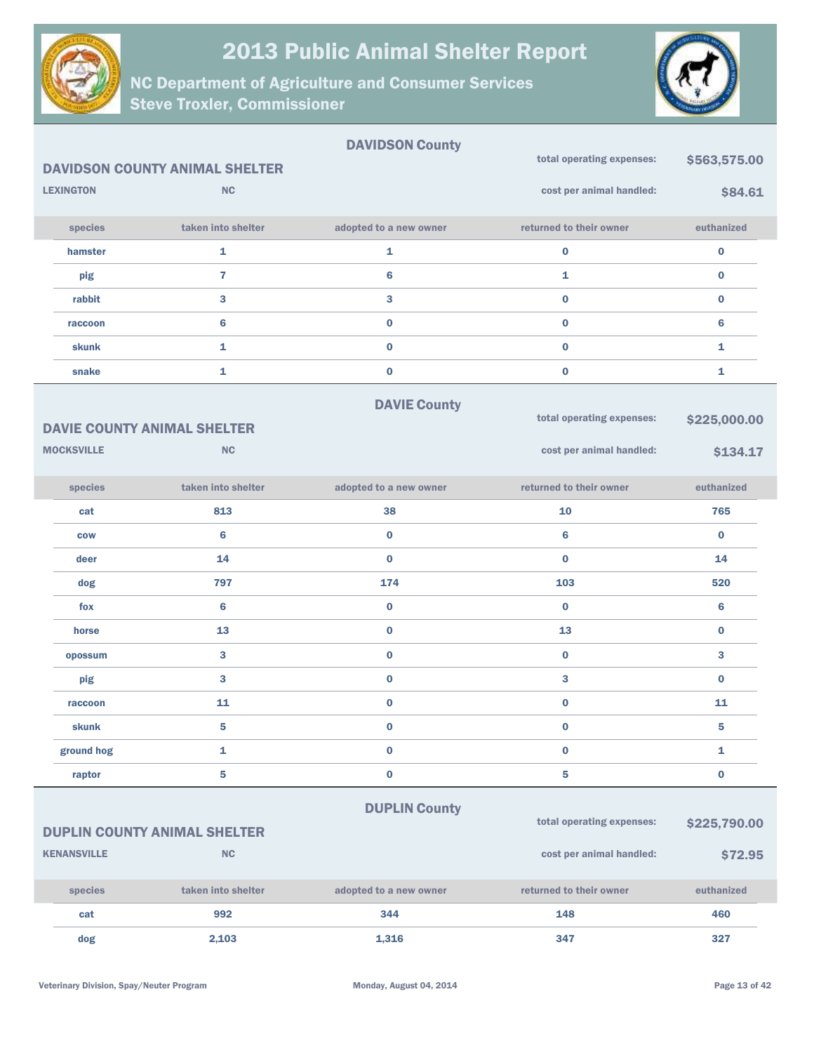



|                    |                                       | <b>DAVIDSON County</b> |                           |              |
|--------------------|---------------------------------------|------------------------|---------------------------|--------------|
|                    | <b>DAVIDSON COUNTY ANIMAL SHELTER</b> |                        | total operating expenses: | \$563,575.00 |
| <b>LEXINGTON</b>   | <b>NC</b>                             |                        | cost per animal handled:  | \$84.61      |
| species            | taken into shelter                    | adopted to a new owner | returned to their owner   | euthanized   |
| hamster            | $\mathbf{1}$                          | $\mathbf{1}$           | $\bf{0}$                  | $\bf{0}$     |
| pig                | $\overline{7}$                        | 6                      | 1                         | $\bf{0}$     |
| rabbit             | 3                                     | $\mathbf{3}$           | $\bf{0}$                  | $\bf{0}$     |
| raccoon            | $6\phantom{1}6$                       | $\bf{0}$               | $\bf{0}$                  | 6            |
| skunk              | $\mathbf{1}$                          | $\bf{0}$               | $\bf{0}$                  | 1            |
| snake              | 1                                     | $\bf{0}$               | $\mathbf 0$               | 1            |
|                    |                                       | <b>DAVIE County</b>    | total operating expenses: |              |
|                    | <b>DAVIE COUNTY ANIMAL SHELTER</b>    |                        |                           | \$225,000.00 |
| <b>MOCKSVILLE</b>  | <b>NC</b>                             |                        | cost per animal handled:  | \$134.17     |
| species            | taken into shelter                    | adopted to a new owner | returned to their owner   | euthanized   |
| cat                | 813                                   | 38                     | 10                        | 765          |
| <b>COW</b>         | $6\phantom{1}6$                       | $\bf{0}$               | 6                         | $\bf{0}$     |
| deer               | 14                                    | $\bf{0}$               | $\mathbf{0}$              | 14           |
| dog                | 797                                   | 174                    | 103                       | 520          |
| fox                | $6\phantom{1}6$                       | $\bf{0}$               | $\bf{0}$                  | 6            |
| horse              | 13                                    | $\bf{0}$               | 13                        | $\bf{0}$     |
| opossum            | 3                                     | $\bf{0}$               | $\bf{0}$                  | 3            |
| pig                | 3                                     | $\bf{0}$               | 3                         | $\bf{0}$     |
| raccoon            | 11                                    | $\bf{0}$               | $\mathbf 0$               | 11           |
| skunk              | 5                                     | $\bf{0}$               | $\bf{0}$                  | 5            |
| ground hog         | 1                                     | $\bf{0}$               | $\mathbf 0$               | 1            |
| raptor             | 5                                     | $\pmb{0}$              | 5                         | $\bf{0}$     |
|                    |                                       | <b>DUPLIN County</b>   |                           |              |
|                    | <b>DUPLIN COUNTY ANIMAL SHELTER</b>   |                        | total operating expenses: | \$225,790.00 |
| <b>KENANSVILLE</b> | NC                                    |                        | cost per animal handled:  | \$72.95      |
| species            | taken into shelter                    | adopted to a new owner | returned to their owner   | euthanized   |
| cat                | 992                                   | 344                    | 148                       | 460          |
| dog                | 2,103                                 | 1,316                  | 347                       | 327          |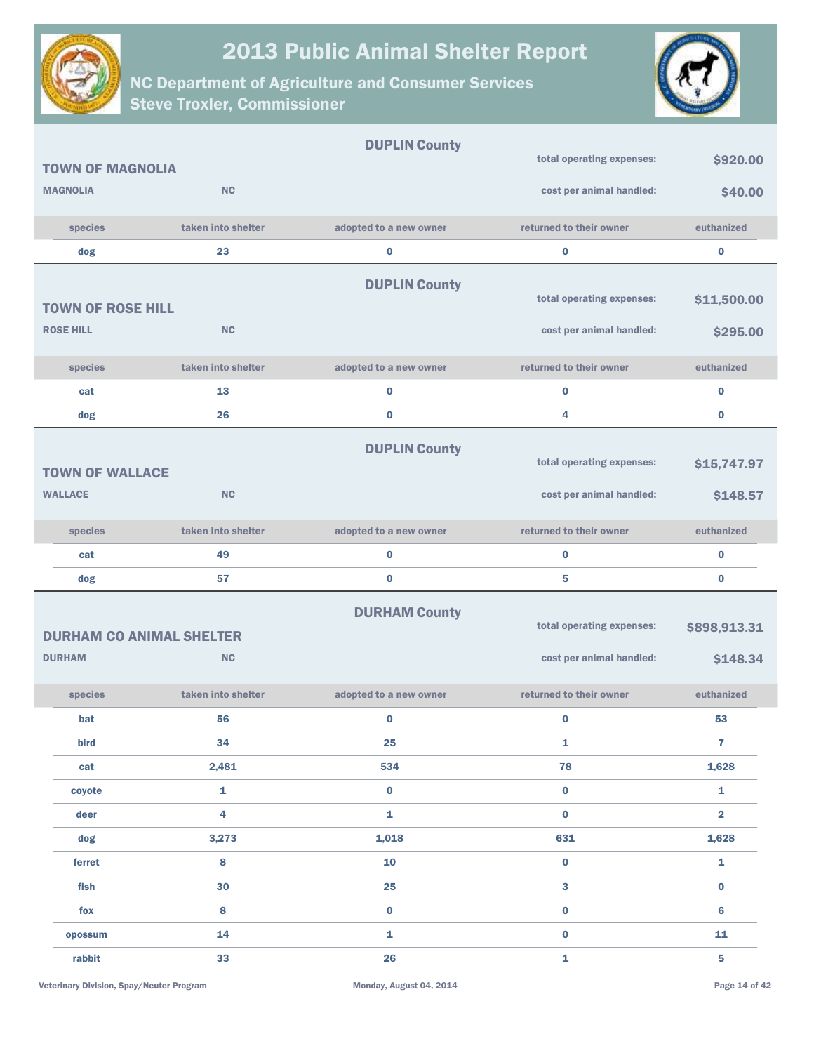



|                                                  |                    | <b>DUPLIN County</b>   |                                                       |                          |
|--------------------------------------------------|--------------------|------------------------|-------------------------------------------------------|--------------------------|
| <b>TOWN OF MAGNOLIA</b>                          |                    |                        | total operating expenses:                             | \$920.00                 |
| <b>MAGNOLIA</b>                                  | <b>NC</b>          |                        | cost per animal handled:                              | \$40.00                  |
| species                                          | taken into shelter | adopted to a new owner | returned to their owner                               | euthanized               |
| dog                                              | 23                 | $\bf{0}$               | $\bf{0}$                                              | $\pmb{0}$                |
| <b>TOWN OF ROSE HILL</b><br><b>ROSE HILL</b>     | <b>NC</b>          | <b>DUPLIN County</b>   | total operating expenses:<br>cost per animal handled: | \$11,500.00<br>\$295.00  |
|                                                  |                    |                        |                                                       |                          |
| species                                          | taken into shelter | adopted to a new owner | returned to their owner                               | euthanized               |
| cat                                              | 13                 | $\bf{0}$               | $\bf{0}$                                              | $\bf{0}$                 |
| dog                                              | 26                 | $\bf{0}$               | 4                                                     | $\bf{0}$                 |
| <b>TOWN OF WALLACE</b>                           |                    | <b>DUPLIN County</b>   | total operating expenses:                             | \$15,747.97              |
| <b>WALLACE</b>                                   | <b>NC</b>          |                        | cost per animal handled:                              | \$148.57                 |
| species                                          | taken into shelter | adopted to a new owner | returned to their owner                               | euthanized               |
| cat                                              | 49                 | $\bf{0}$               | $\bf{0}$                                              | $\bf{0}$                 |
| dog                                              | 57                 | $\bf{0}$               | 5                                                     | $\bf{0}$                 |
| <b>DURHAM CO ANIMAL SHELTER</b><br><b>DURHAM</b> | <b>NC</b>          | <b>DURHAM County</b>   | total operating expenses:<br>cost per animal handled: | \$898,913.31<br>\$148.34 |
| species                                          | taken into shelter | adopted to a new owner | returned to their owner                               | euthanized               |
| bat                                              | 56                 | $\bf{0}$               | $\bf{0}$                                              | 53                       |
| bird                                             | 34                 | 25                     | 1                                                     | $\overline{7}$           |
| cat                                              | 2,481              | 534                    | 78                                                    | 1,628                    |
| coyote                                           | $\mathbf 1$        | $\bf{0}$               | $\bf{0}$                                              | $\mathbf{1}$             |
| deer                                             | $\overline{4}$     | $\mathbf 1$            | $\bf{0}$                                              | $\overline{2}$           |
| dog                                              | 3,273              | 1,018                  | 631                                                   | 1,628                    |
| ferret                                           | 8                  | 10                     | $\bf{0}$                                              | $\mathbf{1}$             |
| fish                                             | 30                 | 25                     | 3                                                     | $\bf{0}$                 |
| fox                                              | 8                  | $\mathbf 0$            | $\bf{0}$                                              | $6\phantom{1}$           |
| opossum                                          | 14                 | ${\bf 1}$              | $\bf{0}$                                              | 11                       |
| rabbit                                           | 33                 | 26                     | $\mathbf{1}$                                          | 5                        |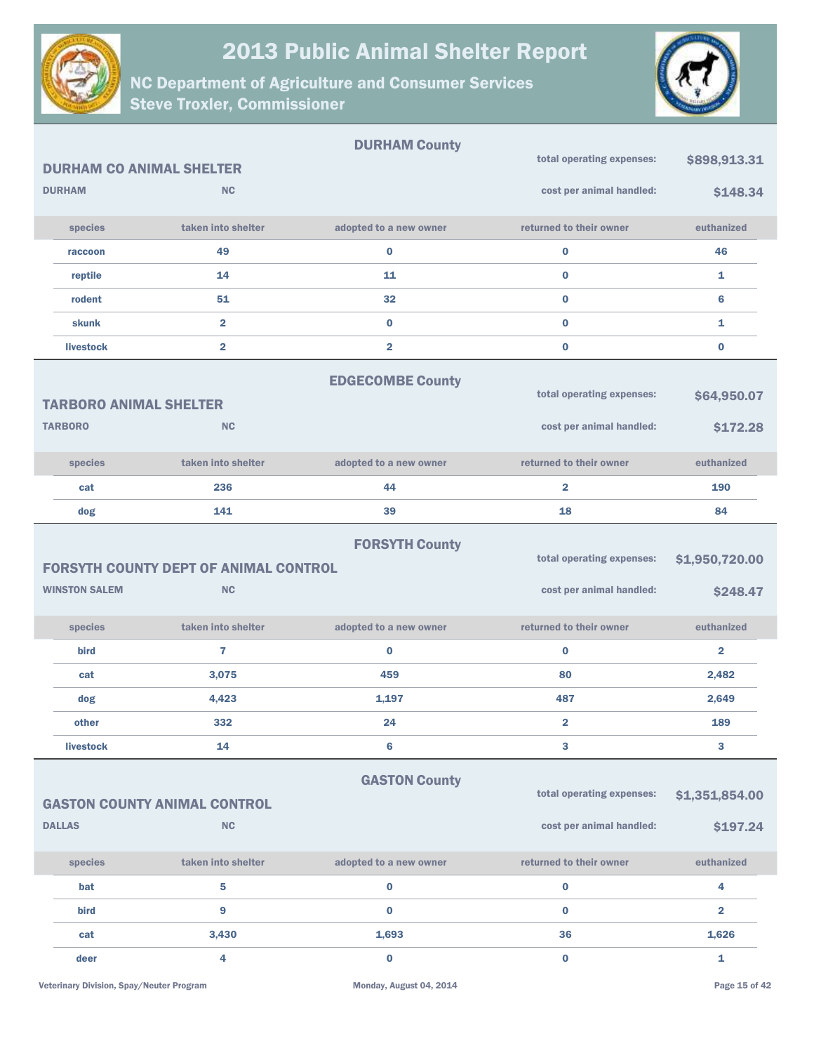



|                                 |                                                           | <b>DURHAM County</b>    |                                                       |                            |
|---------------------------------|-----------------------------------------------------------|-------------------------|-------------------------------------------------------|----------------------------|
| <b>DURHAM CO ANIMAL SHELTER</b> |                                                           |                         | total operating expenses:                             | \$898,913.31               |
| <b>DURHAM</b>                   | <b>NC</b>                                                 |                         | cost per animal handled:                              | \$148.34                   |
| species                         | taken into shelter                                        | adopted to a new owner  | returned to their owner                               | euthanized                 |
| raccoon                         | 49                                                        | $\bf{0}$                | $\bf{0}$                                              | 46                         |
| reptile                         | 14                                                        | 11                      | $\bf{0}$                                              | 1                          |
| rodent                          | 51                                                        | 32                      | $\bf{0}$                                              | $6\phantom{1}6$            |
| skunk                           | $\overline{\mathbf{2}}$                                   | $\bf{0}$                | $\bf{0}$                                              | 1                          |
| livestock                       | $\overline{\mathbf{2}}$                                   | $\overline{2}$          | $\bf{0}$                                              | $\bf{0}$                   |
| <b>TARBORO ANIMAL SHELTER</b>   |                                                           | <b>EDGECOMBE County</b> | total operating expenses:                             | \$64,950.07                |
| <b>TARBORO</b>                  | <b>NC</b>                                                 |                         | cost per animal handled:                              | \$172.28                   |
| species                         | taken into shelter                                        | adopted to a new owner  | returned to their owner                               | euthanized                 |
| cat                             | 236                                                       | 44                      | $\overline{2}$                                        | 190                        |
| dog                             | 141                                                       | 39                      | 18                                                    | 84                         |
|                                 |                                                           |                         |                                                       |                            |
| <b>WINSTON SALEM</b>            | <b>FORSYTH COUNTY DEPT OF ANIMAL CONTROL</b><br><b>NC</b> | <b>FORSYTH County</b>   | total operating expenses:<br>cost per animal handled: | \$1,950,720.00<br>\$248.47 |
| species                         | taken into shelter                                        | adopted to a new owner  | returned to their owner                               | euthanized                 |
| bird                            | 7                                                         | $\bf{0}$                | $\bf{0}$                                              | $\overline{\mathbf{2}}$    |
| cat                             | 3,075                                                     | 459                     | 80                                                    | 2,482                      |
| dog                             | 4,423                                                     | 1,197                   | 487                                                   | 2,649                      |
| other                           | 332                                                       | 24                      | $\overline{2}$                                        | 189                        |
| livestock                       | 14                                                        | $6\phantom{1}6$         | 3                                                     | 3                          |
| <b>DALLAS</b>                   | <b>GASTON COUNTY ANIMAL CONTROL</b><br><b>NC</b>          | <b>GASTON County</b>    | total operating expenses:<br>cost per animal handled: | \$1,351,854.00<br>\$197.24 |
| species                         | taken into shelter                                        | adopted to a new owner  | returned to their owner                               | euthanized                 |
| bat                             | 5                                                         | $\bf{0}$                | $\mathbf 0$                                           | 4                          |
| bird                            | 9                                                         | $\bf{0}$                | $\bf{0}$                                              | $\overline{\mathbf{2}}$    |
| cat                             | 3,430                                                     | 1,693                   | 36                                                    | 1,626                      |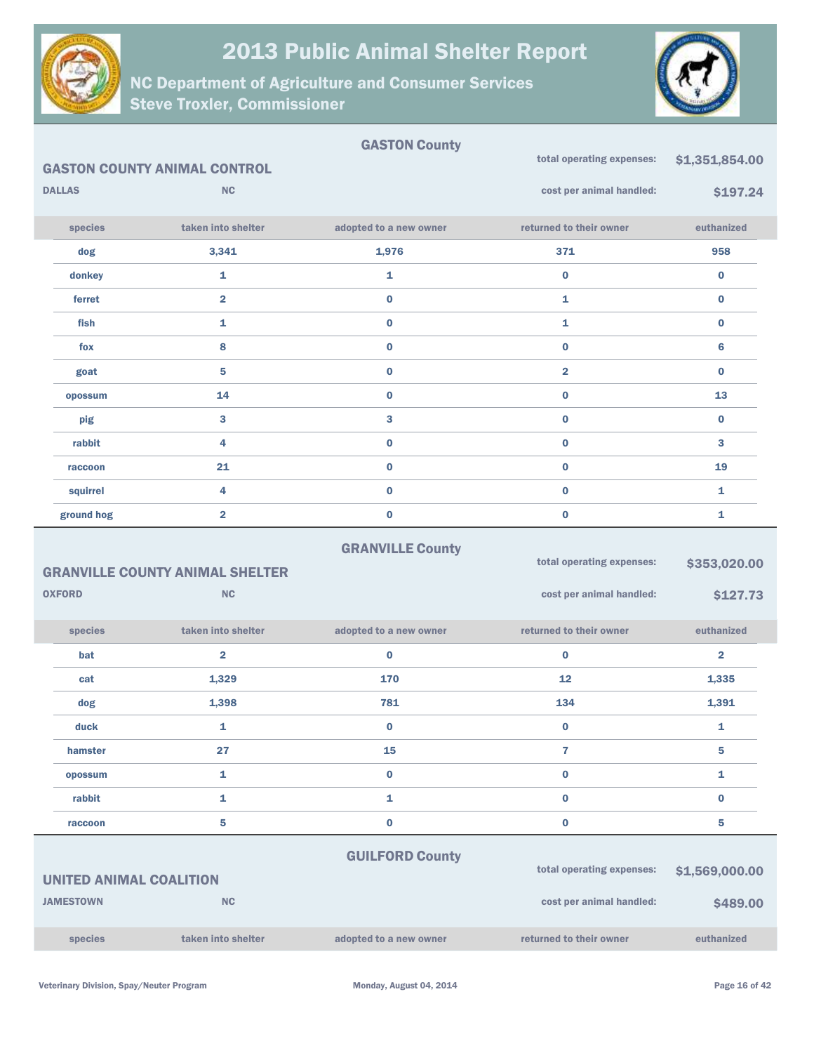

NC Department of Agriculture and Consumer Services Steve Troxler, Commissioner



|               |                                     | <b>GASTON County</b>   |                           |                |
|---------------|-------------------------------------|------------------------|---------------------------|----------------|
|               | <b>GASTON COUNTY ANIMAL CONTROL</b> |                        | total operating expenses: | \$1,351,854.00 |
| <b>DALLAS</b> | NC                                  |                        | cost per animal handled:  | \$197.24       |
|               |                                     |                        |                           |                |
| species       | taken into shelter                  | adopted to a new owner | returned to their owner   | euthanized     |
| dog           | 3,341                               | 1,976                  | 371                       | 958            |
| donkey        | 1                                   | 1                      | $\bf{0}$                  | $\bf{0}$       |
| ferret        | $\overline{2}$                      | $\bf{0}$               | 1                         | $\bf{0}$       |
| fish          | 1                                   | $\bf{0}$               | 1                         | $\bf{0}$       |
| fox           | 8                                   | $\bf{0}$               | $\bf{0}$                  | 6              |
| goat          | 5                                   | $\bf{0}$               | $\overline{2}$            | $\bf{0}$       |
| opossum       | 14                                  | $\bf{0}$               | $\bf{0}$                  | 13             |
| pig           | 3                                   | 3                      | $\bf{0}$                  | $\bf{0}$       |
| rabbit        | 4                                   | $\bf{0}$               | $\bf{0}$                  | 3              |
| raccoon       | 21                                  | $\bf{0}$               | $\bf{0}$                  | 19             |
| squirrel      | 4                                   | $\bf{0}$               | $\bf{0}$                  | 1              |
| ground hog    | $\overline{2}$                      | $\bf{0}$               | $\bf{0}$                  | 1              |
|               |                                     |                        |                           |                |

|                                        |               |                    |                        | total operating expenses: | \$353,020.00            |
|----------------------------------------|---------------|--------------------|------------------------|---------------------------|-------------------------|
| <b>GRANVILLE COUNTY ANIMAL SHELTER</b> |               |                    |                        |                           |                         |
|                                        | <b>OXFORD</b> | <b>NC</b>          |                        | cost per animal handled:  | \$127.73                |
|                                        | species       | taken into shelter | adopted to a new owner | returned to their owner   | euthanized              |
|                                        | bat           | $\overline{2}$     | $\bf{0}$               | $\bf{0}$                  | $\overline{\mathbf{2}}$ |
|                                        | cat           | 1,329              | 170                    | 12                        | 1,335                   |
|                                        | dog           | 1,398              | 781                    | 134                       | 1,391                   |
|                                        | duck          | 1                  | $\bf{0}$               | $\bf{0}$                  | 1                       |
|                                        | hamster       | 27                 | 15                     | 7                         | 5                       |
|                                        | opossum       | 1                  | 0                      | $\bf{0}$                  | 1                       |
|                                        | rabbit        | 1                  | 1                      | $\bf{0}$                  | $\bf{0}$                |
|                                        | raccoon       | 5                  | $\bf{0}$               | $\bf{0}$                  | 5                       |
|                                        |               |                    |                        |                           |                         |

GRANVILLE County

|  | <b>GUILFORD County</b> |  |  |  |
|--|------------------------|--|--|--|
|--|------------------------|--|--|--|

| UNITED ANIMAL COALITION |                    |                        | total operating expenses: | \$1,569,000,00  |
|-------------------------|--------------------|------------------------|---------------------------|-----------------|
| <b>JAMESTOWN</b>        | <b>NC</b>          |                        | cost per animal handled:  | <b>\$489,00</b> |
| <b>species</b>          | taken into shelter | adopted to a new owner | returned to their owner   | euthanized      |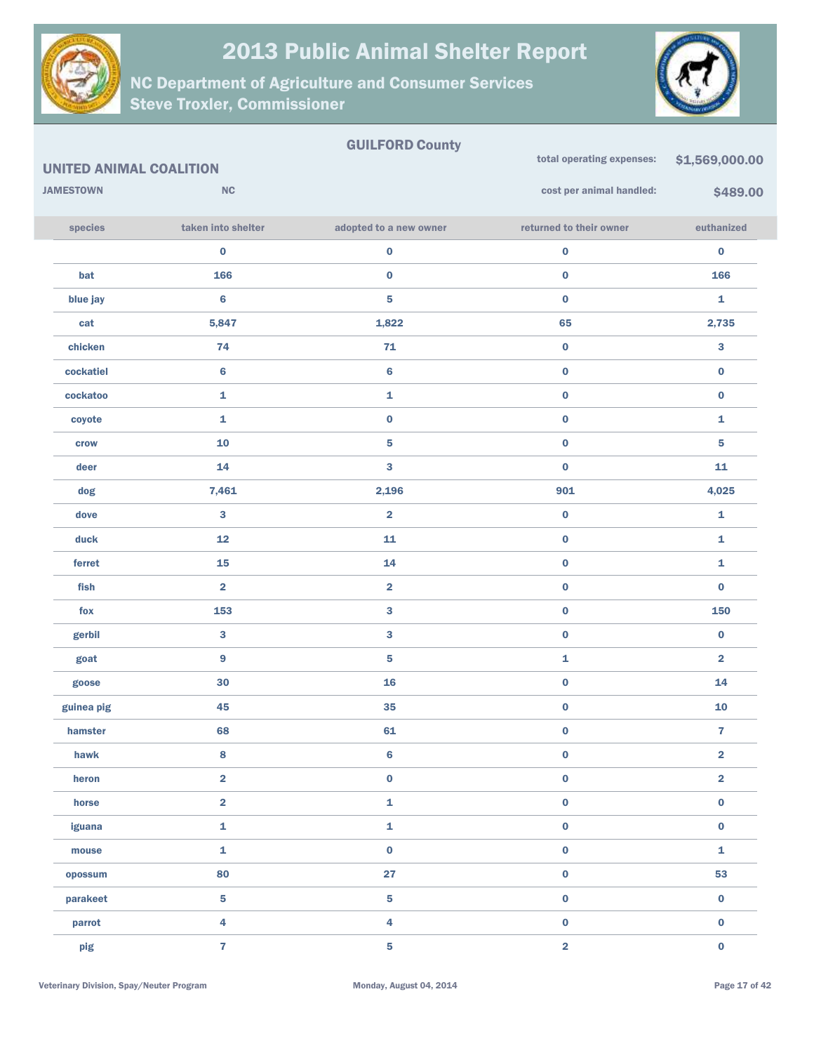



| <b>UNITED ANIMAL COALITION</b> |                         | <b>GUILFORD County</b>  | total operating expenses: | \$1,569,000.00          |
|--------------------------------|-------------------------|-------------------------|---------------------------|-------------------------|
| <b>JAMESTOWN</b>               | <b>NC</b>               |                         | cost per animal handled:  | \$489.00                |
|                                |                         |                         |                           |                         |
| species                        | taken into shelter      | adopted to a new owner  | returned to their owner   | euthanized              |
|                                | 0                       | $\pmb{0}$               | $\pmb{0}$                 | 0                       |
| bat                            | 166                     | $\pmb{0}$               | $\pmb{0}$                 | 166                     |
| blue jay                       | 6                       | ${\bf 5}$               | $\pmb{0}$                 | 1                       |
| cat                            | 5,847                   | 1,822                   | 65                        | 2,735                   |
| chicken                        | 74                      | $71$                    | $\pmb{0}$                 | 3                       |
| cockatiel                      | 6                       | $\bf 6$                 | $\pmb{0}$                 | 0                       |
| cockatoo                       | 1                       | $\mathbf{1}$            | $\pmb{0}$                 | 0                       |
| coyote                         | 1                       | $\pmb{0}$               | $\pmb{0}$                 | 1                       |
| crow                           | ${\bf 10}$              | ${\bf 5}$               | $\pmb{0}$                 | 5                       |
| deer                           | 14                      | $\bf{3}$                | $\pmb{0}$                 | 11                      |
| dog                            | 7,461                   | 2,196                   | 901                       | 4,025                   |
| dove                           | 3                       | $\overline{\mathbf{2}}$ | $\pmb{0}$                 | 1                       |
| duck                           | 12                      | 11                      | $\pmb{0}$                 | 1                       |
| ferret                         | 15                      | 14                      | $\pmb{0}$                 | 1                       |
| fish                           | $\overline{\mathbf{2}}$ | $\overline{\mathbf{2}}$ | $\pmb{0}$                 | $\bf{0}$                |
| fox                            | 153                     | ${\bf 3}$               | $\pmb{0}$                 | 150                     |
| gerbil                         | 3                       | $\bf{3}$                | $\pmb{0}$                 | 0                       |
| goat                           | 9                       | ${\bf 5}$               | $\mathbf{1}$              | 2                       |
| goose                          | 30                      | 16                      | $\pmb{0}$                 | 14                      |
| guinea pig                     | 45                      | 35                      | $\pmb{0}$                 | 10                      |
| hamster                        | 68                      | 61                      | $\bf{0}$                  | $\mathbf{7}$            |
| hawk                           | 8                       | $\bf 6$                 | $\pmb{0}$                 | $\overline{\mathbf{2}}$ |
| heron                          | $\overline{\mathbf{2}}$ | $\pmb{0}$               | $\pmb{0}$                 | $\overline{\mathbf{2}}$ |
| horse                          | $\overline{\mathbf{2}}$ | $\mathbf 1$             | $\pmb{0}$                 | $\mathbf 0$             |
| iguana                         | $\mathbf{1}$            | $\pmb{\mathtt{i}}$      | $\pmb{0}$                 | $\mathbf 0$             |
| mouse                          | $\mathbf{1}$            | $\pmb{0}$               | $\pmb{0}$                 | 1                       |
| opossum                        | 80                      | 27                      | $\pmb{0}$                 | 53                      |
| parakeet                       | 5                       | ${\bf 5}$               | $\pmb{0}$                 | $\mathbf 0$             |
| parrot                         | 4                       | $\overline{\mathbf{4}}$ | $\pmb{0}$                 | $\mathbf 0$             |
| pig                            | $\overline{\mathbf{r}}$ | ${\bf 5}$               | $\overline{\mathbf{2}}$   | $\bf{0}$                |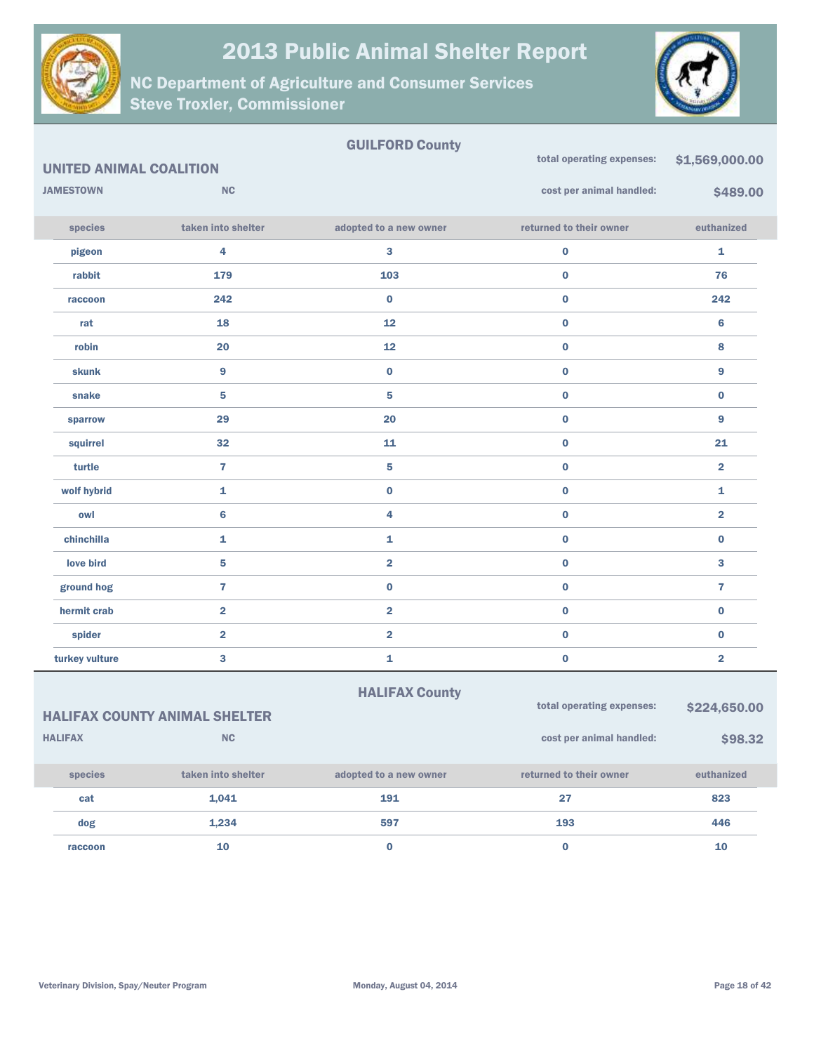

NC Department of Agriculture and Consumer Services Steve Troxler, Commissioner



#### GUILFORD County UNITED ANIMAL COALITION **JAMESTOWN NC** species taken into shelter adopted to a new owner returned to their owner euthanized total operating expenses: \$1,569,000.00 cost per animal handled: \$489.00 pigeon 4 3 0 1 rabbit 179 103 0 76 raccoon  $242$   $242$   $0$   $0$   $0$   $242$ rat 18 18 12 0 6 robin 20 12 0 8 skunk 9 0 0 9 snake  $5$  5  $5$  0 0  $0$ sparrow 29 20 0 9 squirrel  $\begin{array}{ccccccc} 32 & 32 & 11 & 0 & 0 & 21 \end{array}$ turtle 7 5 0 2 wolf hybrid  $\qquad \qquad \qquad \textbf{1} \qquad \qquad \textbf{0} \qquad \qquad \textbf{0} \qquad \qquad \textbf{1}$ owl 6 4 0 2 chinchilla  $\begin{array}{cccccccccccccc} 1 & 1 & 1 & 0 & 0 \end{array}$ love bird  $\begin{array}{ccc} 5 & 2 & 0 & 3 \end{array}$ ground hog 7 0 0 7 hermit crab 2 2 0 0 spider 2 2 0 0 turkey vulture  $\begin{array}{ccccccc} 3 & 3 & 1 & 1 & 0 & 0 & 0 & 2 \end{array}$

|                | <b>HALIFAX COUNTY ANIMAL SHELTER</b> | <b>HALIFAX County</b>  | total operating expenses: | \$224,650.00 |
|----------------|--------------------------------------|------------------------|---------------------------|--------------|
| <b>HALIFAX</b> | NC                                   |                        | cost per animal handled:  | \$98.32      |
| species        | taken into shelter                   | adopted to a new owner | returned to their owner   | euthanized   |
| cat            | 1.041                                | 191                    | 27                        | 823          |
| dog            | 1,234                                | 597                    | 193                       | 446          |
| raccoon        | 10                                   | $\bf{0}$               | 0                         | 10           |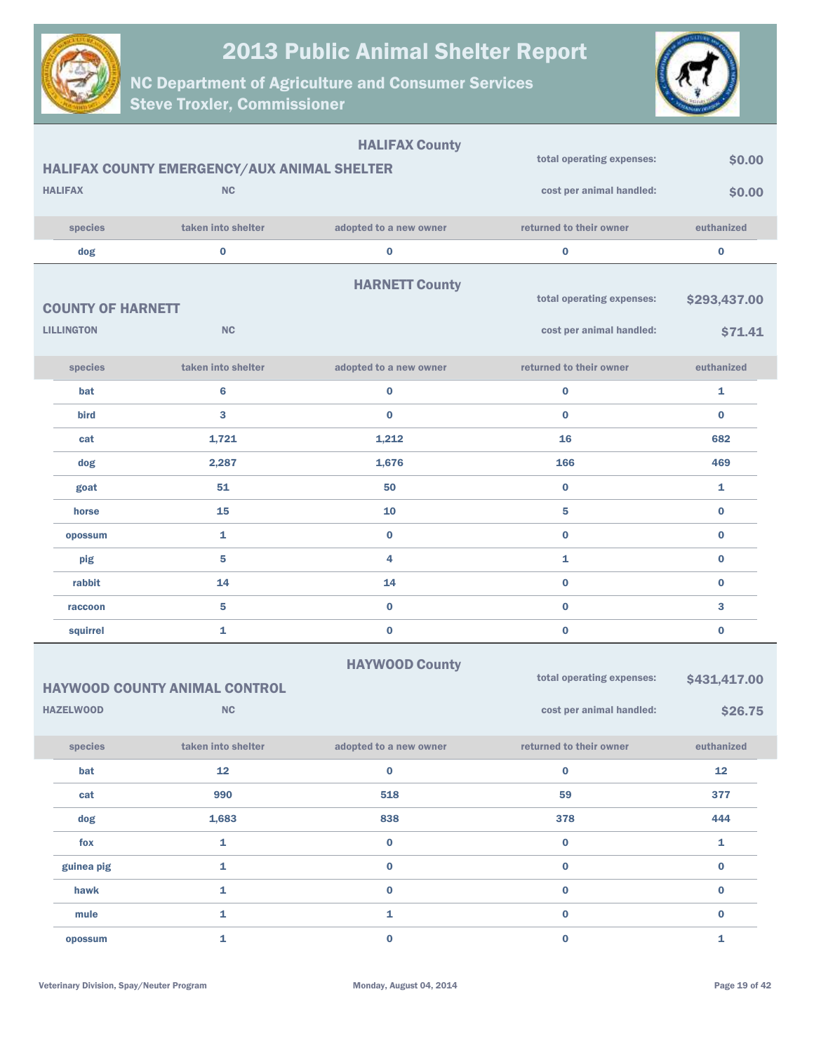

NC Department of Agriculture and Consumer Services Steve Troxler, Commissioner



|                          |                                             | <b>HALIFAX County</b>  |                           |              |
|--------------------------|---------------------------------------------|------------------------|---------------------------|--------------|
|                          | HALIFAX COUNTY EMERGENCY/AUX ANIMAL SHELTER |                        | total operating expenses: | \$0.00       |
| <b>HALIFAX</b>           | <b>NC</b>                                   |                        | cost per animal handled:  | \$0.00       |
| species                  | taken into shelter                          | adopted to a new owner | returned to their owner   | euthanized   |
| dog                      | $\bf{0}$                                    | 0                      | $\bf{0}$                  | $\bf{0}$     |
|                          |                                             | <b>HARNETT County</b>  |                           |              |
| <b>COUNTY OF HARNETT</b> |                                             |                        | total operating expenses: | \$293,437.00 |
| <b>LILLINGTON</b>        | <b>NC</b>                                   |                        | cost per animal handled:  | \$71.41      |
|                          | taken into shelter                          |                        | returned to their owner   | euthanized   |
| species                  |                                             | adopted to a new owner |                           |              |
| bat                      | $6\phantom{1}$                              | 0                      | $\bf{0}$                  | 1            |
| bird                     | 3                                           | $\bf{0}$               | $\bf{0}$                  | $\bf{0}$     |
| cat                      | 1,721                                       | 1,212                  | 16                        | 682          |
| dog                      | 2,287                                       | 1,676                  | 166                       | 469          |
| goat                     | 51                                          | 50                     | $\bf{0}$                  | 1            |
| horse                    | 15                                          | 10                     | 5                         | $\bf{0}$     |
| opossum                  | $\mathbf{1}$                                | $\bf{0}$               | $\bf{0}$                  | $\bf{0}$     |
| pig                      | 5                                           | 4                      | 1                         | $\bf{0}$     |
| rabbit                   | 14                                          | 14                     | $\bf{0}$                  | $\bf{0}$     |
| raccoon                  | 5                                           | $\bf{0}$               | $\bf{0}$                  | 3            |
| squirrel                 | 1                                           | $\bf{0}$               | $\bf{0}$                  | $\bf{0}$     |
|                          |                                             | <b>HAYWOOD County</b>  |                           |              |
|                          | <b>HAYWOOD COUNTY ANIMAL CONTROL</b>        |                        | total operating expenses: | \$431,417.00 |
| <b>HAZELWOOD</b>         | <b>NC</b>                                   |                        | cost per animal handled:  | \$26.75      |
| species                  | taken into shelter                          | adopted to a new owner | returned to their owner   | euthanized   |
| bat                      | 12                                          | $\bf{0}$               | $\pmb{0}$                 | 12           |
| cat                      | 990                                         | 518                    | 59                        | 377          |
| dog                      | 1,683                                       | 838                    | 378                       | 444          |
| fox                      | $\mathbf 1$                                 | $\pmb{0}$              | $\mathbf 0$               | ${\bf 1}$    |
| guinea pig               | $\mathbf 1$                                 | $\mathbf 0$            | $\pmb{0}$                 | $\pmb{0}$    |

hawk 1 0 0 0 mule **1** 1 0 0 0 opossum and the contract of  $\sim$  0  $^{\prime\prime}$  0  $^{\prime\prime}$  0  $^{\prime\prime}$  1  $^{\prime\prime}$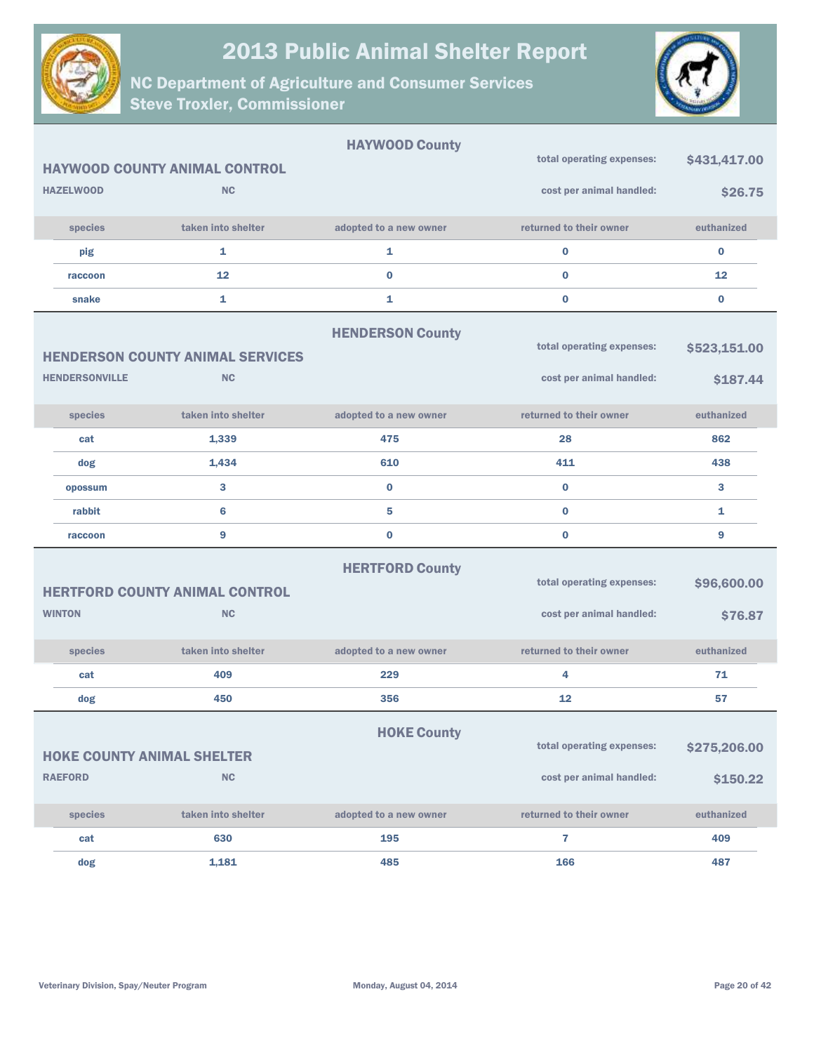



|                                   |                                         | <b>HAYWOOD County</b>   |                           |              |
|-----------------------------------|-----------------------------------------|-------------------------|---------------------------|--------------|
|                                   | <b>HAYWOOD COUNTY ANIMAL CONTROL</b>    |                         | total operating expenses: | \$431,417.00 |
| <b>HAZELWOOD</b>                  | <b>NC</b>                               |                         | cost per animal handled:  | \$26.75      |
| species                           | taken into shelter                      | adopted to a new owner  | returned to their owner   | euthanized   |
| pig                               | 1                                       | 1                       | $\bf{0}$                  | $\bf{0}$     |
| raccoon                           | 12                                      | 0                       | $\bf{0}$                  | 12           |
| snake                             | 1                                       | 1                       | $\bf{0}$                  | $\bf{0}$     |
|                                   |                                         | <b>HENDERSON County</b> |                           |              |
|                                   | <b>HENDERSON COUNTY ANIMAL SERVICES</b> |                         | total operating expenses: | \$523,151.00 |
| <b>HENDERSONVILLE</b>             | <b>NC</b>                               |                         | cost per animal handled:  | \$187.44     |
| species                           | taken into shelter                      | adopted to a new owner  | returned to their owner   | euthanized   |
| cat                               | 1,339                                   | 475                     | 28                        | 862          |
| dog                               | 1,434                                   | 610                     | 411                       | 438          |
| opossum                           | 3                                       | $\bf{0}$                | $\bf{0}$                  | 3            |
| rabbit                            | 6                                       | 5                       | $\bf{0}$                  | 1            |
| raccoon                           | 9                                       | 0                       | $\bf{0}$                  | 9            |
|                                   |                                         | <b>HERTFORD County</b>  | total operating expenses: | \$96,600.00  |
|                                   | <b>HERTFORD COUNTY ANIMAL CONTROL</b>   |                         |                           |              |
| <b>WINTON</b>                     | <b>NC</b>                               |                         | cost per animal handled:  | \$76.87      |
| species                           | taken into shelter                      | adopted to a new owner  | returned to their owner   | euthanized   |
| cat                               | 409                                     | 229                     | 4                         | 71           |
| dog                               | 450                                     | 356                     | 12                        | 57           |
|                                   |                                         | <b>HOKE County</b>      |                           |              |
| <b>HOKE COUNTY ANIMAL SHELTER</b> |                                         |                         | total operating expenses: | \$275,206.00 |
| <b>RAEFORD</b>                    | <b>NC</b>                               |                         | cost per animal handled:  | \$150.22     |
| species                           | taken into shelter                      | adopted to a new owner  | returned to their owner   | euthanized   |
| cat                               | 630                                     | 195                     | $\overline{\mathbf{r}}$   | 409          |
| dog                               | 1,181                                   | 485                     | 166                       | 487          |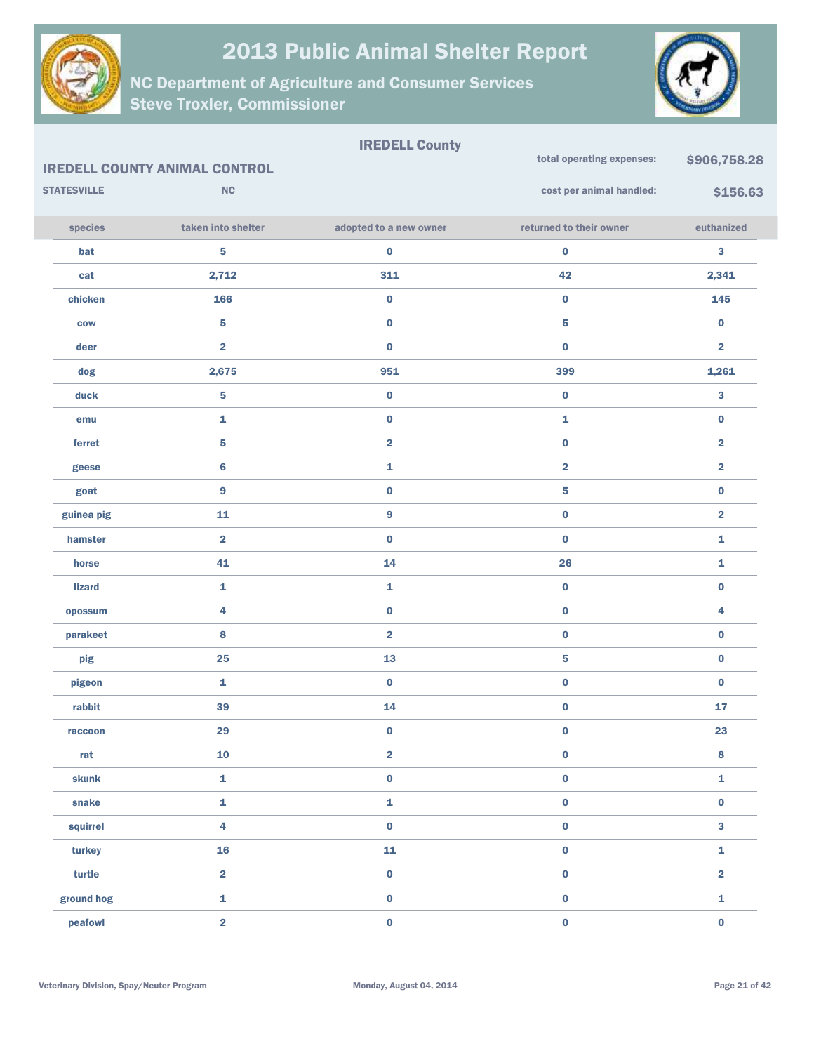



|                    |                                      | <b>IREDELL County</b>   | total operating expenses: | \$906,758.28            |
|--------------------|--------------------------------------|-------------------------|---------------------------|-------------------------|
|                    | <b>IREDELL COUNTY ANIMAL CONTROL</b> |                         |                           |                         |
| <b>STATESVILLE</b> | NC                                   |                         | cost per animal handled:  | \$156.63                |
| species            | taken into shelter                   | adopted to a new owner  | returned to their owner   | euthanized              |
| bat                | ${\bf 5}$                            | $\pmb{0}$               | $\pmb{0}$                 | 3                       |
| cat                | 2,712                                | 311                     | 42                        | 2,341                   |
| chicken            | 166                                  | $\pmb{0}$               | $\pmb{0}$                 | 145                     |
| <b>COW</b>         | $\overline{\mathbf{5}}$              | $\pmb{0}$               | ${\bf 5}$                 | 0                       |
| deer               | $\overline{2}$                       | $\pmb{0}$               | $\pmb{0}$                 | $\overline{\mathbf{2}}$ |
| dog                | 2,675                                | 951                     | 399                       | 1,261                   |
| duck               | $\overline{\mathbf{5}}$              | $\pmb{0}$               | $\pmb{0}$                 | 3                       |
| emu                | $\mathbf{1}$                         | $\pmb{0}$               | 1                         | $\bf{0}$                |
| ferret             | $\overline{\mathbf{5}}$              | $\overline{\mathbf{2}}$ | $\pmb{0}$                 | $\overline{\mathbf{2}}$ |
| geese              | $\bf 6$                              | $\mathbf 1$             | $\overline{\mathbf{2}}$   | $\overline{\mathbf{2}}$ |
| goat               | 9                                    | $\pmb{0}$               | ${\bf 5}$                 | 0                       |
| guinea pig         | 11                                   | $\boldsymbol{9}$        | $\pmb{0}$                 | $\overline{\mathbf{2}}$ |
| hamster            | $\overline{\mathbf{2}}$              | $\pmb{0}$               | $\pmb{0}$                 | 1                       |
| horse              | 41                                   | 14                      | 26                        | 1                       |
| <b>lizard</b>      | 1                                    | $\mathbf{1}$            | $\pmb{0}$                 | $\bf{0}$                |
| opossum            | 4                                    | $\pmb{0}$               | $\pmb{0}$                 | 4                       |
| parakeet           | 8                                    | $\overline{\mathbf{2}}$ | $\pmb{0}$                 | 0                       |
| pig                | 25                                   | 13                      | ${\bf 5}$                 | $\bf{0}$                |
| pigeon             | 1                                    | $\pmb{0}$               | $\pmb{0}$                 | 0                       |
| rabbit             | 39                                   | 14                      | $\pmb{0}$                 | 17                      |
| raccoon            | 29                                   | $\mathbf 0$             | $\pmb{0}$                 | 23                      |
| rat                | 10                                   | $\overline{\mathbf{2}}$ | $\pmb{0}$                 | $\bf8$                  |
| skunk              | $\mathbf{1}$                         | $\pmb{0}$               | $\pmb{0}$                 | 1                       |
| snake              | $\mathbf{1}$                         | $\pmb{\mathtt{i}}$      | $\mathbf 0$               | $\mathbf 0$             |
| squirrel           | $\overline{\mathbf{4}}$              | $\pmb{0}$               | $\pmb{0}$                 | 3                       |
| turkey             | 16                                   | ${\bf 11}$              | $\pmb{0}$                 | 1                       |
| turtle             | $\overline{\mathbf{2}}$              | $\pmb{0}$               | $\pmb{0}$                 | $\overline{\mathbf{2}}$ |
| ground hog         | $\mathbf{1}$                         | $\pmb{0}$               | $\pmb{0}$                 | $\mathbf{1}$            |
| peafowl            | $\overline{\mathbf{2}}$              | $\pmb{0}$               | $\pmb{0}$                 | $\mathbf 0$             |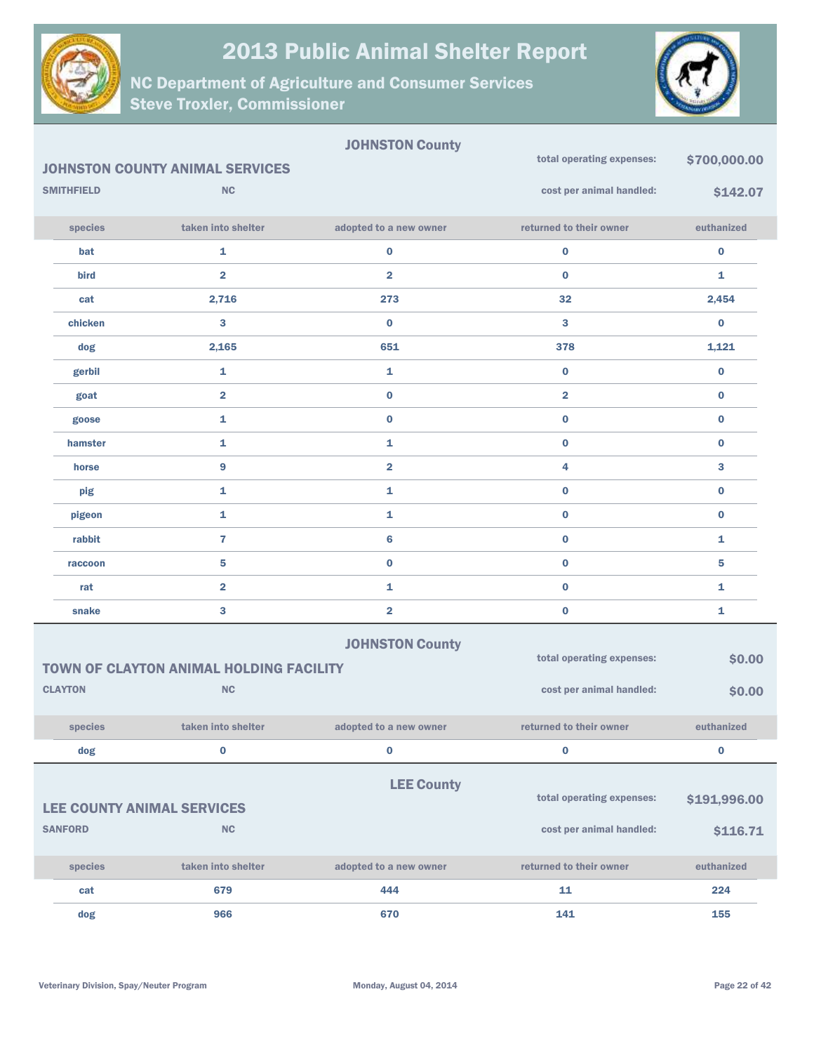



|                   |                                                | <b>JOHNSTON County</b>  |                           |              |
|-------------------|------------------------------------------------|-------------------------|---------------------------|--------------|
|                   | <b>JOHNSTON COUNTY ANIMAL SERVICES</b>         |                         | total operating expenses: | \$700,000.00 |
| <b>SMITHFIELD</b> | <b>NC</b>                                      |                         | cost per animal handled:  | \$142.07     |
| species           | taken into shelter                             | adopted to a new owner  | returned to their owner   | euthanized   |
| bat               | 1                                              | $\bf{0}$                | $\pmb{0}$                 | $\bf{0}$     |
| bird              | $\overline{\mathbf{2}}$                        | $\overline{\mathbf{2}}$ | $\bf{0}$                  | 1            |
| cat               | 2,716                                          | 273                     | 32                        | 2,454        |
| chicken           | 3                                              | $\bf{0}$                | 3                         | $\bf{0}$     |
| dog               | 2,165                                          | 651                     | 378                       | 1,121        |
| gerbil            | 1                                              | $\mathbf{1}$            | $\bf{0}$                  | $\bf{0}$     |
| goat              | $\overline{\mathbf{2}}$                        | $\bf{0}$                | $\overline{2}$            | $\bf{0}$     |
| goose             | 1                                              | $\bf{0}$                | $\bf{0}$                  | $\bf{0}$     |
| hamster           | 1                                              | 1                       | $\bf{0}$                  | $\bf{0}$     |
| horse             | 9                                              | $\overline{\mathbf{2}}$ | 4                         | 3            |
| pig               | 1                                              | 1                       | $\bf{0}$                  | $\bf{0}$     |
| pigeon            | 1                                              | 1                       | $\bf{0}$                  | $\bf{0}$     |
| rabbit            | $\overline{7}$                                 | $6\phantom{1}$          | $\bf{0}$                  | 1            |
| raccoon           | 5                                              | $\bf{0}$                | $\bf{0}$                  | 5            |
| rat               | $\overline{\mathbf{2}}$                        | 1                       | $\bf{0}$                  | 1            |
| snake             | 3                                              | $\overline{\mathbf{2}}$ | $\pmb{0}$                 | 1            |
|                   |                                                | <b>JOHNSTON County</b>  |                           |              |
|                   | <b>TOWN OF CLAYTON ANIMAL HOLDING FACILITY</b> |                         | total operating expenses: | \$0.00       |
| <b>CLAYTON</b>    | <b>NC</b>                                      |                         | cost per animal handled:  | \$0.00       |
| species           | taken into shelter                             | adopted to a new owner  | returned to their owner   | euthanized   |
| dog               | $\mathbf 0$                                    | $\pmb{0}$               | $\bf{0}$                  | $\bf{0}$     |
|                   |                                                | <b>LEE County</b>       |                           |              |
|                   | <b>LEE COUNTY ANIMAL SERVICES</b>              |                         | total operating expenses: | \$191,996.00 |
| <b>SANFORD</b>    | NC                                             |                         | cost per animal handled:  | \$116.71     |
| species           | taken into shelter                             | adopted to a new owner  | returned to their owner   | euthanized   |
| cat               | 679                                            | 444                     | 11                        | 224          |
| dog               | 966                                            | 670                     | 141                       | 155          |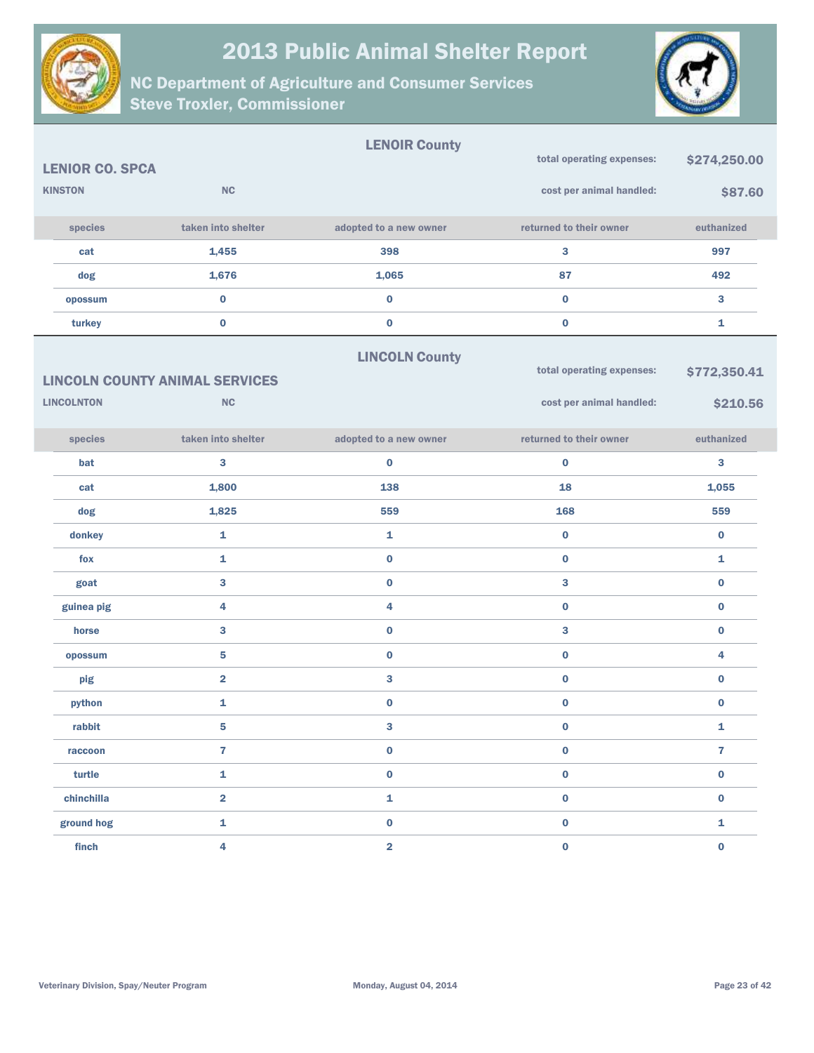



|                        |                                       | <b>LENOIR County</b>    |                           |                |
|------------------------|---------------------------------------|-------------------------|---------------------------|----------------|
| <b>LENIOR CO. SPCA</b> |                                       |                         | total operating expenses: | \$274,250.00   |
| <b>KINSTON</b>         | NC                                    |                         | cost per animal handled:  | \$87.60        |
| species                | taken into shelter                    | adopted to a new owner  | returned to their owner   | euthanized     |
| cat                    | 1,455                                 | 398                     | 3                         | 997            |
| dog                    | 1,676                                 | 1,065                   | 87                        | 492            |
| opossum                | $\bf{0}$                              | $\bf{0}$                | $\bf{0}$                  | 3              |
| turkey                 | $\bf{0}$                              | $\pmb{0}$               | $\bf{0}$                  | $\mathbf{1}$   |
|                        |                                       | <b>LINCOLN County</b>   |                           |                |
|                        | <b>LINCOLN COUNTY ANIMAL SERVICES</b> |                         | total operating expenses: | \$772,350.41   |
| <b>LINCOLNTON</b>      | NC                                    |                         | cost per animal handled:  | \$210.56       |
| species                | taken into shelter                    | adopted to a new owner  | returned to their owner   | euthanized     |
| bat                    | $\bf{3}$                              | $\bf{0}$                | $\bf{0}$                  | 3              |
| cat                    | 1,800                                 | 138                     | 18                        | 1,055          |
| dog                    | 1,825                                 | 559                     | 168                       | 559            |
| donkey                 | $\mathbf{1}$                          | 1                       | $\bf{0}$                  | $\bf{0}$       |
| fox                    | $\mathbf{1}$                          | $\pmb{0}$               | $\bf{0}$                  | $\mathbf{1}$   |
| goat                   | $\mathbf{3}$                          | $\pmb{0}$               | 3                         | $\bf{0}$       |
| guinea pig             | $\overline{4}$                        | 4                       | $\bf{0}$                  | $\bf{0}$       |
| horse                  | $\mathbf{3}$                          | $\pmb{0}$               | 3                         | $\bf{0}$       |
| opossum                | ${\bf 5}$                             | $\bf{0}$                | $\bf{0}$                  | 4              |
| pig                    | $\overline{\mathbf{2}}$               | 3                       | $\bf{0}$                  | $\bf{0}$       |
| python                 | 1                                     | $\bf{0}$                | $\bf{0}$                  | $\bf{0}$       |
| rabbit                 | $\overline{\mathbf{5}}$               | 3                       | $\pmb{0}$                 | $\mathbf{1}$   |
| raccoon                | $\overline{7}$                        | $\pmb{0}$               | $\pmb{0}$                 | $\overline{7}$ |
| turtle                 | $\mathbf 1$                           | $\pmb{0}$               | $\pmb{0}$                 | $\pmb{0}$      |
| chinchilla             | $\overline{\mathbf{2}}$               | 1                       | $\pmb{0}$                 | $\pmb{0}$      |
| ground hog             | $\mathbf 1$                           | $\pmb{0}$               | $\pmb{0}$                 | ${\bf 1}$      |
| finch                  | $\overline{\mathbf{4}}$               | $\overline{\mathbf{2}}$ | $\pmb{0}$                 | $\pmb{0}$      |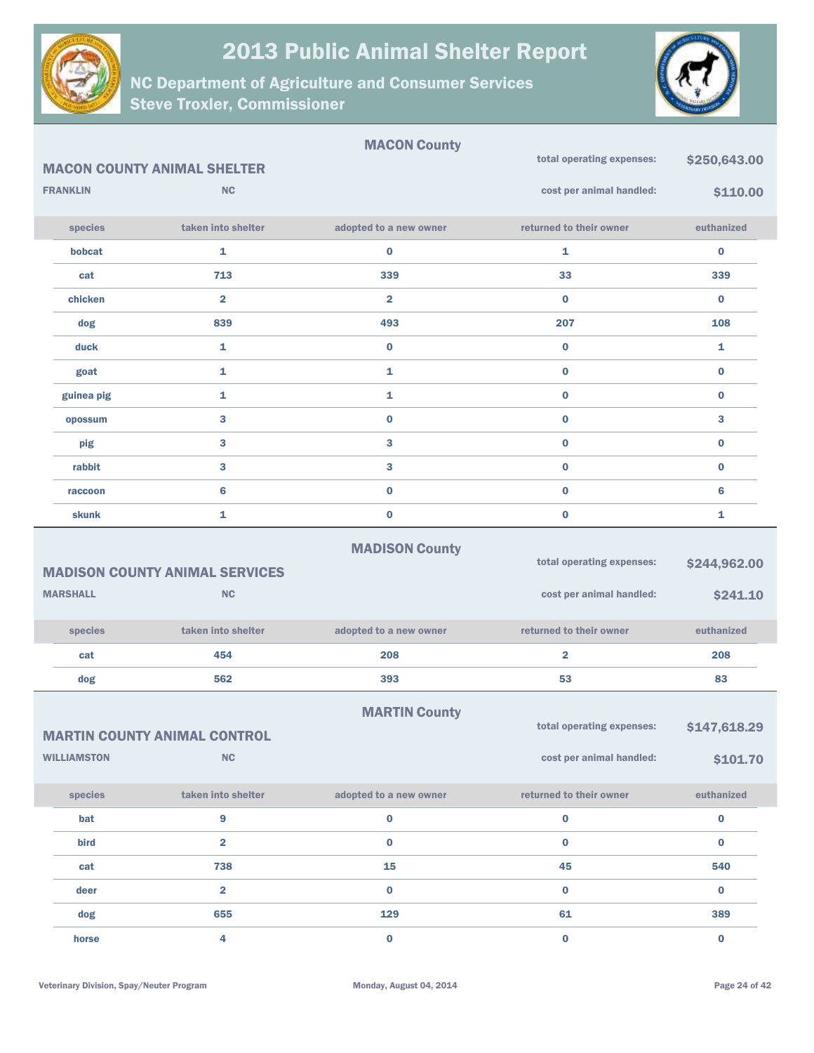



|                    |                                       | <b>MACON County</b>     |                           |              |
|--------------------|---------------------------------------|-------------------------|---------------------------|--------------|
|                    | <b>MACON COUNTY ANIMAL SHELTER</b>    |                         | total operating expenses: | \$250,643.00 |
| <b>FRANKLIN</b>    | <b>NC</b>                             |                         | cost per animal handled:  | \$110.00     |
| species            | taken into shelter                    | adopted to a new owner  | returned to their owner   | euthanized   |
| bobcat             | 1                                     | 0                       | 1                         | $\bf{0}$     |
| cat                | 713                                   | 339                     | 33                        | 339          |
| chicken            | $\overline{\mathbf{2}}$               | $\overline{\mathbf{2}}$ | $\bf{0}$                  | $\bf{0}$     |
| dog                | 839                                   | 493                     | 207                       | 108          |
| duck               | $\mathbf{1}$                          | $\bf{0}$                | 0                         | 1            |
| goat               | $\mathbf{1}$                          | 1                       | $\mathbf 0$               | $\bf{0}$     |
| guinea pig         | $\mathbf{1}$                          | 1                       | $\bf{0}$                  | $\bf{0}$     |
| opossum            | $\mathbf{3}$                          | $\bf{0}$                | $\mathbf 0$               | 3            |
| pig                | 3                                     | 3                       | $\bf{0}$                  | $\bf{0}$     |
| rabbit             | 3                                     | 3                       | $\bf{0}$                  | $\bf{0}$     |
| raccoon            | $6\phantom{1}6$                       | $\bf{0}$                | $\bf{0}$                  | 6            |
| skunk              | $\mathbf{1}$                          | $\bf{0}$                | $\bf{0}$                  | 1            |
|                    |                                       | <b>MADISON County</b>   |                           |              |
|                    | <b>MADISON COUNTY ANIMAL SERVICES</b> |                         | total operating expenses: | \$244,962.00 |
| <b>MARSHALL</b>    | <b>NC</b>                             |                         | cost per animal handled:  | \$241.10     |
| species            | taken into shelter                    | adopted to a new owner  | returned to their owner   | euthanized   |
| cat                | 454                                   | 208                     | $\overline{\mathbf{2}}$   | 208          |
| dog                | 562                                   | 393                     | 53                        | 83           |
|                    |                                       | <b>MARTIN County</b>    |                           |              |
|                    | <b>MARTIN COUNTY ANIMAL CONTROL</b>   |                         | total operating expenses: | \$147,618.29 |
| <b>WILLIAMSTON</b> | NC                                    |                         | cost per animal handled:  | \$101.70     |
| species            | taken into shelter                    | adopted to a new owner  | returned to their owner   | euthanized   |
| bat                | $\boldsymbol{9}$                      | $\pmb{0}$               | $\pmb{0}$                 | $\pmb{0}$    |
| bird               | $\overline{2}$                        | $\bf{0}$                | $\bf{0}$                  | $\mathbf{0}$ |
| cat                | 738                                   | 15                      | 45                        | 540          |
| deer               | $\overline{2}$                        | $\bf{0}$                | $\bf{0}$                  | $\bf{0}$     |
| dog                | 655                                   | 129                     | 61                        | 389          |
| horse              | $\overline{\mathbf{4}}$               | $\pmb{0}$               | $\mathbf 0$               | $\mathbf 0$  |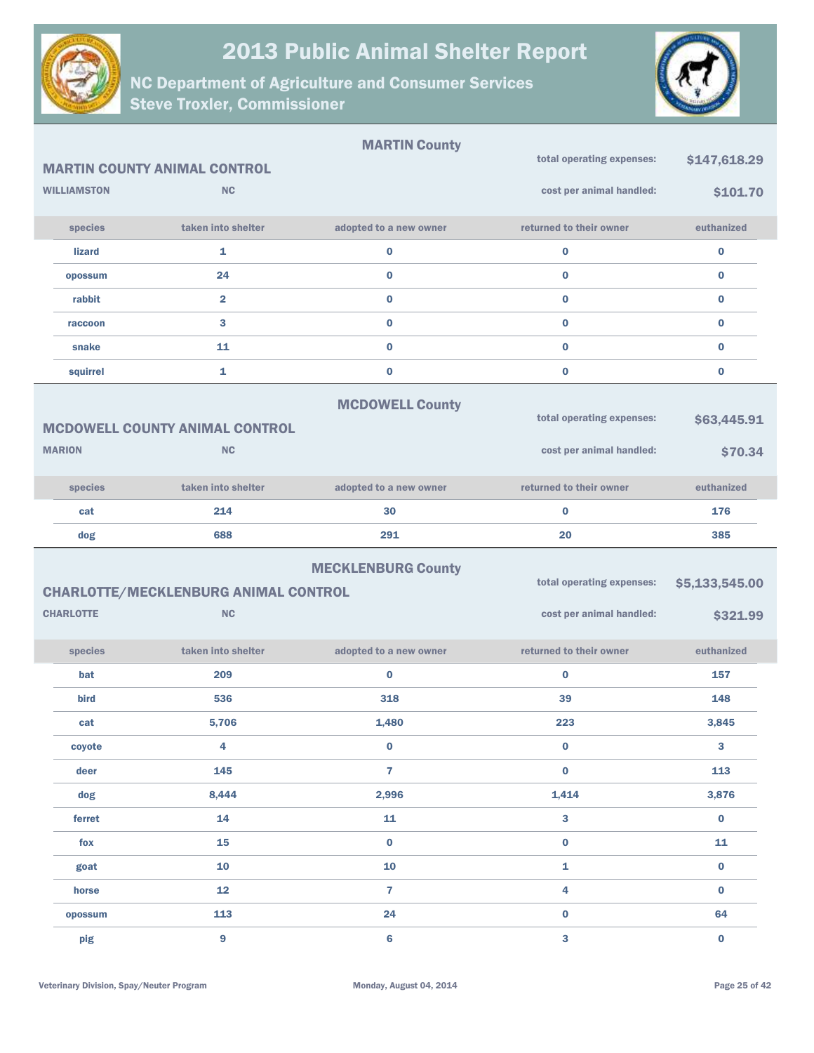



|                    |                                             | <b>MARTIN County</b>      |                           |                |
|--------------------|---------------------------------------------|---------------------------|---------------------------|----------------|
|                    | <b>MARTIN COUNTY ANIMAL CONTROL</b>         |                           | total operating expenses: | \$147,618.29   |
| <b>WILLIAMSTON</b> | <b>NC</b>                                   |                           | cost per animal handled:  | \$101.70       |
| species            | taken into shelter                          | adopted to a new owner    | returned to their owner   | euthanized     |
| <b>lizard</b>      | 1                                           | $\bf{0}$                  | $\bf{0}$                  | $\bf{0}$       |
| opossum            | 24                                          | $\bf{0}$                  | $\bf{0}$                  | $\bf{0}$       |
| rabbit             | $\overline{2}$                              | $\bf{0}$                  | $\bf{0}$                  | $\bf{0}$       |
| raccoon            | 3                                           | $\bf{0}$                  | $\bf{0}$                  | $\bf{0}$       |
| snake              | 11                                          | $\bf{0}$                  | $\bf{0}$                  | $\bf{0}$       |
| squirrel           | 1                                           | $\bf{0}$                  | $\bf{0}$                  | $\bf{0}$       |
|                    |                                             | <b>MCDOWELL County</b>    |                           |                |
|                    | <b>MCDOWELL COUNTY ANIMAL CONTROL</b>       |                           | total operating expenses: | \$63,445.91    |
| <b>MARION</b>      | <b>NC</b>                                   |                           | cost per animal handled:  | \$70.34        |
| species            | taken into shelter                          | adopted to a new owner    | returned to their owner   | euthanized     |
| cat                | 214                                         | 30                        | $\bf{0}$                  | 176            |
| dog                | 688                                         | 291                       | 20                        | 385            |
|                    |                                             | <b>MECKLENBURG County</b> |                           |                |
|                    | <b>CHARLOTTE/MECKLENBURG ANIMAL CONTROL</b> |                           | total operating expenses: | \$5,133,545.00 |
| <b>CHARLOTTE</b>   | <b>NC</b>                                   |                           | cost per animal handled:  | \$321.99       |
| species            | taken into shelter                          | adopted to a new owner    | returned to their owner   | euthanized     |
| bat                | 209                                         | $\bf{0}$                  | $\bf{0}$                  | 157            |
| bird               | 536                                         | 318                       | 39                        | 148            |
| cat                | 5,706                                       | 1,480                     | 223                       | 3,845          |
| coyote             | 4                                           | $\pmb{0}$                 | $\pmb{0}$                 | 3              |
| deer               | 145                                         | $\overline{7}$            | $\bf{0}$                  | 113            |
| dog                | 8,444                                       | 2,996                     | 1,414                     | 3,876          |
| ferret             | 14                                          | 11                        | $\mathbf{3}$              | $\mathbf 0$    |
| $f$ ox             | 15                                          | $\boldsymbol{0}$          | $\pmb{0}$                 | 11             |
| goat               | 10                                          | ${\bf 10}$                | $\mathbf{1}$              | $\bf{0}$       |
| horse              | ${\bf 12}$                                  | 7                         | $\overline{\mathbf{4}}$   | $\pmb{0}$      |
| opossum            | 113                                         | 24                        | $\bf{0}$                  | 64             |
| pig                | $\boldsymbol{9}$                            | 6                         | 3                         | $\pmb{0}$      |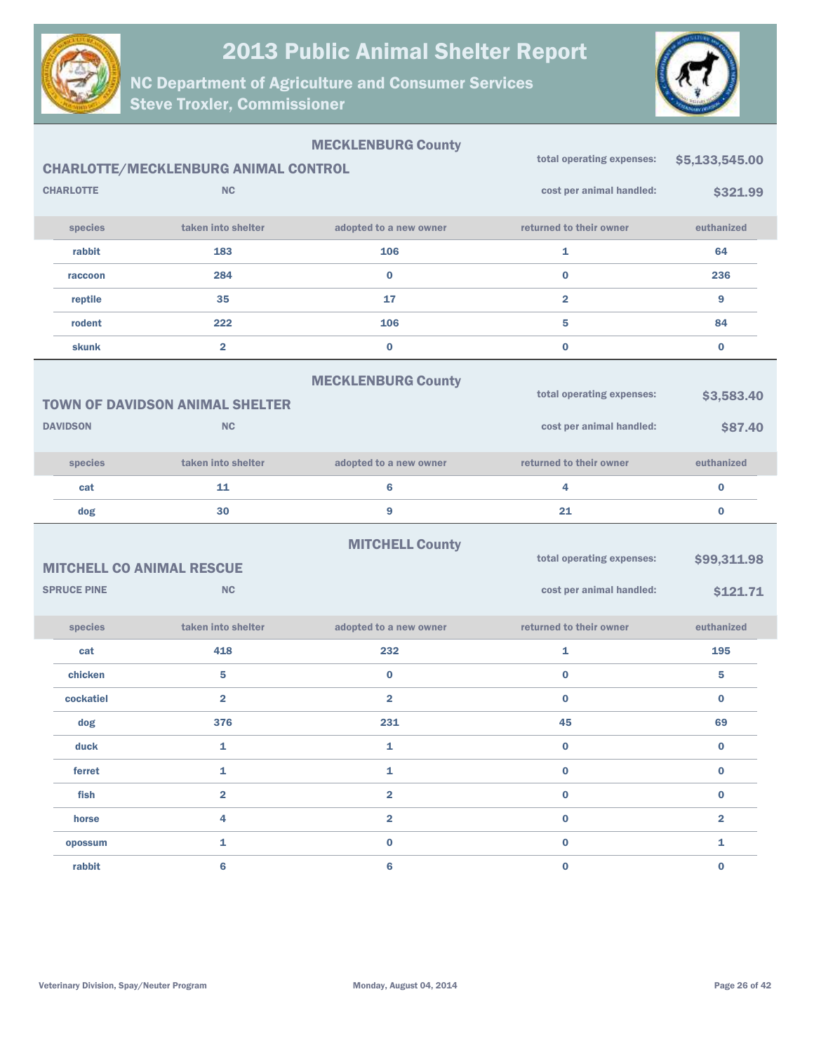



|                    |                                               | <b>MECKLENBURG County</b> | total operating expenses: | \$5,133,545.00 |
|--------------------|-----------------------------------------------|---------------------------|---------------------------|----------------|
|                    | <b>CHARLOTTE/MECKLENBURG ANIMAL CONTROL</b>   |                           |                           |                |
| <b>CHARLOTTE</b>   | <b>NC</b>                                     |                           | cost per animal handled:  | \$321.99       |
| species            | taken into shelter                            | adopted to a new owner    | returned to their owner   | euthanized     |
| rabbit             | 183                                           | 106                       | $\mathbf{1}$              | 64             |
| raccoon            | 284                                           | $\bf{0}$                  | $\bf{0}$                  | 236            |
| reptile            | 35                                            | 17                        | $\overline{2}$            | 9              |
| rodent             | 222                                           | 106                       | 5                         | 84             |
| skunk              | $\overline{2}$                                | $\bf{0}$                  | $\bf{0}$                  | $\bf{0}$       |
|                    |                                               | <b>MECKLENBURG County</b> |                           |                |
|                    | <b>TOWN OF DAVIDSON ANIMAL SHELTER</b>        |                           | total operating expenses: | \$3,583.40     |
| <b>DAVIDSON</b>    | <b>NC</b>                                     |                           | cost per animal handled:  | \$87.40        |
|                    |                                               |                           |                           |                |
| species            | taken into shelter                            | adopted to a new owner    | returned to their owner   | euthanized     |
| cat                | 11                                            | 6                         | 4                         | $\bf{0}$       |
|                    |                                               |                           |                           |                |
| dog                | 30                                            | 9                         | 21                        | $\bf{0}$       |
|                    |                                               |                           |                           |                |
|                    |                                               | <b>MITCHELL County</b>    | total operating expenses: | \$99,311.98    |
| <b>SPRUCE PINE</b> | <b>MITCHELL CO ANIMAL RESCUE</b><br><b>NC</b> |                           |                           |                |
|                    |                                               |                           | cost per animal handled:  | \$121.71       |
| species            | taken into shelter                            | adopted to a new owner    | returned to their owner   | euthanized     |
| cat                | 418                                           | 232                       | 1                         | 195            |
| chicken            | 5                                             | $\bf{0}$                  | $\bf{0}$                  | 5              |
| cockatiel          | $\overline{\mathbf{2}}$                       | $\overline{\mathbf{2}}$   | $\bf{0}$                  | $\bf{0}$       |
| dog                | 376                                           | 231                       | 45                        | 69             |
| duck               | 1                                             | 1                         | $\bf{0}$                  | $\bf{0}$       |
| ferret             | $\mathbf{1}$                                  | $\mathbf{1}$              | $\mathbf 0$               | $\bf{0}$       |
| fish               | $\overline{\mathbf{2}}$                       | $\overline{\mathbf{2}}$   | $\bf{0}$                  | $\mathbf 0$    |
| horse              | 4                                             | $\overline{\mathbf{2}}$   | $\bf{0}$                  | $\overline{2}$ |
| opossum            | 1                                             | $\bf{0}$                  | $\bf{0}$                  | $\mathbf{1}$   |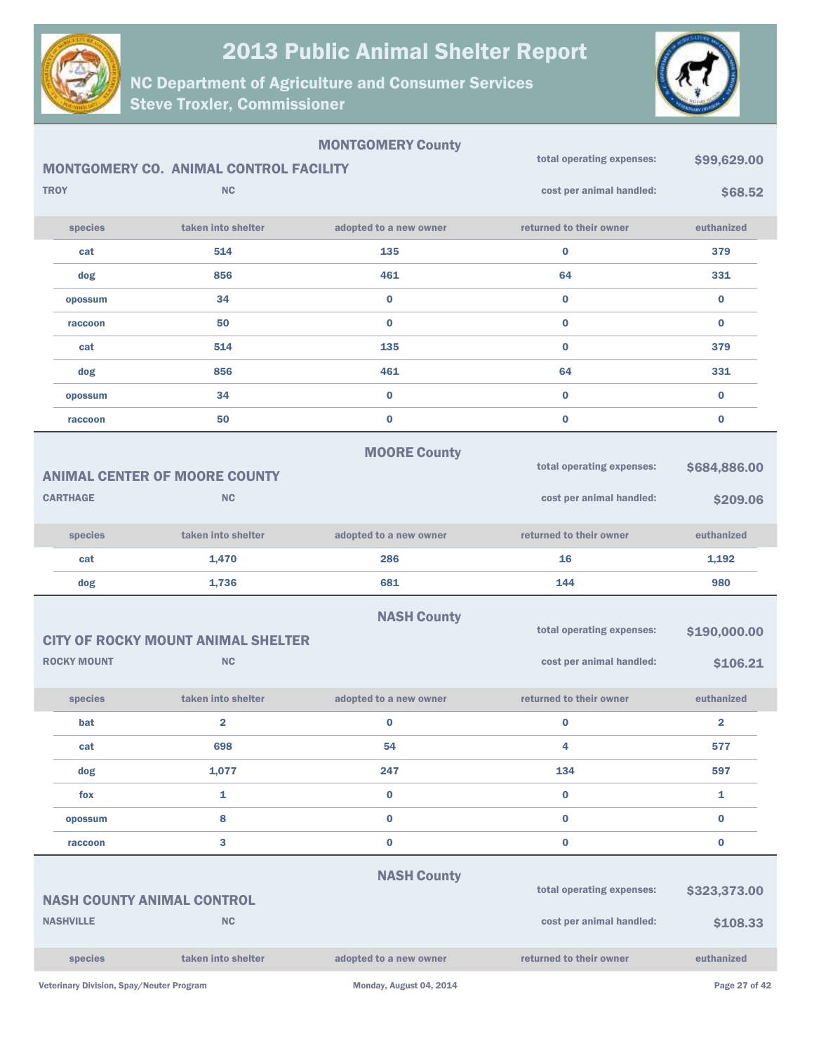



| <b>MONTGOMERY County</b> |                                           |                                        | total operating expenses: | \$99,629.00               |                         |
|--------------------------|-------------------------------------------|----------------------------------------|---------------------------|---------------------------|-------------------------|
|                          |                                           | MONTGOMERY CO. ANIMAL CONTROL FACILITY |                           |                           |                         |
|                          | <b>TROY</b>                               | <b>NC</b>                              |                           | cost per animal handled:  | \$68.52                 |
|                          | species                                   | taken into shelter                     | adopted to a new owner    | returned to their owner   | euthanized              |
|                          | cat                                       | 514                                    | 135                       | $\bf{0}$                  | 379                     |
|                          | dog                                       | 856                                    | 461                       | 64                        | 331                     |
|                          | opossum                                   | 34                                     | $\bf{0}$                  | $\bf{0}$                  | $\bf{0}$                |
|                          | raccoon                                   | 50                                     | $\bf{0}$                  | $\bf{0}$                  | $\bf{0}$                |
|                          | cat                                       | 514                                    | 135                       | $\bf{0}$                  | 379                     |
|                          | dog                                       | 856                                    | 461                       | 64                        | 331                     |
|                          | opossum                                   | 34                                     | $\bf{0}$                  | $\mathbf 0$               | $\bf{0}$                |
|                          | raccoon                                   | 50                                     | $\bf{0}$                  | $\bf{0}$                  | $\bf{0}$                |
|                          |                                           |                                        | <b>MOORE County</b>       |                           |                         |
|                          |                                           | <b>ANIMAL CENTER OF MOORE COUNTY</b>   |                           | total operating expenses: | \$684,886.00            |
|                          | <b>CARTHAGE</b>                           | <b>NC</b>                              |                           | cost per animal handled:  | \$209.06                |
|                          | species                                   | taken into shelter                     | adopted to a new owner    | returned to their owner   | euthanized              |
|                          | cat                                       | 1,470                                  | 286                       | 16                        | 1,192                   |
|                          | dog                                       | 1,736                                  | 681                       | 144                       | 980                     |
|                          |                                           |                                        | <b>NASH County</b>        |                           |                         |
|                          | <b>CITY OF ROCKY MOUNT ANIMAL SHELTER</b> |                                        |                           | total operating expenses: | \$190,000.00            |
|                          |                                           |                                        |                           |                           |                         |
|                          | <b>ROCKY MOUNT</b>                        | <b>NC</b>                              |                           | cost per animal handled:  | \$106.21                |
|                          | species                                   | taken into shelter                     | adopted to a new owner    | returned to their owner   | euthanized              |
|                          | bat                                       | $\overline{\mathbf{2}}$                | 0                         | $\bf{0}$                  | $\overline{\mathbf{2}}$ |
|                          | cat                                       | 698                                    | 54                        | 4                         | 577                     |
|                          | dog                                       | 1,077                                  | 247                       | 134                       | 597                     |
|                          | fox                                       | 1                                      | $\bf{0}$                  | $\bf{0}$                  | 1                       |
|                          | opossum                                   | 8                                      | $\bf{0}$                  | $\bf{0}$                  | $\bf{0}$                |
|                          | raccoon                                   | 3                                      | $\bf{0}$                  | $\bf{0}$                  | $\bf{0}$                |
|                          |                                           |                                        |                           |                           |                         |
|                          | <b>NASH COUNTY ANIMAL CONTROL</b>         |                                        | <b>NASH County</b>        | total operating expenses: | \$323,373.00            |
|                          | <b>NASHVILLE</b>                          | <b>NC</b>                              |                           | cost per animal handled:  | \$108.33                |
|                          | species                                   | taken into shelter                     | adopted to a new owner    | returned to their owner   | euthanized              |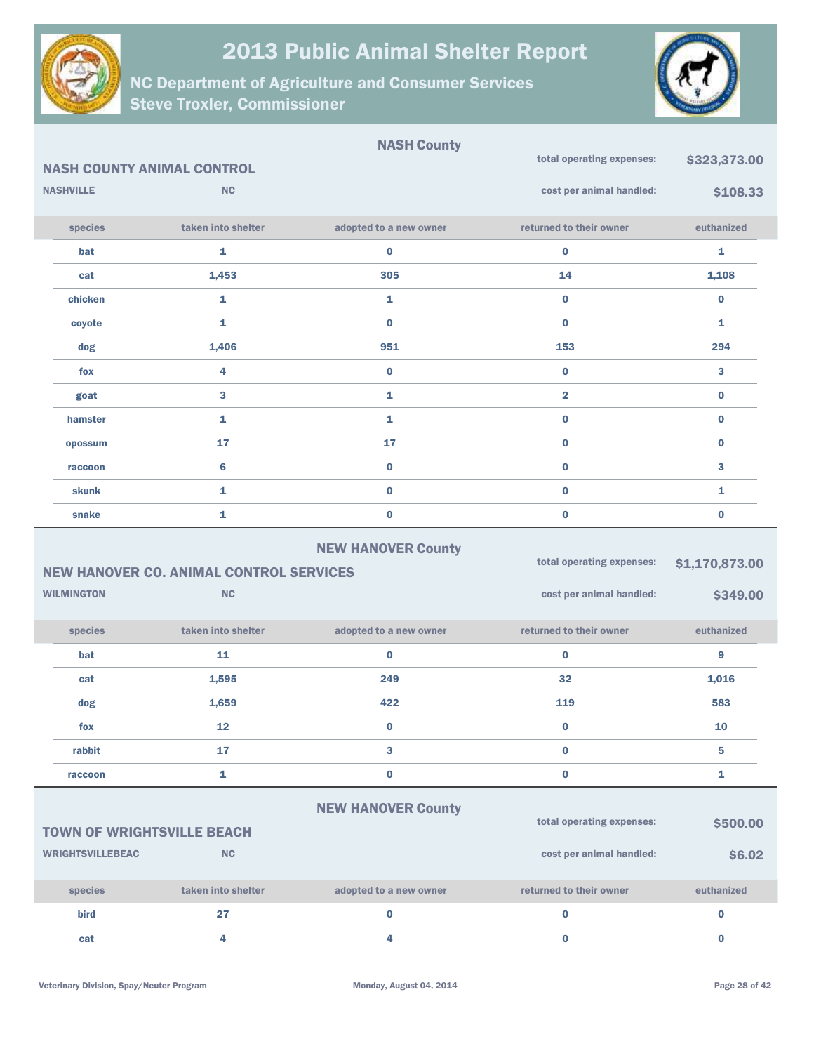

NC Department of Agriculture and Consumer Services Steve Troxler, Commissioner



|                                                                             |                                   | <b>NASH County</b>     |                           |                |
|-----------------------------------------------------------------------------|-----------------------------------|------------------------|---------------------------|----------------|
|                                                                             | <b>NASH COUNTY ANIMAL CONTROL</b> |                        | total operating expenses: | \$323,373.00   |
| <b>NASHVILLE</b>                                                            | <b>NC</b>                         |                        | cost per animal handled:  | \$108.33       |
| species                                                                     | taken into shelter                | adopted to a new owner | returned to their owner   | euthanized     |
| bat                                                                         | 1                                 | $\bf{0}$               | $\pmb{0}$                 | 1              |
| cat                                                                         | 1,453                             | 305                    | 14                        | 1,108          |
| chicken                                                                     | $\mathbf{1}$                      | 1                      | $\bf{0}$                  | $\bf{0}$       |
| coyote                                                                      | $\mathbf{1}$                      | $\bf{0}$               | $\bf{0}$                  | 1              |
| dog                                                                         | 1,406                             | 951                    | 153                       | 294            |
| fox                                                                         | $\overline{4}$                    | $\bf{0}$               | $\bf{0}$                  | 3              |
| goat                                                                        | 3                                 | 1                      | $\overline{\mathbf{2}}$   | $\bf{0}$       |
| hamster                                                                     | $\mathbf{1}$                      | 1                      | $\bf{0}$                  | $\bf{0}$       |
| opossum                                                                     | 17                                | 17                     | $\bf{0}$                  | $\bf{0}$       |
| raccoon                                                                     | $6\phantom{1}6$                   | $\mathbf 0$            | $\bf{0}$                  | 3              |
| <b>skunk</b>                                                                | $\mathbf{1}$                      | $\bf{0}$               | $\bf{0}$                  | $\mathbf{1}$   |
| snake                                                                       | $\mathbf{1}$                      | $\bf{0}$               | $\bf{0}$                  | $\bf{0}$       |
| <b>NEW HANOVER County</b><br><b>NEW HANOVER CO. ANIMAL CONTROL SERVICES</b> |                                   |                        | total operating expenses: | \$1,170,873.00 |
| <b>WILMINGTON</b>                                                           | <b>NC</b>                         |                        | cost per animal handled:  | \$349.00       |
| species                                                                     | taken into shelter                | adopted to a new owner | returned to their owner   | euthanized     |
| bat                                                                         | 11                                | $\bf{0}$               | $\bf{0}$                  | 9              |
| cat                                                                         | 1,595                             | 249                    | 32                        | 1,016          |
| dog                                                                         | 1,659                             | 422                    | 119                       | 583            |
| fox                                                                         | 12                                | $\bf{0}$               | $\bf{0}$                  | 10             |
| rabbit                                                                      | 17                                | 3                      | $\bf{0}$                  | 5              |

#### NEW HANOVER County

raccoon and  $\begin{array}{ccc} 1 & 0 & 0 & 0 \end{array}$ 

TOWN OF WRIGHTSVILLE BEACH WRIGHTSVILLEBEAC NC species taken into shelter adopted to a new owner returned to their owner euthanized total operating expenses:  $$500.00$ cost per animal handled:  $$6.02$ bird 27 0 0 0 cat the case of the case of the case of the case of the case of the case of the case of the case of the case o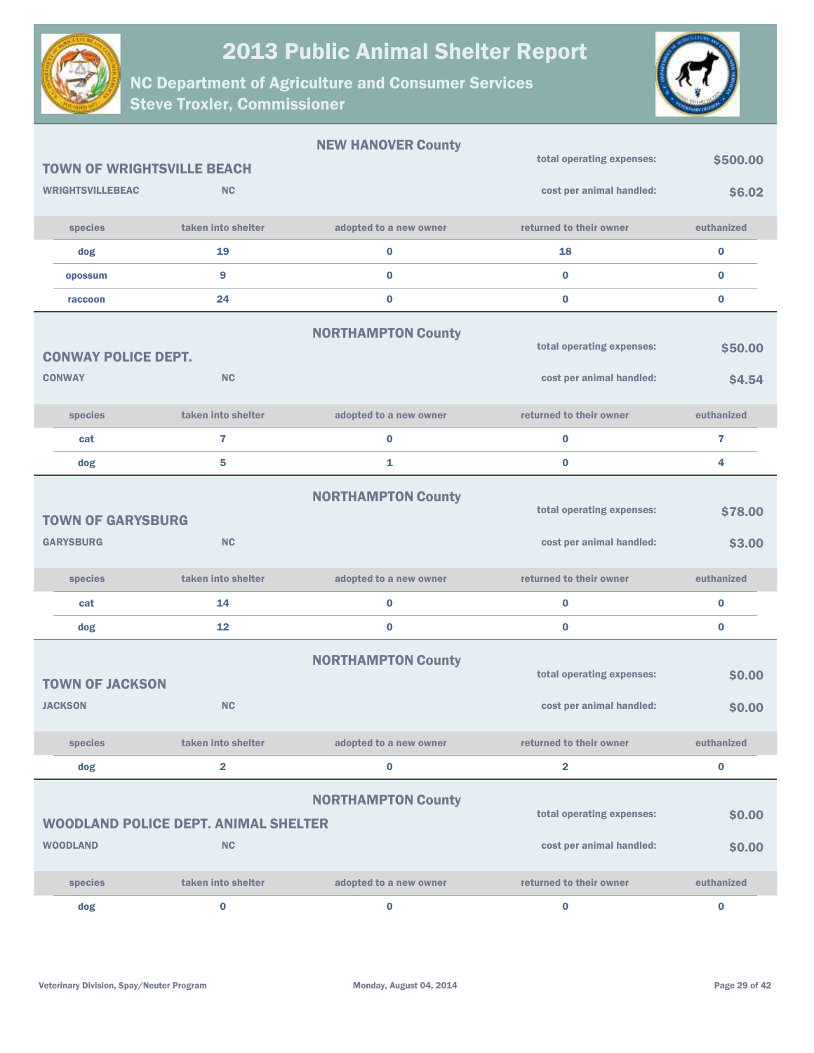



|                                   |                                             | <b>NEW HANOVER County</b> | total operating expenses: | \$500.00       |
|-----------------------------------|---------------------------------------------|---------------------------|---------------------------|----------------|
| <b>TOWN OF WRIGHTSVILLE BEACH</b> |                                             |                           |                           |                |
| <b>WRIGHTSVILLEBEAC</b>           | <b>NC</b>                                   |                           | cost per animal handled:  | \$6.02         |
| species                           | taken into shelter                          | adopted to a new owner    | returned to their owner   | euthanized     |
| dog                               | 19                                          | 0                         | 18                        | $\bf{0}$       |
| opossum                           | 9                                           | $\bf{0}$                  | $\bf{0}$                  | $\bf{0}$       |
| raccoon                           | 24                                          | 0                         | $\bf{0}$                  | $\bf{0}$       |
|                                   |                                             | <b>NORTHAMPTON County</b> |                           |                |
| <b>CONWAY POLICE DEPT.</b>        |                                             |                           | total operating expenses: | \$50.00        |
| <b>CONWAY</b>                     | <b>NC</b>                                   |                           | cost per animal handled:  | \$4.54         |
| species                           | taken into shelter                          | adopted to a new owner    | returned to their owner   | euthanized     |
| cat                               | 7                                           | 0                         | $\bf{0}$                  | $\overline{1}$ |
| dog                               | 5                                           | 1                         | $\bf{0}$                  | 4              |
|                                   |                                             | <b>NORTHAMPTON County</b> |                           |                |
| <b>TOWN OF GARYSBURG</b>          |                                             |                           | total operating expenses: | \$78.00        |
| <b>GARYSBURG</b>                  | <b>NC</b>                                   |                           | cost per animal handled:  | \$3.00         |
|                                   |                                             |                           |                           |                |
| species                           | taken into shelter                          | adopted to a new owner    | returned to their owner   | euthanized     |
| cat                               | 14                                          | 0                         | $\bf{0}$                  | $\bf{0}$       |
| dog                               | 12                                          | 0                         | $\bf{0}$                  | $\bf{0}$       |
|                                   |                                             | <b>NORTHAMPTON County</b> |                           |                |
| <b>TOWN OF JACKSON</b>            |                                             |                           | total operating expenses: | \$0.00         |
| <b>JACKSON</b>                    | <b>NC</b>                                   |                           | cost per animal handled:  | \$0.00         |
| species                           | taken into shelter                          | adopted to a new owner    | returned to their owner   | euthanized     |
| dog                               | $\overline{\mathbf{2}}$                     | 0                         | $\overline{\mathbf{2}}$   | $\bf{0}$       |
|                                   |                                             |                           |                           |                |
|                                   |                                             | <b>NORTHAMPTON County</b> | total operating expenses: | \$0.00         |
|                                   | <b>WOODLAND POLICE DEPT. ANIMAL SHELTER</b> |                           |                           |                |
| <b>WOODLAND</b>                   | <b>NC</b>                                   |                           | cost per animal handled:  | \$0.00         |
| species                           | taken into shelter                          | adopted to a new owner    | returned to their owner   | euthanized     |
| dog                               | 0                                           | 0                         | $\bf{0}$                  | $\bf{0}$       |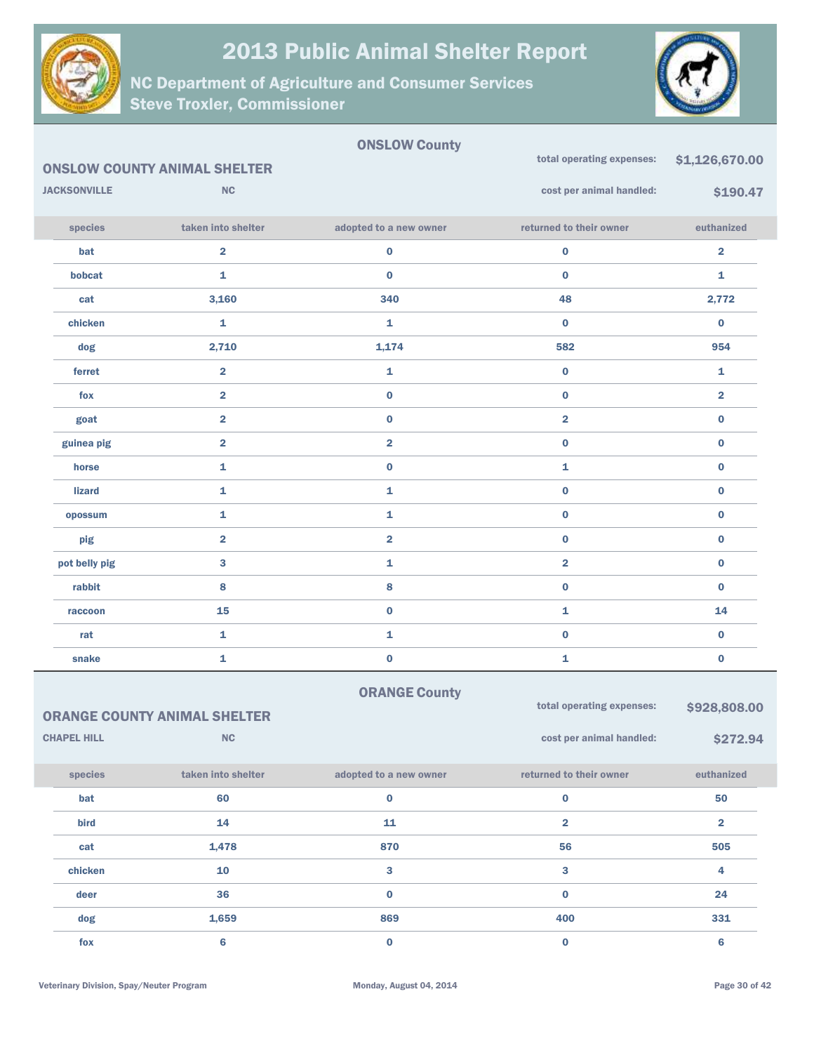



|                     |                                     | <b>ONSLOW County</b>    |                           |                         |
|---------------------|-------------------------------------|-------------------------|---------------------------|-------------------------|
|                     | <b>ONSLOW COUNTY ANIMAL SHELTER</b> |                         | total operating expenses: | \$1,126,670.00          |
| <b>JACKSONVILLE</b> | <b>NC</b>                           |                         | cost per animal handled:  | \$190.47                |
| species             | taken into shelter                  | adopted to a new owner  | returned to their owner   | euthanized              |
| bat                 | $\overline{\mathbf{2}}$             | $\bf{0}$                | $\pmb{0}$                 | $\overline{\mathbf{2}}$ |
| bobcat              | $\mathbf{1}$                        | $\bf{0}$                | $\bf{0}$                  | 1                       |
| cat                 | 3,160                               | 340                     | 48                        | 2,772                   |
| chicken             | 1                                   | $\mathbf{1}$            | $\bf{0}$                  | $\bf{0}$                |
| dog                 | 2,710                               | 1,174                   | 582                       | 954                     |
| ferret              | $\overline{\mathbf{2}}$             | $\mathbf{1}$            | $\bf{0}$                  | 1                       |
| fox                 | $\overline{2}$                      | $\bf{0}$                | $\bf{0}$                  | $\overline{\mathbf{2}}$ |
| goat                | $\overline{\mathbf{2}}$             | $\bf{0}$                | $\overline{\mathbf{2}}$   | $\bf{0}$                |
| guinea pig          | $\overline{\mathbf{2}}$             | $\overline{\mathbf{2}}$ | $\bf{0}$                  | $\bf{0}$                |
| horse               | $\mathbf{1}$                        | $\bf{0}$                | 1                         | $\bf{0}$                |
| <b>lizard</b>       | $\mathbf{1}$                        | $\mathbf{1}$            | $\bf{0}$                  | $\bf{0}$                |
| opossum             | $\mathbf{1}$                        | 1                       | $\bf{0}$                  | $\bf{0}$                |
| pig                 | $\overline{\mathbf{2}}$             | $\overline{\mathbf{2}}$ | $\pmb{0}$                 | $\bf{0}$                |
| pot belly pig       | 3                                   | $\mathbf{1}$            | $\overline{\mathbf{2}}$   | $\bf{0}$                |
| rabbit              | 8                                   | 8                       | $\bf{0}$                  | $\bf{0}$                |
| raccoon             | 15                                  | $\bf{0}$                | 1                         | 14                      |
| rat                 | 1                                   | 1                       | $\pmb{0}$                 | $\bf{0}$                |
| snake               | 1                                   | $\bf{0}$                | 1                         | $\bf{0}$                |

| <b>ORANGE County</b> |  |
|----------------------|--|
|----------------------|--|

|                    | <b>ORANGE COUNTY ANIMAL SHELTER</b> | total operating expenses: | \$928,808.00             |            |
|--------------------|-------------------------------------|---------------------------|--------------------------|------------|
| <b>CHAPEL HILL</b> | NC                                  |                           | cost per animal handled: | \$272.94   |
| species            | taken into shelter                  | adopted to a new owner    | returned to their owner  | euthanized |
| bat                | 60                                  | $\bf{0}$                  | 0                        | 50         |
| <b>bird</b>        | 14                                  | 11                        | 2                        | 2          |
| cat                | 1,478                               | 870                       | 56                       | 505        |
| chicken            | 10                                  | 3                         | 3                        | 4          |
| deer               | 36                                  | $\bf{0}$                  | $\bf{0}$                 | 24         |
| dog                | 1,659                               | 869                       | 400                      | 331        |
| fox                | 6                                   | $\bf{0}$                  | 0                        | 6          |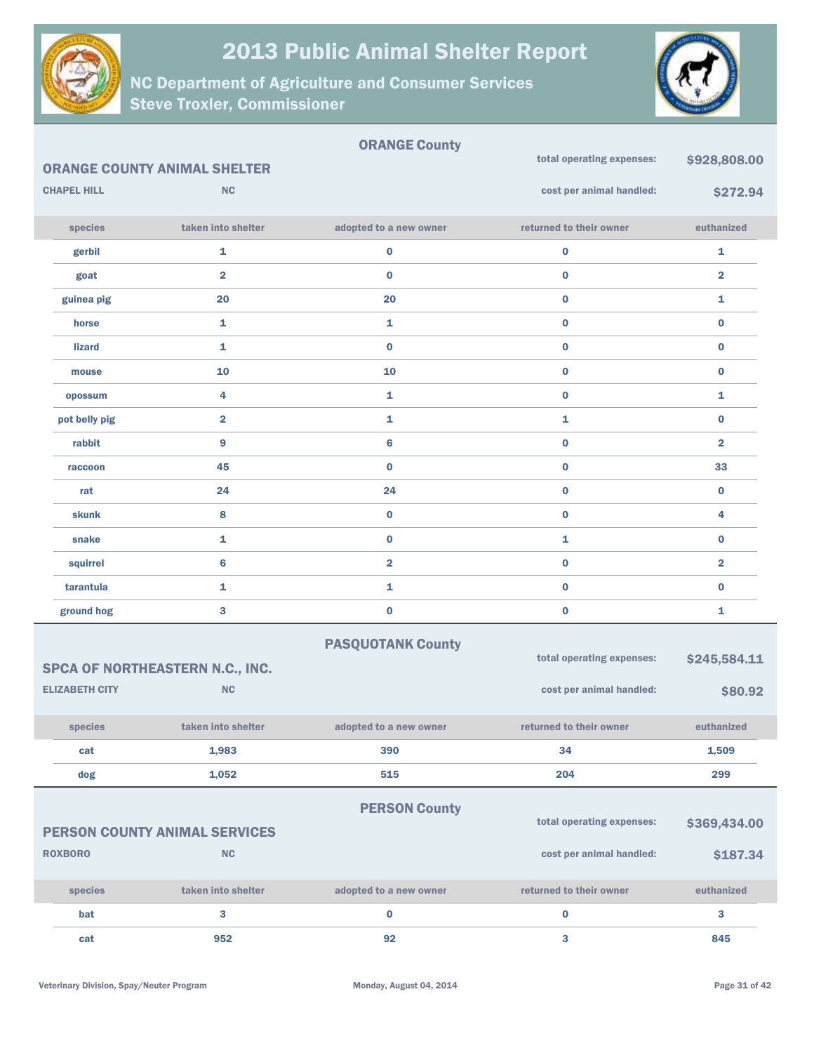



|                       |                                      | <b>ORANGE County</b>     | total operating expenses: | \$928,808.00            |
|-----------------------|--------------------------------------|--------------------------|---------------------------|-------------------------|
|                       | <b>ORANGE COUNTY ANIMAL SHELTER</b>  |                          |                           |                         |
| <b>CHAPEL HILL</b>    | <b>NC</b>                            |                          | cost per animal handled:  | \$272.94                |
| species               | taken into shelter                   | adopted to a new owner   | returned to their owner   | euthanized              |
| gerbil                | 1                                    | 0                        | $\mathbf 0$               | 1                       |
| goat                  | $\overline{\mathbf{2}}$              | $\bf{0}$                 | $\bf{0}$                  | $\overline{\mathbf{2}}$ |
| guinea pig            | 20                                   | 20                       | $\bf{0}$                  | 1                       |
| horse                 | 1                                    | 1                        | $\bf{0}$                  | $\bf{0}$                |
| <b>lizard</b>         | 1                                    | $\bf{0}$                 | $\bf{0}$                  | $\bf{0}$                |
| mouse                 | 10                                   | 10                       | $\bf{0}$                  | $\bf{0}$                |
| opossum               | 4                                    | 1                        | $\bf{0}$                  | 1                       |
| pot belly pig         | $\overline{\mathbf{2}}$              | 1                        | 1                         | $\bf{0}$                |
| rabbit                | 9                                    | 6                        | $\bf{0}$                  | $\overline{\mathbf{2}}$ |
| raccoon               | 45                                   | $\bf{0}$                 | $\bf{0}$                  | 33                      |
| rat                   | 24                                   | 24                       | $\bf{0}$                  | $\bf{0}$                |
| <b>skunk</b>          | 8                                    | $\bf{0}$                 | $\bf{0}$                  | 4                       |
| snake                 | 1                                    | $\bf{0}$                 | 1                         | $\bf{0}$                |
| squirrel              | 6                                    | $\overline{\mathbf{2}}$  | $\bf{0}$                  | $\overline{\mathbf{2}}$ |
| tarantula             | 1                                    | 1                        | $\bf{0}$                  | $\bf{0}$                |
| ground hog            | 3                                    | $\bf{0}$                 | $\bf{0}$                  | 1                       |
|                       |                                      | <b>PASQUOTANK County</b> |                           |                         |
|                       | SPCA OF NORTHEASTERN N.C., INC.      |                          | total operating expenses: | \$245,584.11            |
| <b>ELIZABETH CITY</b> | <b>NC</b>                            |                          | cost per animal handled:  | \$80.92                 |
| species               | taken into shelter                   | adopted to a new owner   | returned to their owner   | euthanized              |
| cat                   | 1,983                                | 390                      | 34                        | 1,509                   |
| dog                   | 1,052                                | 515                      | 204                       | 299                     |
|                       |                                      | <b>PERSON County</b>     |                           |                         |
|                       | <b>PERSON COUNTY ANIMAL SERVICES</b> |                          | total operating expenses: | \$369,434.00            |
| <b>ROXBORO</b>        | NC                                   |                          | cost per animal handled:  | \$187.34                |
|                       |                                      |                          |                           |                         |
| species               | taken into shelter                   | adopted to a new owner   | returned to their owner   | euthanized              |
| bat                   | 3                                    | $\bf{0}$                 | $\bf{0}$                  | 3                       |
| cat                   | 952                                  | 92                       | 3                         | 845                     |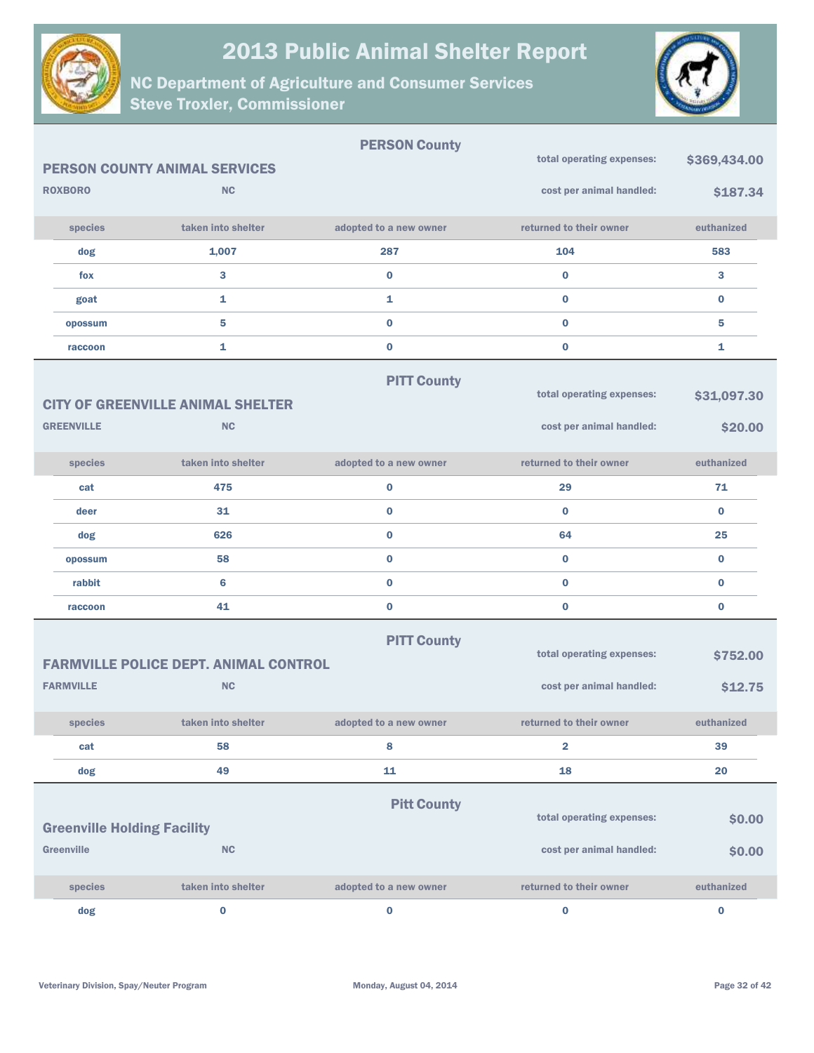



|                                                  |                                                           | <b>PERSON County</b>   |                                                       |                        |
|--------------------------------------------------|-----------------------------------------------------------|------------------------|-------------------------------------------------------|------------------------|
|                                                  | <b>PERSON COUNTY ANIMAL SERVICES</b>                      |                        | total operating expenses:                             | \$369,434.00           |
| <b>ROXBORO</b>                                   | <b>NC</b>                                                 |                        | cost per animal handled:                              | \$187.34               |
| species                                          | taken into shelter                                        | adopted to a new owner | returned to their owner                               | euthanized             |
| dog                                              | 1,007                                                     | 287                    | 104                                                   | 583                    |
| fox                                              | 3                                                         | $\bf{0}$               | $\bf{0}$                                              | 3                      |
| goat                                             | $\mathbf{1}$                                              | 1                      | $\bf{0}$                                              | $\bf{0}$               |
| opossum                                          | 5                                                         | $\bf{0}$               | $\bf{0}$                                              | 5                      |
| raccoon                                          | $\mathbf{1}$                                              | $\bf{0}$               | $\bf{0}$                                              | 1                      |
| <b>GREENVILLE</b>                                | <b>CITY OF GREENVILLE ANIMAL SHELTER</b><br><b>NC</b>     | <b>PITT County</b>     | total operating expenses:<br>cost per animal handled: | \$31,097.30<br>\$20.00 |
| species                                          | taken into shelter                                        | adopted to a new owner | returned to their owner                               | euthanized             |
| cat                                              | 475                                                       | $\bf{0}$               | 29                                                    | 71                     |
| deer                                             | 31                                                        | $\pmb{0}$              | $\bf{0}$                                              | $\bf{0}$               |
| dog                                              | 626                                                       | $\bf{0}$               | 64                                                    | 25                     |
| opossum                                          | 58                                                        | $\pmb{0}$              | $\bf{0}$                                              | $\bf{0}$               |
| rabbit                                           | 6                                                         | $\bf{0}$               | $\bf{0}$                                              | $\bf{0}$               |
| raccoon                                          | 41                                                        | $\pmb{0}$              | $\bf{0}$                                              | $\bf{0}$               |
| <b>FARMVILLE</b>                                 | <b>FARMVILLE POLICE DEPT. ANIMAL CONTROL</b><br><b>NC</b> | <b>PITT County</b>     | total operating expenses:<br>cost per animal handled: | \$752.00<br>\$12.75    |
| species                                          | taken into shelter                                        | adopted to a new owner | returned to their owner                               | euthanized             |
| cat                                              | 58                                                        | 8                      | $\overline{2}$                                        | 39                     |
| dog                                              | 49                                                        | 11                     | 18                                                    | 20                     |
| <b>Greenville Holding Facility</b><br>Greenville | NC                                                        | <b>Pitt County</b>     | total operating expenses:<br>cost per animal handled: | \$0.00<br>\$0.00       |
| species                                          | taken into shelter                                        | adopted to a new owner | returned to their owner                               | euthanized             |
| dog                                              | $\mathbf 0$                                               | $\bf{0}$               | $\bf{0}$                                              | $\mathbf 0$            |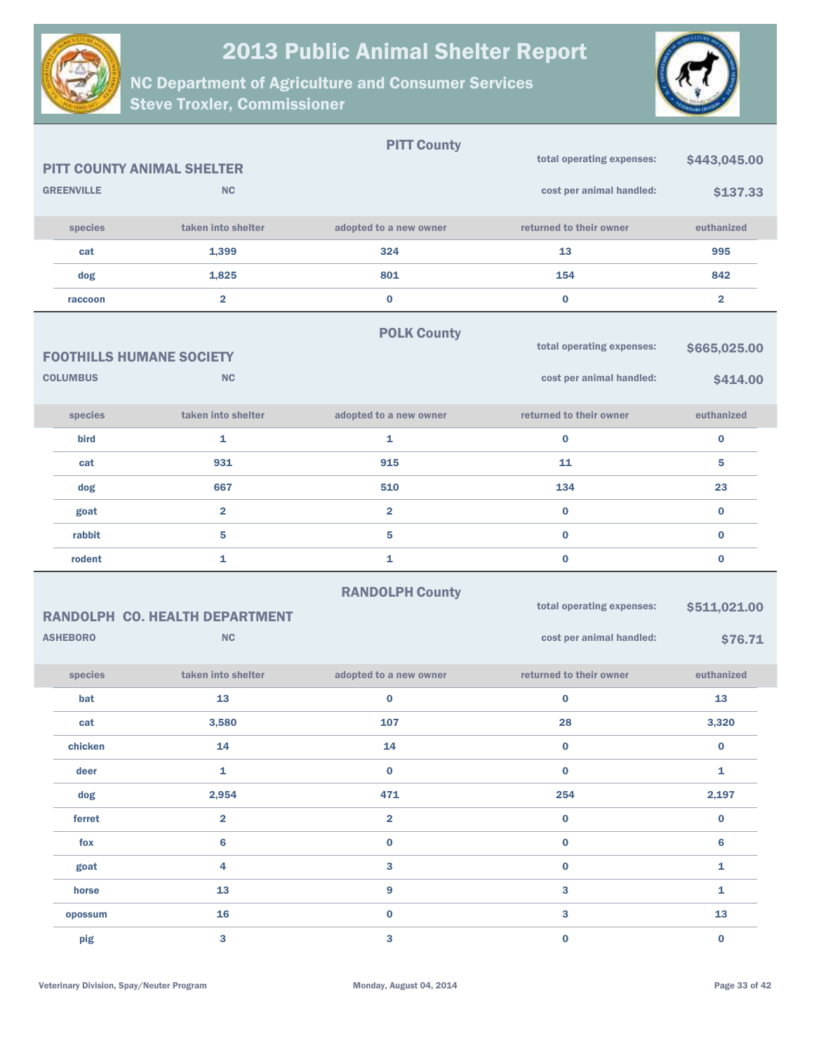



|                                   |                                       | <b>PITT County</b>      |                           |                |
|-----------------------------------|---------------------------------------|-------------------------|---------------------------|----------------|
| <b>PITT COUNTY ANIMAL SHELTER</b> |                                       |                         | total operating expenses: | \$443,045.00   |
| <b>GREENVILLE</b>                 | <b>NC</b>                             |                         | cost per animal handled:  | \$137.33       |
| species                           | taken into shelter                    | adopted to a new owner  | returned to their owner   | euthanized     |
| cat                               | 1,399                                 | 324                     | 13                        | 995            |
| dog                               | 1,825                                 | 801                     | 154                       | 842            |
| raccoon                           | $\overline{2}$                        | $\pmb{0}$               | $\bf{0}$                  | $\overline{2}$ |
|                                   |                                       | <b>POLK County</b>      |                           |                |
| <b>FOOTHILLS HUMANE SOCIETY</b>   |                                       |                         | total operating expenses: | \$665,025.00   |
| <b>COLUMBUS</b>                   | <b>NC</b>                             |                         | cost per animal handled:  | \$414.00       |
| species                           | taken into shelter                    | adopted to a new owner  | returned to their owner   | euthanized     |
| bird                              | $\mathbf{1}$                          | 1                       | $\bf{0}$                  | $\bf{0}$       |
| cat                               | 931                                   | 915                     | 11                        | 5              |
| dog                               | 667                                   | 510                     | 134                       | 23             |
| goat                              | $\overline{\mathbf{2}}$               | $\overline{\mathbf{2}}$ | $\bf{0}$                  | $\bf{0}$       |
| rabbit                            | 5                                     | $\sqrt{5}$              | $\bf{0}$                  | $\bf{0}$       |
| rodent                            | 1                                     | 1                       | $\bf{0}$                  | $\bf{0}$       |
|                                   | <b>RANDOLPH CO. HEALTH DEPARTMENT</b> | <b>RANDOLPH County</b>  | total operating expenses: | \$511,021.00   |
| <b>ASHEBORO</b>                   | NC                                    |                         | cost per animal handled:  | \$76.71        |
| species                           | taken into shelter                    | adopted to a new owner  | returned to their owner   | euthanized     |
| bat                               | 13                                    | $\bf{0}$                | $\bf{0}$                  | 13             |
| cat                               | 3,580                                 | 107                     | 28                        | 3,320          |
| chicken                           | 14                                    | 14                      | $\bf{0}$                  | $\bf{0}$       |
| deer                              | 1                                     | $\bf{0}$                | $\bf{0}$                  | $\mathbf{1}$   |
| dog                               | 2,954                                 | 471                     | 254                       | 2,197          |
| ferret                            | $\overline{\mathbf{2}}$               | $\overline{\mathbf{2}}$ | $\mathbf 0$               | $\bf{0}$       |
| fox                               | $6\phantom{a}$                        | $\pmb{0}$               | $\mathbf 0$               | $6\phantom{1}$ |
| goat                              | 4                                     | $\mathbf{3}$            | $\mathbf 0$               | 1              |
| horse                             |                                       | $\boldsymbol{9}$        | 3                         | 1              |
|                                   | 13                                    |                         |                           |                |
| opossum                           | 16                                    | $\pmb{0}$               | 3                         | 13             |
| pig                               | 3                                     | $\bf{3}$                | $\bf{0}$                  | $\mathbf 0$    |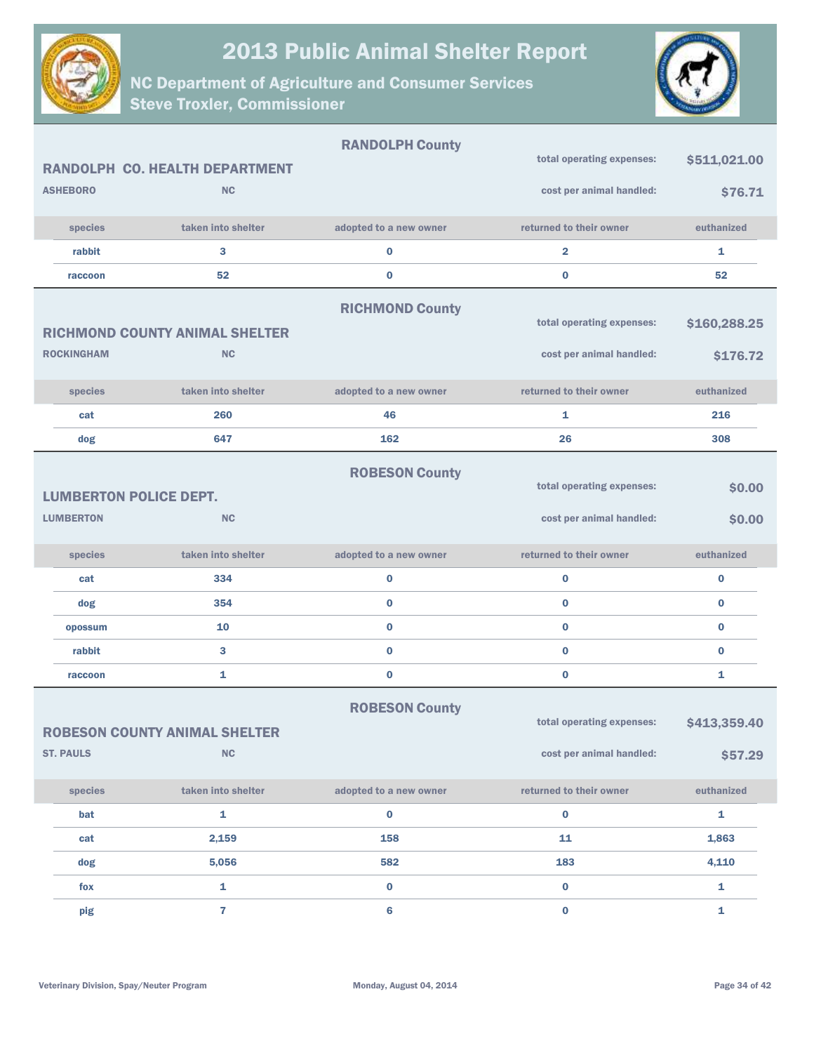



|                               |                                       | <b>RANDOLPH County</b> |                           |              |
|-------------------------------|---------------------------------------|------------------------|---------------------------|--------------|
|                               | <b>RANDOLPH CO. HEALTH DEPARTMENT</b> |                        | total operating expenses: | \$511,021.00 |
| <b>ASHEBORO</b>               | <b>NC</b>                             |                        | cost per animal handled:  | \$76.71      |
| species                       | taken into shelter                    | adopted to a new owner | returned to their owner   | euthanized   |
| rabbit                        | 3                                     | $\bf{0}$               | $\overline{\mathbf{2}}$   | 1            |
| raccoon                       | 52                                    | $\bf{0}$               | $\bf{0}$                  | 52           |
|                               |                                       | <b>RICHMOND County</b> |                           |              |
|                               | <b>RICHMOND COUNTY ANIMAL SHELTER</b> |                        | total operating expenses: | \$160,288.25 |
| <b>ROCKINGHAM</b>             | <b>NC</b>                             |                        | cost per animal handled:  | \$176.72     |
| species                       | taken into shelter                    | adopted to a new owner | returned to their owner   | euthanized   |
| cat                           | 260                                   | 46                     | 1                         | 216          |
| dog                           | 647                                   | 162                    | 26                        | 308          |
|                               |                                       | <b>ROBESON County</b>  |                           |              |
| <b>LUMBERTON POLICE DEPT.</b> |                                       |                        | total operating expenses: | \$0.00       |
| <b>LUMBERTON</b>              | <b>NC</b>                             |                        | cost per animal handled:  | \$0.00       |
| species                       | taken into shelter                    | adopted to a new owner | returned to their owner   | euthanized   |
| cat                           | 334                                   | $\bf{0}$               | $\bf{0}$                  | $\bf{0}$     |
| dog                           | 354                                   | $\bf{0}$               | $\bf{0}$                  | $\bf{0}$     |
| opossum                       | 10                                    | $\bf{0}$               | $\bf{0}$                  | $\bf{0}$     |
| rabbit                        | 3                                     | $\bf{0}$               | $\bf{0}$                  | $\bf{0}$     |
| raccoon                       | 1                                     | $\bf{0}$               | $\bf{0}$                  | 1            |
|                               |                                       | <b>ROBESON County</b>  |                           |              |
|                               | <b>ROBESON COUNTY ANIMAL SHELTER</b>  |                        | total operating expenses: | \$413,359.40 |
| <b>ST. PAULS</b>              | NC                                    |                        | cost per animal handled:  | \$57.29      |
| species                       | taken into shelter                    | adopted to a new owner | returned to their owner   | euthanized   |
| bat                           | $\mathbf{1}$                          | $\bf{0}$               | $\mathbf 0$               | $\mathbf{1}$ |
| cat                           | 2,159                                 | 158                    | 11                        | 1,863        |
| dog                           | 5,056                                 | 582                    | 183                       | 4,110        |
| fox                           | 1                                     | $\bf{0}$               | $\mathbf 0$               | $\mathbf{1}$ |
| pig                           | $\overline{7}$                        | $\bf 6$                | $\bf{0}$                  | $\mathbf{1}$ |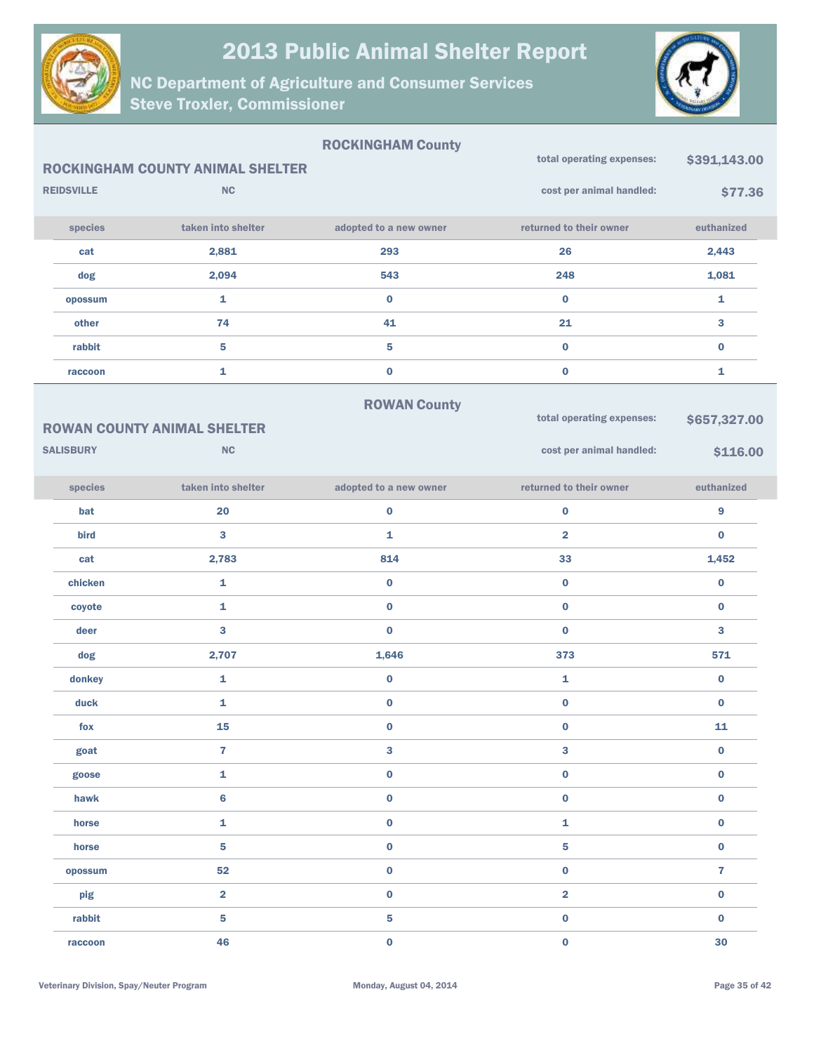



|                   |                                         | <b>ROCKINGHAM County</b> |                           |                |
|-------------------|-----------------------------------------|--------------------------|---------------------------|----------------|
|                   | <b>ROCKINGHAM COUNTY ANIMAL SHELTER</b> |                          | total operating expenses: | \$391,143.00   |
| <b>REIDSVILLE</b> | <b>NC</b>                               |                          | cost per animal handled:  | \$77.36        |
| species           | taken into shelter                      | adopted to a new owner   | returned to their owner   | euthanized     |
| cat               | 2,881                                   | 293                      | 26                        | 2,443          |
| dog               | 2,094                                   | 543                      | 248                       | 1,081          |
| opossum           | $\mathbf{1}$                            | $\mathbf 0$              | $\mathbf{0}$              | $\mathbf{1}$   |
| other             | 74                                      | 41                       | 21                        | 3              |
| rabbit            | 5                                       | 5                        | $\mathbf 0$               | $\bf{0}$       |
| raccoon           | 1                                       | $\mathbf 0$              | $\bf{0}$                  | 1              |
|                   |                                         | <b>ROWAN County</b>      |                           |                |
|                   | <b>ROWAN COUNTY ANIMAL SHELTER</b>      |                          | total operating expenses: | \$657,327.00   |
| <b>SALISBURY</b>  | <b>NC</b>                               |                          | cost per animal handled:  | \$116.00       |
| species           | taken into shelter                      | adopted to a new owner   | returned to their owner   | euthanized     |
| bat               | 20                                      | $\mathbf 0$              | $\mathbf 0$               | 9              |
| bird              | 3                                       | $\mathbf{1}$             | $\overline{2}$            | $\mathbf{0}$   |
| cat               | 2,783                                   | 814                      | 33                        | 1,452          |
| chicken           | $\mathbf{1}$                            | $\mathbf 0$              | $\mathbf 0$               | $\bf{0}$       |
| coyote            | 1                                       | $\mathbf 0$              | $\bf{0}$                  | $\bf{0}$       |
| deer              | 3                                       | $\bf{0}$                 | $\mathbf{0}$              | 3              |
| dog               | 2,707                                   | 1,646                    | 373                       | 571            |
| donkey            | $\mathbf{1}$                            | $\pmb{0}$                | 1                         | $\bf{0}$       |
| duck              | 1                                       | $\mathbf 0$              | $\bf{0}$                  | $\bf{0}$       |
| fox               | 15                                      | $\bf{0}$                 | $\bf{0}$                  | 11             |
| goat              | $\overline{7}$                          | 3                        | $\mathbf{3}$              | $\mathbf 0$    |
| goose             | $\mathbf 1$                             | $\pmb{0}$                | $\mathbf 0$               | $\mathbf 0$    |
| hawk              | $6\phantom{a}$                          | $\mathbf 0$              | $\mathbf 0$               | $\mathbf 0$    |
| horse             | $\mathbf 1$                             | $\mathbf 0$              | $\mathbf 1$               | $\mathbf 0$    |
| horse             | 5                                       | $\pmb{0}$                | 5                         | $\mathbf 0$    |
| opossum           | 52                                      | $\mathbf 0$              | $\mathbf 0$               | $\overline{7}$ |
| pig               | $\overline{\mathbf{2}}$                 | $\pmb{0}$                | $\overline{\mathbf{2}}$   | $\mathbf 0$    |
| rabbit            | 5                                       | $\overline{\mathbf{5}}$  | $\mathbf 0$               | $\bf{0}$       |
| raccoon           | 46                                      | $\mathbf 0$              | $\mathbf 0$               | 30             |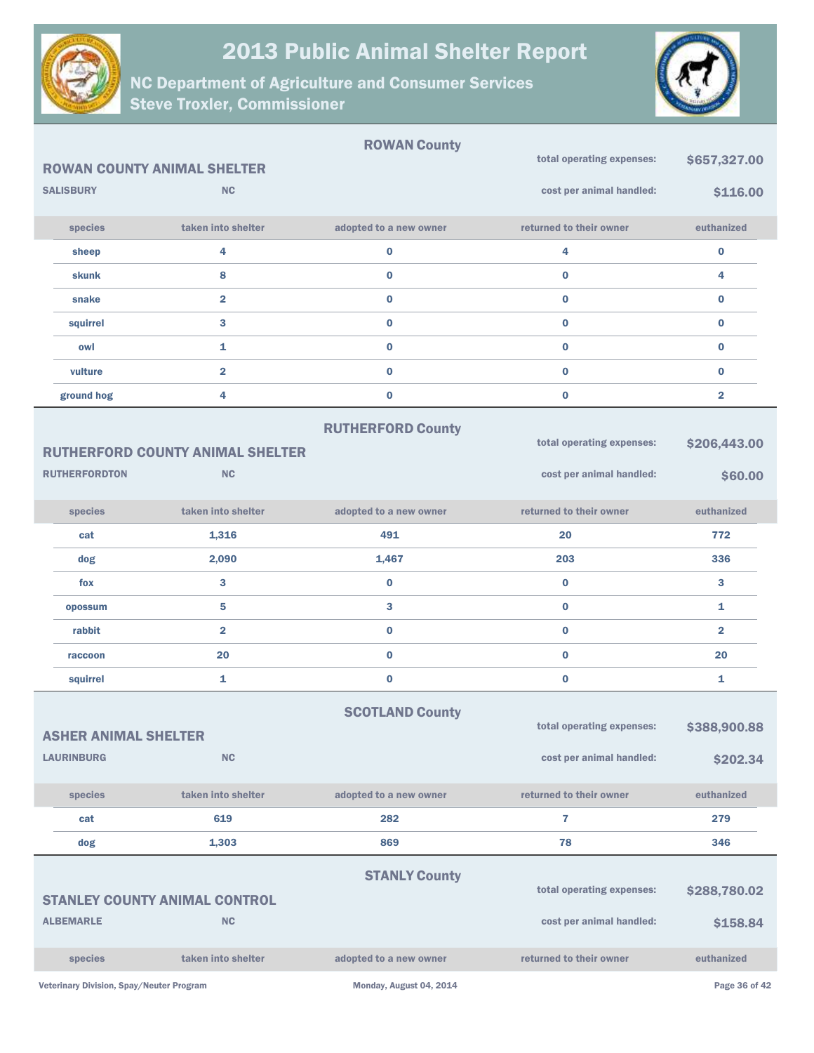



|                                                  |                                                      | <b>ROWAN County</b>      |                                                       |                          |
|--------------------------------------------------|------------------------------------------------------|--------------------------|-------------------------------------------------------|--------------------------|
|                                                  | <b>ROWAN COUNTY ANIMAL SHELTER</b>                   |                          | total operating expenses:                             | \$657,327.00             |
| <b>SALISBURY</b>                                 | <b>NC</b>                                            |                          | cost per animal handled:                              | \$116.00                 |
| species                                          | taken into shelter                                   | adopted to a new owner   | returned to their owner                               | euthanized               |
| sheep                                            | 4                                                    | 0                        | 4                                                     | $\bf{0}$                 |
| skunk                                            | 8                                                    | $\bf{0}$                 | $\bf{0}$                                              | 4                        |
| snake                                            | $\overline{2}$                                       | $\bf{0}$                 | $\bf{0}$                                              | $\bf{0}$                 |
| squirrel                                         | 3                                                    | $\bf{0}$                 | $\bf{0}$                                              | $\bf{0}$                 |
| owl                                              | 1                                                    | $\bf{0}$                 | $\bf{0}$                                              | $\bf{0}$                 |
| vulture                                          | $\overline{\mathbf{2}}$                              | $\bf{0}$                 | $\bf{0}$                                              | $\bf{0}$                 |
| ground hog                                       | 4                                                    | $\pmb{0}$                | $\bf{0}$                                              | $\overline{2}$           |
| <b>RUTHERFORDTON</b>                             | <b>RUTHERFORD COUNTY ANIMAL SHELTER</b><br><b>NC</b> | <b>RUTHERFORD County</b> | total operating expenses:<br>cost per animal handled: | \$206,443.00<br>\$60.00  |
| species                                          | taken into shelter                                   | adopted to a new owner   | returned to their owner                               | euthanized               |
| cat                                              | 1,316                                                | 491                      | 20                                                    | 772                      |
| dog                                              | 2,090                                                | 1,467                    | 203                                                   | 336                      |
| fox                                              | 3                                                    | $\pmb{0}$                | $\bf{0}$                                              | 3                        |
| opossum                                          | 5                                                    | 3                        | $\bf{0}$                                              | 1                        |
| rabbit                                           | $\overline{\mathbf{2}}$                              | $\bf{0}$                 | $\bf{0}$                                              | $\overline{\mathbf{2}}$  |
| raccoon                                          | 20                                                   | $\bf{0}$                 | $\bf{0}$                                              | 20                       |
| squirrel                                         | 1                                                    | $\pmb{0}$                | $\bf{0}$                                              | 1                        |
| <b>ASHER ANIMAL SHELTER</b><br><b>LAURINBURG</b> | <b>NC</b>                                            | <b>SCOTLAND County</b>   | total operating expenses:<br>cost per animal handled: | \$388,900.88<br>\$202.34 |
| species                                          | taken into shelter                                   | adopted to a new owner   | returned to their owner                               | euthanized               |
| cat                                              | 619                                                  | 282                      | 7                                                     | 279                      |
| dog                                              | 1,303                                                | 869                      | 78                                                    | 346                      |
| <b>ALBEMARLE</b>                                 | <b>STANLEY COUNTY ANIMAL CONTROL</b><br><b>NC</b>    | <b>STANLY County</b>     | total operating expenses:<br>cost per animal handled: | \$288,780.02<br>\$158.84 |
| species                                          | taken into shelter                                   | adopted to a new owner   | returned to their owner                               | euthanized               |
| Veterinary Division, Spay/Neuter Program         |                                                      | Monday, August 04, 2014  |                                                       | Page 36 of 42            |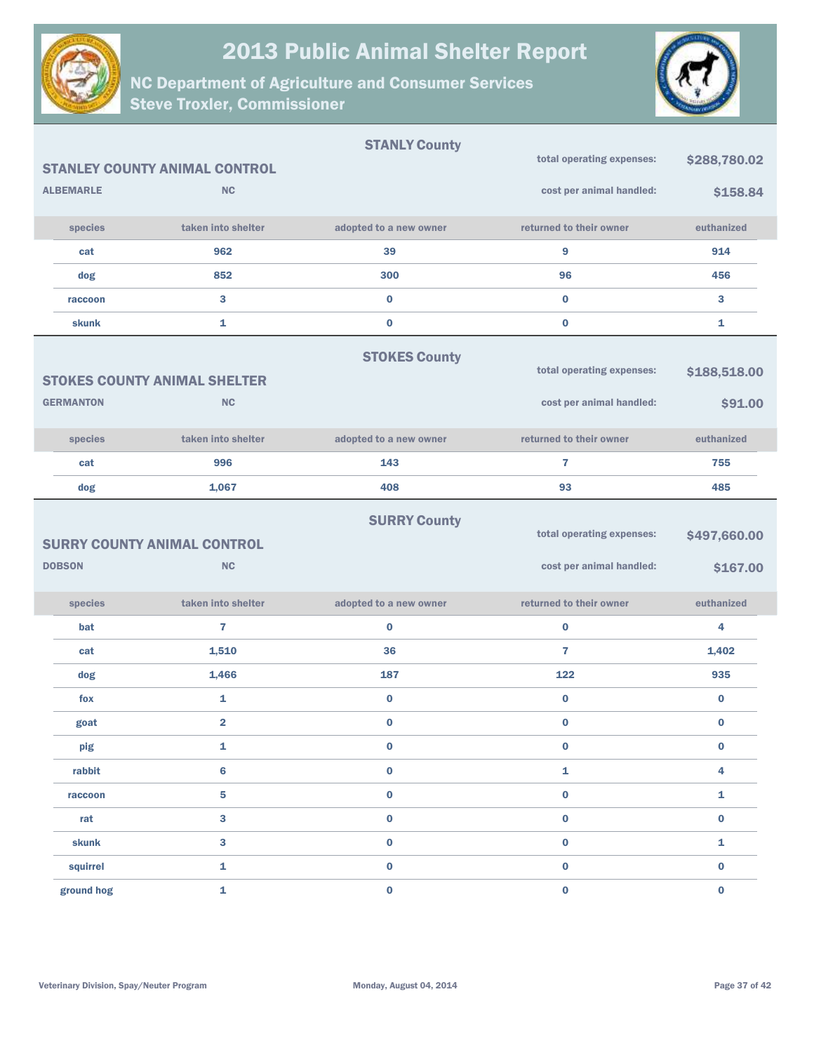



|                  |                                                  | <b>STANLY County</b>   |                                                       |                          |
|------------------|--------------------------------------------------|------------------------|-------------------------------------------------------|--------------------------|
|                  | <b>STANLEY COUNTY ANIMAL CONTROL</b>             |                        | total operating expenses:                             | \$288,780.02             |
| <b>ALBEMARLE</b> | <b>NC</b>                                        |                        | cost per animal handled:                              | \$158.84                 |
| species          | taken into shelter                               | adopted to a new owner | returned to their owner                               | euthanized               |
| cat              | 962                                              | 39                     | 9                                                     | 914                      |
| dog              | 852                                              | 300                    | 96                                                    | 456                      |
| raccoon          | 3                                                | $\bf{0}$               | $\mathbf{0}$                                          | 3                        |
| skunk            | 1                                                | $\bf{0}$               | $\bf{0}$                                              | 1                        |
| <b>GERMANTON</b> | <b>STOKES COUNTY ANIMAL SHELTER</b><br><b>NC</b> | <b>STOKES County</b>   | total operating expenses:<br>cost per animal handled: | \$188,518.00<br>\$91.00  |
|                  |                                                  |                        |                                                       |                          |
| species          | taken into shelter                               | adopted to a new owner | returned to their owner                               | euthanized               |
| cat              | 996                                              | 143                    | $\overline{7}$                                        | 755                      |
| dog              | 1,067                                            | 408                    | 93                                                    | 485                      |
| <b>DOBSON</b>    | <b>SURRY COUNTY ANIMAL CONTROL</b><br><b>NC</b>  | <b>SURRY County</b>    | total operating expenses:<br>cost per animal handled: | \$497,660.00<br>\$167.00 |
| species          | taken into shelter                               | adopted to a new owner | returned to their owner                               | euthanized               |
| bat              | $\overline{7}$                                   | $\bf{0}$               | $\mathbf 0$                                           | 4                        |
| cat              | 1,510                                            | 36                     | $\overline{7}$                                        | 1,402                    |
| dog              | 1,466                                            | 187                    | 122                                                   | 935                      |
| fox              | 1                                                | $\bf{0}$               | $\bf{0}$                                              | $\bf{0}$                 |
| goat             | $\overline{\mathbf{2}}$                          | $\bf{0}$               | $\bf{0}$                                              | 0                        |
| pig              | 1                                                | 0                      | 0                                                     | $\bf{0}$                 |
| rabbit           | 6                                                | $\pmb{0}$              | 1                                                     | 4                        |
| raccoon          | 5                                                | $\bf{0}$               | $\mathbf 0$                                           | 1                        |
| rat              | 3                                                | $\pmb{0}$              | $\mathbf 0$                                           | $\mathbf 0$              |
| <b>skunk</b>     | 3                                                | $\bf{0}$               | $\bf{0}$                                              | 1                        |
| squirrel         | 1                                                | $\pmb{0}$              | $\mathbf 0$                                           | $\bf{0}$                 |
| ground hog       | 1                                                | $\pmb{0}$              | $\mathbf 0$                                           | $\bf{0}$                 |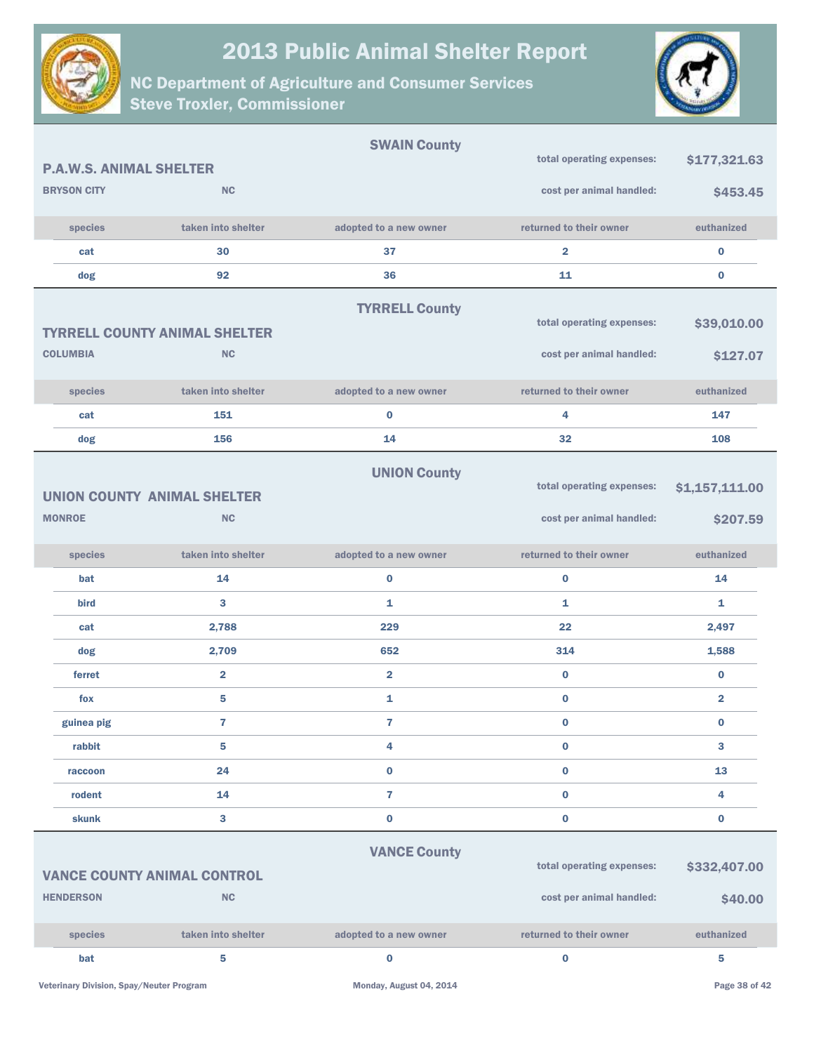



|                                |                                      | <b>SWAIN County</b>     | total operating expenses: |                         |
|--------------------------------|--------------------------------------|-------------------------|---------------------------|-------------------------|
| <b>P.A.W.S. ANIMAL SHELTER</b> |                                      |                         |                           | \$177,321.63            |
| <b>BRYSON CITY</b>             | <b>NC</b>                            |                         | cost per animal handled:  | \$453.45                |
| species                        | taken into shelter                   | adopted to a new owner  | returned to their owner   | euthanized              |
| cat                            | 30                                   | 37                      | $\overline{\mathbf{2}}$   | $\bf{0}$                |
| dog                            | 92                                   | 36                      | 11                        | 0                       |
|                                |                                      | <b>TYRRELL County</b>   |                           |                         |
|                                | <b>TYRRELL COUNTY ANIMAL SHELTER</b> |                         | total operating expenses: | \$39,010.00             |
| <b>COLUMBIA</b>                | <b>NC</b>                            |                         | cost per animal handled:  | \$127.07                |
| species                        | taken into shelter                   | adopted to a new owner  | returned to their owner   | euthanized              |
| cat                            | 151                                  | $\bf{0}$                | 4                         | 147                     |
| dog                            | 156                                  | 14                      | 32                        | 108                     |
|                                |                                      | <b>UNION County</b>     |                           |                         |
|                                | <b>UNION COUNTY ANIMAL SHELTER</b>   |                         | total operating expenses: | \$1,157,111.00          |
| <b>MONROE</b>                  | <b>NC</b>                            |                         | cost per animal handled:  | \$207.59                |
|                                |                                      |                         |                           |                         |
| species                        | taken into shelter                   | adopted to a new owner  | returned to their owner   | euthanized              |
| bat                            | 14                                   | $\bf{0}$                | $\bf{0}$                  | 14                      |
| <b>bird</b>                    | 3                                    | 1                       | 1                         | 1                       |
| cat                            | 2,788                                | 229                     | 22                        | 2,497                   |
| dog                            | 2,709                                | 652                     | 314                       | 1,588                   |
| ferret                         | $\overline{\mathbf{2}}$              | $\overline{\mathbf{2}}$ | $\bf{0}$                  | $\bf{0}$                |
| fox                            | 5                                    | 1                       | $\bf{0}$                  | $\overline{\mathbf{2}}$ |
| guinea pig                     | 7                                    | $\overline{\mathbf{r}}$ | $\bf{0}$                  | $\bf{0}$                |
| rabbit                         | 5                                    | 4                       | $\bf{0}$                  | 3                       |
| raccoon                        | 24                                   | $\bf{0}$                | $\pmb{0}$                 | 13                      |
| rodent                         | 14                                   | $\overline{\mathbf{r}}$ | $\pmb{0}$                 | 4                       |
| skunk                          | 3                                    | $\pmb{0}$               | $\bf{0}$                  | 0                       |
|                                |                                      | <b>VANCE County</b>     |                           |                         |
|                                | <b>VANCE COUNTY ANIMAL CONTROL</b>   |                         | total operating expenses: | \$332,407.00            |
| <b>HENDERSON</b>               | <b>NC</b>                            |                         | cost per animal handled:  | \$40.00                 |
|                                |                                      |                         |                           |                         |
| species                        | taken into shelter                   | adopted to a new owner  | returned to their owner   | euthanized              |
| bat                            | 5                                    | $\bf{0}$                | $\pmb{0}$                 | 5                       |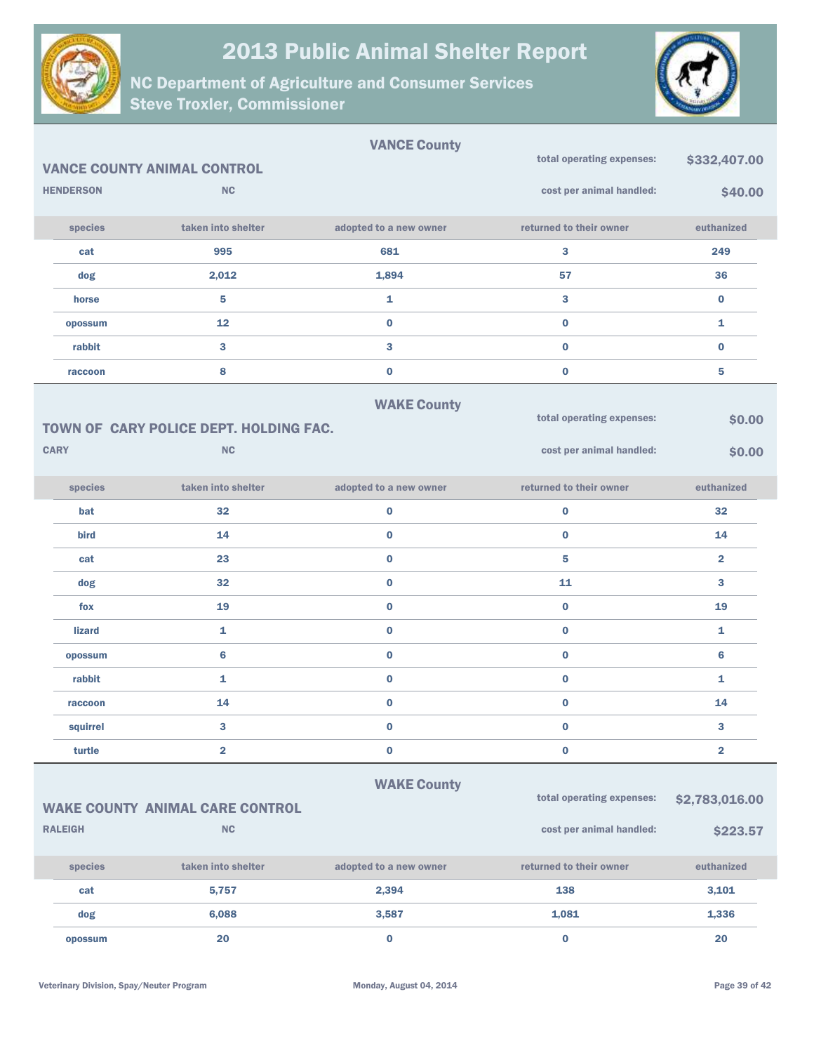



|                  |                                        | <b>VANCE County</b>    |                           |                         |
|------------------|----------------------------------------|------------------------|---------------------------|-------------------------|
|                  | <b>VANCE COUNTY ANIMAL CONTROL</b>     |                        | total operating expenses: | \$332,407.00            |
| <b>HENDERSON</b> | <b>NC</b>                              |                        | cost per animal handled:  | \$40.00                 |
| species          | taken into shelter                     | adopted to a new owner | returned to their owner   | euthanized              |
| cat              | 995                                    | 681                    | 3                         | 249                     |
| dog              | 2,012                                  | 1,894                  | 57                        | 36                      |
| horse            | 5                                      | 1                      | 3                         | $\bf{0}$                |
| opossum          | 12                                     | $\bf{0}$               | $\bf{0}$                  | 1                       |
| rabbit           | 3                                      | 3                      | $\bf{0}$                  | $\bf{0}$                |
| raccoon          | 8                                      | $\bf{0}$               | $\bf{0}$                  | 5                       |
|                  |                                        | <b>WAKE County</b>     |                           |                         |
|                  | TOWN OF CARY POLICE DEPT. HOLDING FAC. |                        | total operating expenses: | \$0.00                  |
| <b>CARY</b>      | <b>NC</b>                              |                        | cost per animal handled:  | \$0.00                  |
| species          | taken into shelter                     | adopted to a new owner | returned to their owner   | euthanized              |
| bat              | 32                                     | $\bf{0}$               | $\bf{0}$                  | 32                      |
| bird             | 14                                     | $\bf{0}$               | $\bf{0}$                  | 14                      |
| cat              | 23                                     | $\bf{0}$               | 5                         | $\overline{\mathbf{2}}$ |
| dog              | 32                                     | $\bf{0}$               | 11                        | 3                       |
| fox              | 19                                     | $\bf{0}$               | $\bf{0}$                  | 19                      |
| <b>lizard</b>    | 1                                      | $\bf{0}$               | $\bf{0}$                  | $\mathbf{1}$            |
| opossum          | $6\phantom{1}$                         | $\bf{0}$               | $\bf{0}$                  | $6\phantom{1}6$         |
| rabbit           | 1                                      | $\bf{0}$               | $\bf{0}$                  | 1                       |
| raccoon          | 14                                     | $\bf{0}$               | $\bf{0}$                  | 14                      |
| squirrel         | 3                                      | $\bf{0}$               | $\bf{0}$                  | 3                       |
| turtle           | $\overline{\mathbf{2}}$                | $\bf{0}$               | $\pmb{0}$                 | $\overline{\mathbf{2}}$ |
|                  |                                        | <b>WAKE County</b>     |                           |                         |
|                  | <b>WAKE COUNTY ANIMAL CARE CONTROL</b> |                        | total operating expenses: | \$2,783,016.00          |
| <b>RALEIGH</b>   | <b>NC</b>                              |                        | cost per animal handled:  | \$223.57                |
| species          | taken into shelter                     | adopted to a new owner | returned to their owner   | euthanized              |
| cat              | 5,757                                  | 2,394                  | 138                       | 3,101                   |
| dog              | 6,088                                  | 3,587                  | 1,081                     | 1,336                   |
| opossum          | 20                                     | $\bf{0}$               | $\bf{0}$                  | $20\,$                  |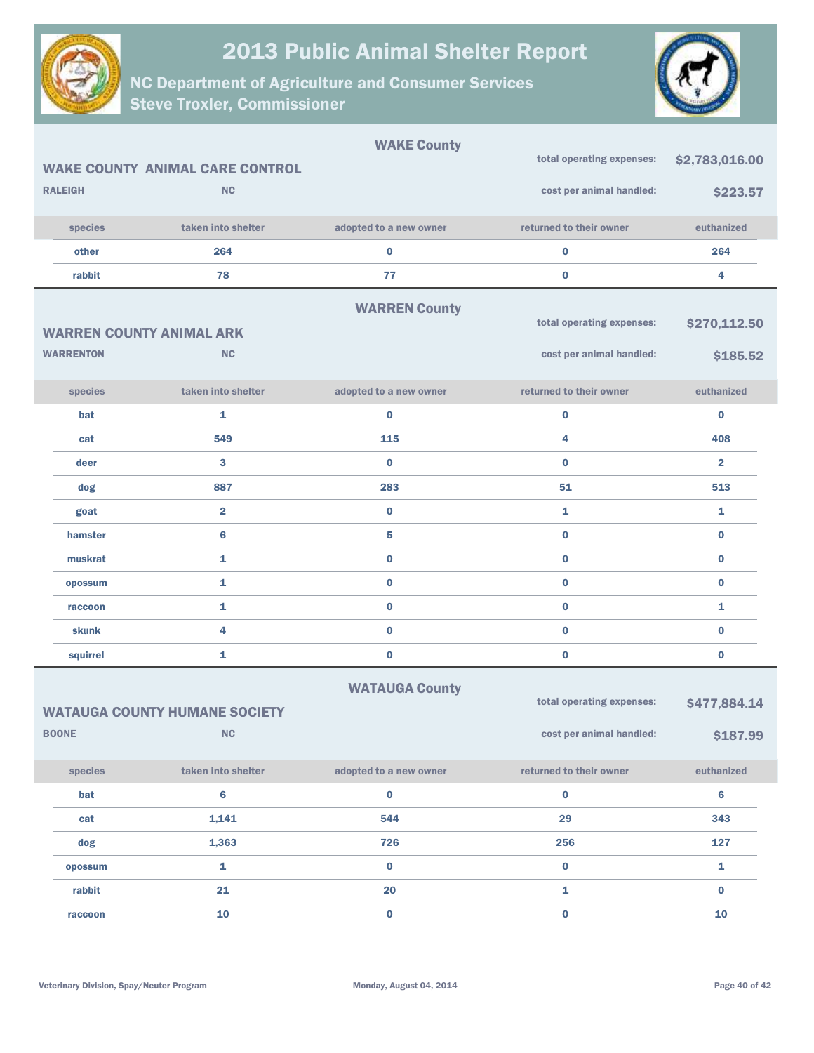

NC Department of Agriculture and Consumer Services Steve Troxler, Commissioner



|                  |                                        | <b>WAKE County</b>     |                           |                |
|------------------|----------------------------------------|------------------------|---------------------------|----------------|
|                  | <b>WAKE COUNTY ANIMAL CARE CONTROL</b> |                        | total operating expenses: | \$2,783,016.00 |
| <b>RALEIGH</b>   | <b>NC</b>                              |                        | cost per animal handled:  | \$223.57       |
| species          | taken into shelter                     | adopted to a new owner | returned to their owner   | euthanized     |
| other            | 264                                    | $\bf{0}$               | 0                         | 264            |
| rabbit           | 78                                     | 77                     | $\bf{0}$                  | 4              |
|                  |                                        | <b>WARREN County</b>   |                           |                |
|                  | <b>WARREN COUNTY ANIMAL ARK</b>        |                        | total operating expenses: | \$270,112.50   |
| <b>WARRENTON</b> | <b>NC</b>                              |                        | cost per animal handled:  | \$185.52       |
| species          | taken into shelter                     | adopted to a new owner | returned to their owner   | euthanized     |
| bat              | 1                                      | $\bf{0}$               | $\mathbf 0$               | $\bf{0}$       |
| cat              | 549                                    | 115                    | 4                         | 408            |
| deer             | 3                                      | $\bf{0}$               | $\bf{0}$                  | $\overline{2}$ |
| dog              | 887                                    | 283                    | 51                        | 513            |
| goat             | $\overline{\mathbf{2}}$                | $\bf{0}$               | 1                         | 1              |
| hamster          | 6                                      | 5                      | $\mathbf 0$               | $\bf{0}$       |
| muskrat          | 1                                      | $\bf{0}$               | $\mathbf 0$               | $\bf{0}$       |
| opossum          | 1                                      | $\bf{0}$               | $\bf{0}$                  | $\bf{0}$       |
| raccoon          | 1                                      | $\bf{0}$               | $\mathbf 0$               | 1              |
| skunk            | 4                                      | $\bf{0}$               | $\mathbf 0$               | $\bf{0}$       |
| squirrel         | 1                                      | $\bf{0}$               | $\bf{0}$                  | 0              |
|                  |                                        | <b>WATAUGA County</b>  |                           |                |
|                  | <b>WATAUGA COUNTY HUMANE SOCIETY</b>   |                        | total operating expenses: | \$477,884.14   |
| <b>BOONE</b>     | ${\sf NC}$                             |                        | cost per animal handled:  | \$187.99       |
| species          | taken into shelter                     | adopted to a new owner | returned to their owner   | euthanized     |
| bat              | 6                                      | $\bf{0}$               | $\pmb{0}$                 | $\bf 6$        |
| cat              | 1,141                                  | 544                    | 29                        | 343            |
| dog              | 1,363                                  | 726                    | 256                       | 127            |
| opossum          | $\mathbf 1$                            | $\pmb{0}$              | $\mathbf 0$               | $\mathbf{1}$   |

rabbit  $21$   $20$   $1$   $0$ raccoon and  $\begin{array}{ccc} 10 & 0 & 0 \end{array}$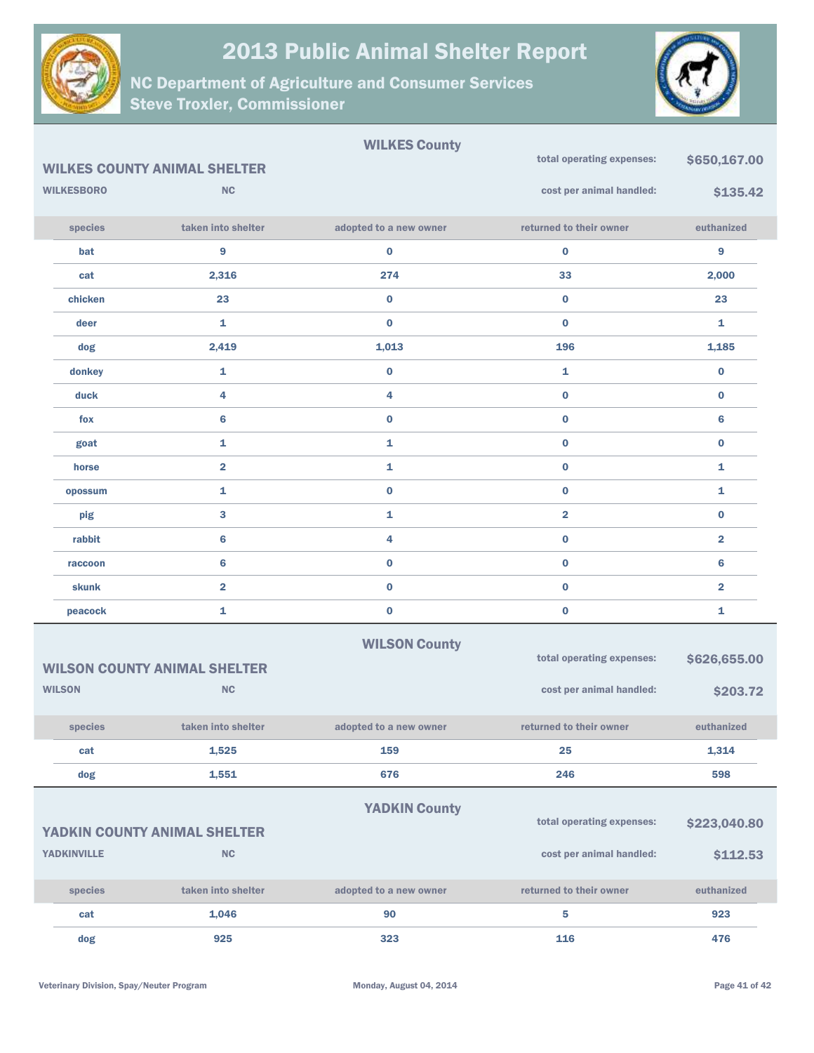



|                    | <b>WILKES COUNTY ANIMAL SHELTER</b> | <b>WILKES County</b>   | total operating expenses: | \$650,167.00            |
|--------------------|-------------------------------------|------------------------|---------------------------|-------------------------|
| <b>WILKESBORO</b>  | <b>NC</b>                           |                        | cost per animal handled:  | \$135.42                |
| species            | taken into shelter                  | adopted to a new owner | returned to their owner   | euthanized              |
| bat                | $\boldsymbol{9}$                    | $\bf{0}$               | $\pmb{0}$                 | 9                       |
| cat                | 2,316                               | 274                    | 33                        | 2,000                   |
| chicken            | 23                                  | $\bf{0}$               | $\bf{0}$                  | 23                      |
| deer               | $\mathbf{1}$                        | $\bf{0}$               | $\bf{0}$                  | 1                       |
| dog                | 2,419                               | 1,013                  | 196                       | 1,185                   |
| donkey             | $\mathbf{1}$                        | $\bf{0}$               | 1                         | $\bf{0}$                |
| duck               | 4                                   | 4                      | $\bf{0}$                  | $\bf{0}$                |
| fox                | $6\phantom{1}6$                     | $\bf{0}$               | $\bf{0}$                  | $6\phantom{1}$          |
| goat               | $\mathbf{1}$                        | 1                      | $\bf{0}$                  | $\bf{0}$                |
| horse              | $\overline{\mathbf{2}}$             | $\mathbf{1}$           | $\bf{0}$                  | 1                       |
| opossum            | $\mathbf{1}$                        | $\bf{0}$               | $\bf{0}$                  | 1                       |
| pig                | $\bf{3}$                            | 1                      | $\overline{\mathbf{2}}$   | $\bf{0}$                |
| rabbit             | $6\phantom{1}6$                     | 4                      | $\bf{0}$                  | $\overline{2}$          |
| raccoon            | $6\phantom{1}6$                     | $\bf{0}$               | $\bf{0}$                  | 6                       |
| <b>skunk</b>       | $\overline{\mathbf{2}}$             | $\bf{0}$               | $\bf{0}$                  | $\overline{\mathbf{2}}$ |
| peacock            | $\mathbf{1}$                        | $\pmb{0}$              | $\pmb{0}$                 | 1                       |
|                    | <b>WILSON COUNTY ANIMAL SHELTER</b> | <b>WILSON County</b>   | total operating expenses: | \$626,655.00            |
| <b>WILSON</b>      | <b>NC</b>                           |                        | cost per animal handled:  | \$203.72                |
| species            | taken into shelter                  | adopted to a new owner | returned to their owner   | euthanized              |
| cat                | 1,525                               | 159                    | 25                        | 1,314                   |
| dog                | 1,551                               | 676                    | 246                       | 598                     |
|                    |                                     | <b>YADKIN County</b>   |                           |                         |
|                    | YADKIN COUNTY ANIMAL SHELTER        |                        | total operating expenses: | \$223,040.80            |
| <b>YADKINVILLE</b> | $\sf NC$                            |                        | cost per animal handled:  | \$112.53                |
| species            | taken into shelter                  | adopted to a new owner | returned to their owner   | euthanized              |
| cat                | 1,046                               | 90                     | 5                         | 923                     |
| dog                | 925                                 | 323                    | 116                       | 476                     |